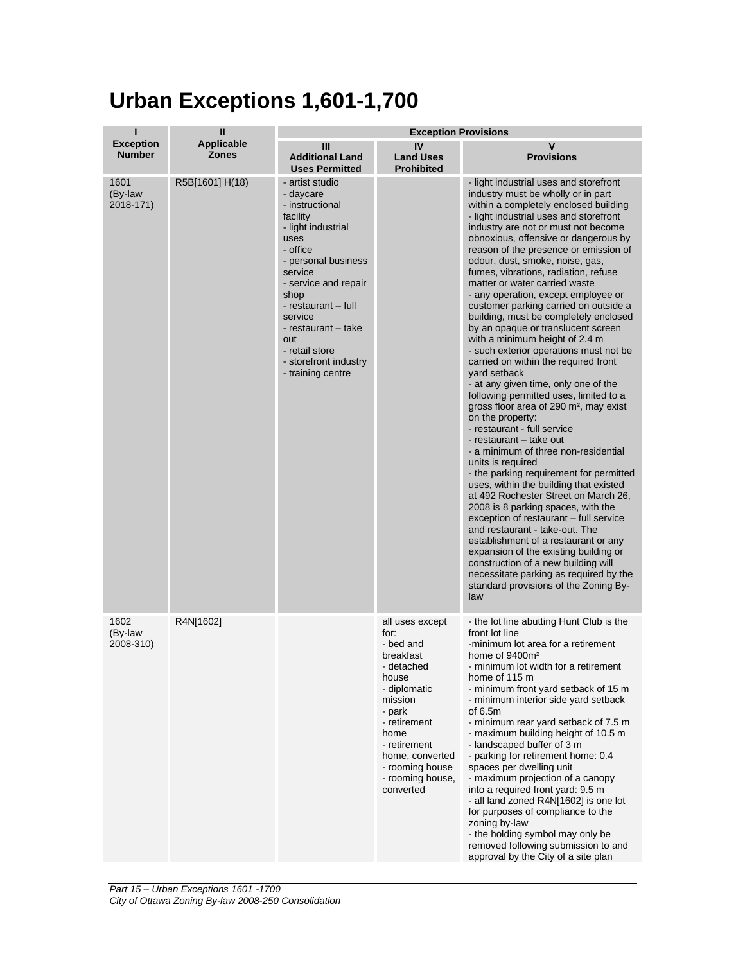## **Urban Exceptions 1,601-1,700**

| ı                                 | $\mathbf{I}$                      | <b>Exception Provisions</b>                                                                                                                                                                                                                                                                             |                                                                                                                                                                                                                              |                                                                                                                                                                                                                                                                                                                                                                                                                                                                                                                                                                                                                                                                                                                                                                                                                                                                                                                                                                                                                                                                                                                                                                                                                                                                                                                                                                                                                                                            |  |
|-----------------------------------|-----------------------------------|---------------------------------------------------------------------------------------------------------------------------------------------------------------------------------------------------------------------------------------------------------------------------------------------------------|------------------------------------------------------------------------------------------------------------------------------------------------------------------------------------------------------------------------------|------------------------------------------------------------------------------------------------------------------------------------------------------------------------------------------------------------------------------------------------------------------------------------------------------------------------------------------------------------------------------------------------------------------------------------------------------------------------------------------------------------------------------------------------------------------------------------------------------------------------------------------------------------------------------------------------------------------------------------------------------------------------------------------------------------------------------------------------------------------------------------------------------------------------------------------------------------------------------------------------------------------------------------------------------------------------------------------------------------------------------------------------------------------------------------------------------------------------------------------------------------------------------------------------------------------------------------------------------------------------------------------------------------------------------------------------------------|--|
| <b>Exception</b><br><b>Number</b> | <b>Applicable</b><br><b>Zones</b> | Ш<br><b>Additional Land</b><br><b>Uses Permitted</b>                                                                                                                                                                                                                                                    | IV<br><b>Land Uses</b><br><b>Prohibited</b>                                                                                                                                                                                  | V<br><b>Provisions</b>                                                                                                                                                                                                                                                                                                                                                                                                                                                                                                                                                                                                                                                                                                                                                                                                                                                                                                                                                                                                                                                                                                                                                                                                                                                                                                                                                                                                                                     |  |
| 1601<br>(By-law<br>2018-171)      | R5B[1601] H(18)                   | - artist studio<br>- daycare<br>- instructional<br>facility<br>- light industrial<br>uses<br>- office<br>- personal business<br>service<br>- service and repair<br>shop<br>- restaurant - full<br>service<br>- restaurant - take<br>out<br>- retail store<br>- storefront industry<br>- training centre |                                                                                                                                                                                                                              | - light industrial uses and storefront<br>industry must be wholly or in part<br>within a completely enclosed building<br>- light industrial uses and storefront<br>industry are not or must not become<br>obnoxious, offensive or dangerous by<br>reason of the presence or emission of<br>odour, dust, smoke, noise, gas,<br>fumes, vibrations, radiation, refuse<br>matter or water carried waste<br>- any operation, except employee or<br>customer parking carried on outside a<br>building, must be completely enclosed<br>by an opaque or translucent screen<br>with a minimum height of 2.4 m<br>- such exterior operations must not be<br>carried on within the required front<br>yard setback<br>- at any given time, only one of the<br>following permitted uses, limited to a<br>gross floor area of 290 m <sup>2</sup> , may exist<br>on the property:<br>- restaurant - full service<br>- restaurant - take out<br>- a minimum of three non-residential<br>units is required<br>- the parking requirement for permitted<br>uses, within the building that existed<br>at 492 Rochester Street on March 26,<br>2008 is 8 parking spaces, with the<br>exception of restaurant – full service<br>and restaurant - take-out. The<br>establishment of a restaurant or any<br>expansion of the existing building or<br>construction of a new building will<br>necessitate parking as required by the<br>standard provisions of the Zoning By-<br>law |  |
| 1602<br>(By-law<br>2008-310)      | R4N[1602]                         |                                                                                                                                                                                                                                                                                                         | all uses except<br>for:<br>- bed and<br>breakfast<br>- detached<br>house<br>- diplomatic<br>mission<br>- park<br>- retirement<br>home<br>- retirement<br>home, converted<br>- rooming house<br>- rooming house,<br>converted | - the lot line abutting Hunt Club is the<br>front lot line<br>-minimum lot area for a retirement<br>home of 9400m <sup>2</sup><br>- minimum lot width for a retirement<br>home of 115 m<br>- minimum front yard setback of 15 m<br>- minimum interior side yard setback<br>of $6.5m$<br>- minimum rear yard setback of 7.5 m<br>- maximum building height of 10.5 m<br>- landscaped buffer of 3 m<br>- parking for retirement home: 0.4<br>spaces per dwelling unit<br>- maximum projection of a canopy<br>into a required front yard: 9.5 m<br>- all land zoned R4N[1602] is one lot<br>for purposes of compliance to the<br>zoning by-law<br>- the holding symbol may only be<br>removed following submission to and<br>approval by the City of a site plan                                                                                                                                                                                                                                                                                                                                                                                                                                                                                                                                                                                                                                                                                              |  |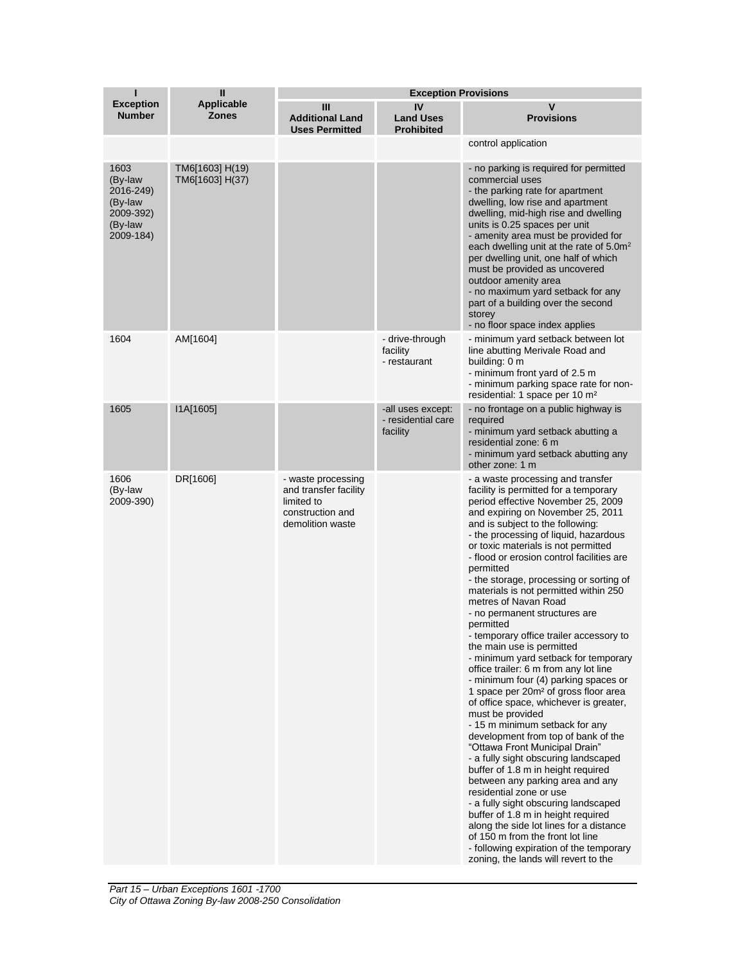| П                                                                            | $\mathbf{I}$                       | <b>Exception Provisions</b>                                                                       |                                                     |                                                                                                                                                                                                                                                                                                                                                                                                                                                                                                                                                                                                                                                                                                                                                                                                                                                                                                                                                                                                                                                                                                                                                                                                                                                                                                                          |
|------------------------------------------------------------------------------|------------------------------------|---------------------------------------------------------------------------------------------------|-----------------------------------------------------|--------------------------------------------------------------------------------------------------------------------------------------------------------------------------------------------------------------------------------------------------------------------------------------------------------------------------------------------------------------------------------------------------------------------------------------------------------------------------------------------------------------------------------------------------------------------------------------------------------------------------------------------------------------------------------------------------------------------------------------------------------------------------------------------------------------------------------------------------------------------------------------------------------------------------------------------------------------------------------------------------------------------------------------------------------------------------------------------------------------------------------------------------------------------------------------------------------------------------------------------------------------------------------------------------------------------------|
| <b>Exception</b><br><b>Number</b>                                            | <b>Applicable</b><br><b>Zones</b>  | Ш<br><b>Additional Land</b><br><b>Uses Permitted</b>                                              | IV<br><b>Land Uses</b><br><b>Prohibited</b>         | v<br><b>Provisions</b>                                                                                                                                                                                                                                                                                                                                                                                                                                                                                                                                                                                                                                                                                                                                                                                                                                                                                                                                                                                                                                                                                                                                                                                                                                                                                                   |
|                                                                              |                                    |                                                                                                   |                                                     | control application                                                                                                                                                                                                                                                                                                                                                                                                                                                                                                                                                                                                                                                                                                                                                                                                                                                                                                                                                                                                                                                                                                                                                                                                                                                                                                      |
| 1603<br>(By-law<br>2016-249)<br>(By-law<br>2009-392)<br>(By-law<br>2009-184) | TM6[1603] H(19)<br>TM6[1603] H(37) |                                                                                                   |                                                     | - no parking is required for permitted<br>commercial uses<br>- the parking rate for apartment<br>dwelling, low rise and apartment<br>dwelling, mid-high rise and dwelling<br>units is 0.25 spaces per unit<br>- amenity area must be provided for<br>each dwelling unit at the rate of $5.0m^2$<br>per dwelling unit, one half of which<br>must be provided as uncovered<br>outdoor amenity area<br>- no maximum yard setback for any<br>part of a building over the second<br>storey<br>- no floor space index applies                                                                                                                                                                                                                                                                                                                                                                                                                                                                                                                                                                                                                                                                                                                                                                                                  |
| 1604                                                                         | AM[1604]                           |                                                                                                   | - drive-through<br>facility<br>- restaurant         | - minimum yard setback between lot<br>line abutting Merivale Road and<br>building: 0 m<br>- minimum front yard of 2.5 m<br>- minimum parking space rate for non-<br>residential: 1 space per 10 m <sup>2</sup>                                                                                                                                                                                                                                                                                                                                                                                                                                                                                                                                                                                                                                                                                                                                                                                                                                                                                                                                                                                                                                                                                                           |
| 1605                                                                         | I1A[1605]                          |                                                                                                   | -all uses except:<br>- residential care<br>facility | - no frontage on a public highway is<br>required<br>- minimum yard setback abutting a<br>residential zone: 6 m<br>- minimum yard setback abutting any<br>other zone: 1 m                                                                                                                                                                                                                                                                                                                                                                                                                                                                                                                                                                                                                                                                                                                                                                                                                                                                                                                                                                                                                                                                                                                                                 |
| 1606<br>(By-law<br>2009-390)                                                 | DR[1606]                           | - waste processing<br>and transfer facility<br>limited to<br>construction and<br>demolition waste |                                                     | - a waste processing and transfer<br>facility is permitted for a temporary<br>period effective November 25, 2009<br>and expiring on November 25, 2011<br>and is subject to the following:<br>- the processing of liquid, hazardous<br>or toxic materials is not permitted<br>- flood or erosion control facilities are<br>permitted<br>- the storage, processing or sorting of<br>materials is not permitted within 250<br>metres of Navan Road<br>- no permanent structures are<br>permitted<br>- temporary office trailer accessory to<br>the main use is permitted<br>- minimum yard setback for temporary<br>office trailer: 6 m from any lot line<br>- minimum four (4) parking spaces or<br>1 space per 20m <sup>2</sup> of gross floor area<br>of office space, whichever is greater,<br>must be provided<br>- 15 m minimum setback for any<br>development from top of bank of the<br>"Ottawa Front Municipal Drain"<br>- a fully sight obscuring landscaped<br>buffer of 1.8 m in height required<br>between any parking area and any<br>residential zone or use<br>- a fully sight obscuring landscaped<br>buffer of 1.8 m in height required<br>along the side lot lines for a distance<br>of 150 m from the front lot line<br>- following expiration of the temporary<br>zoning, the lands will revert to the |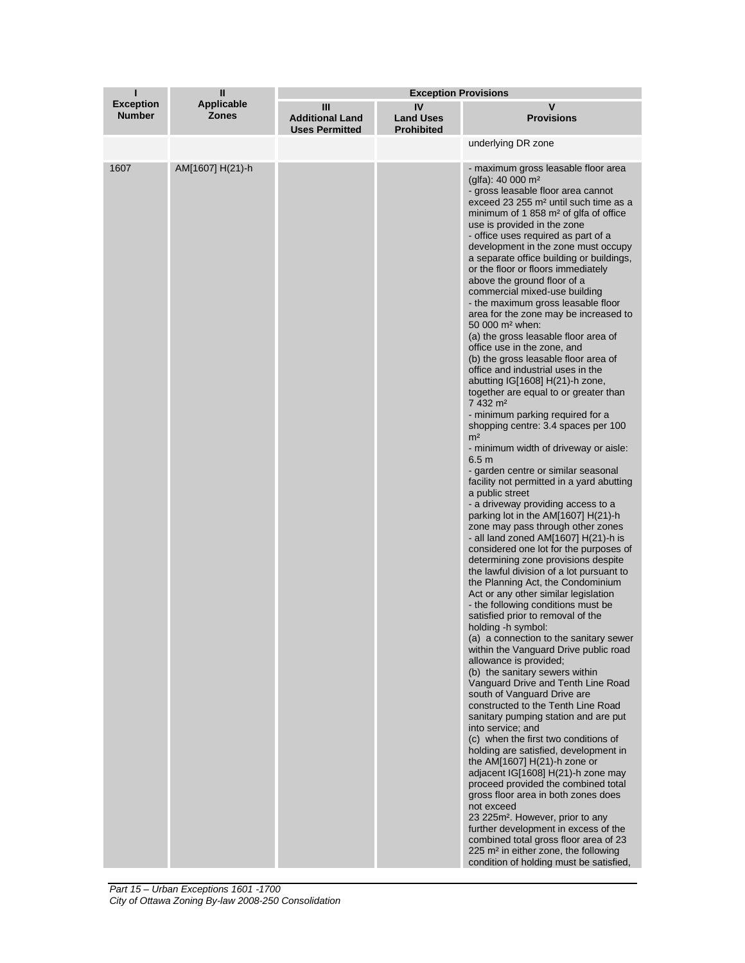| П                                 | $\mathbf{I}$               | <b>Exception Provisions</b>                          |                                             |                                                                                                                                                                                                                                                                                                                                                                                                                                                                                                                                                                                                                                                                                                                                                                                                                                                                                                                                                                                                                                                                                                                                                                                                                                                                                                                                                                                                                                                                                                                                                                                                                                                                                                                                                                                                                                                                                                                                                                                                                                                                                                                                                                                                                                                                                                                                                                                 |
|-----------------------------------|----------------------------|------------------------------------------------------|---------------------------------------------|---------------------------------------------------------------------------------------------------------------------------------------------------------------------------------------------------------------------------------------------------------------------------------------------------------------------------------------------------------------------------------------------------------------------------------------------------------------------------------------------------------------------------------------------------------------------------------------------------------------------------------------------------------------------------------------------------------------------------------------------------------------------------------------------------------------------------------------------------------------------------------------------------------------------------------------------------------------------------------------------------------------------------------------------------------------------------------------------------------------------------------------------------------------------------------------------------------------------------------------------------------------------------------------------------------------------------------------------------------------------------------------------------------------------------------------------------------------------------------------------------------------------------------------------------------------------------------------------------------------------------------------------------------------------------------------------------------------------------------------------------------------------------------------------------------------------------------------------------------------------------------------------------------------------------------------------------------------------------------------------------------------------------------------------------------------------------------------------------------------------------------------------------------------------------------------------------------------------------------------------------------------------------------------------------------------------------------------------------------------------------------|
| <b>Exception</b><br><b>Number</b> | Applicable<br><b>Zones</b> | Ш<br><b>Additional Land</b><br><b>Uses Permitted</b> | IV<br><b>Land Uses</b><br><b>Prohibited</b> | v<br><b>Provisions</b>                                                                                                                                                                                                                                                                                                                                                                                                                                                                                                                                                                                                                                                                                                                                                                                                                                                                                                                                                                                                                                                                                                                                                                                                                                                                                                                                                                                                                                                                                                                                                                                                                                                                                                                                                                                                                                                                                                                                                                                                                                                                                                                                                                                                                                                                                                                                                          |
|                                   |                            |                                                      |                                             | underlying DR zone                                                                                                                                                                                                                                                                                                                                                                                                                                                                                                                                                                                                                                                                                                                                                                                                                                                                                                                                                                                                                                                                                                                                                                                                                                                                                                                                                                                                                                                                                                                                                                                                                                                                                                                                                                                                                                                                                                                                                                                                                                                                                                                                                                                                                                                                                                                                                              |
| 1607                              | AM[1607] H(21)-h           |                                                      |                                             | - maximum gross leasable floor area<br>(glfa): 40 000 $m2$<br>- gross leasable floor area cannot<br>exceed 23 255 m <sup>2</sup> until such time as a<br>minimum of 1 858 $m2$ of glfa of office<br>use is provided in the zone<br>- office uses required as part of a<br>development in the zone must occupy<br>a separate office building or buildings,<br>or the floor or floors immediately<br>above the ground floor of a<br>commercial mixed-use building<br>- the maximum gross leasable floor<br>area for the zone may be increased to<br>50 000 m <sup>2</sup> when:<br>(a) the gross leasable floor area of<br>office use in the zone, and<br>(b) the gross leasable floor area of<br>office and industrial uses in the<br>abutting IG[1608] H(21)-h zone,<br>together are equal to or greater than<br>7 432 m <sup>2</sup><br>- minimum parking required for a<br>shopping centre: 3.4 spaces per 100<br>m <sup>2</sup><br>- minimum width of driveway or aisle:<br>6.5m<br>- garden centre or similar seasonal<br>facility not permitted in a yard abutting<br>a public street<br>- a driveway providing access to a<br>parking lot in the AM[1607] $H(21)$ -h<br>zone may pass through other zones<br>- all land zoned AM[1607] H(21)-h is<br>considered one lot for the purposes of<br>determining zone provisions despite<br>the lawful division of a lot pursuant to<br>the Planning Act, the Condominium<br>Act or any other similar legislation<br>- the following conditions must be<br>satisfied prior to removal of the<br>holding -h symbol:<br>(a) a connection to the sanitary sewer<br>within the Vanguard Drive public road<br>allowance is provided;<br>(b) the sanitary sewers within<br>Vanguard Drive and Tenth Line Road<br>south of Vanguard Drive are<br>constructed to the Tenth Line Road<br>sanitary pumping station and are put<br>into service; and<br>(c) when the first two conditions of<br>holding are satisfied, development in<br>the AM[1607] $H(21)$ -h zone or<br>adjacent IG[1608] H(21)-h zone may<br>proceed provided the combined total<br>gross floor area in both zones does<br>not exceed<br>23 225m <sup>2</sup> . However, prior to any<br>further development in excess of the<br>combined total gross floor area of 23<br>225 m <sup>2</sup> in either zone, the following<br>condition of holding must be satisfied, |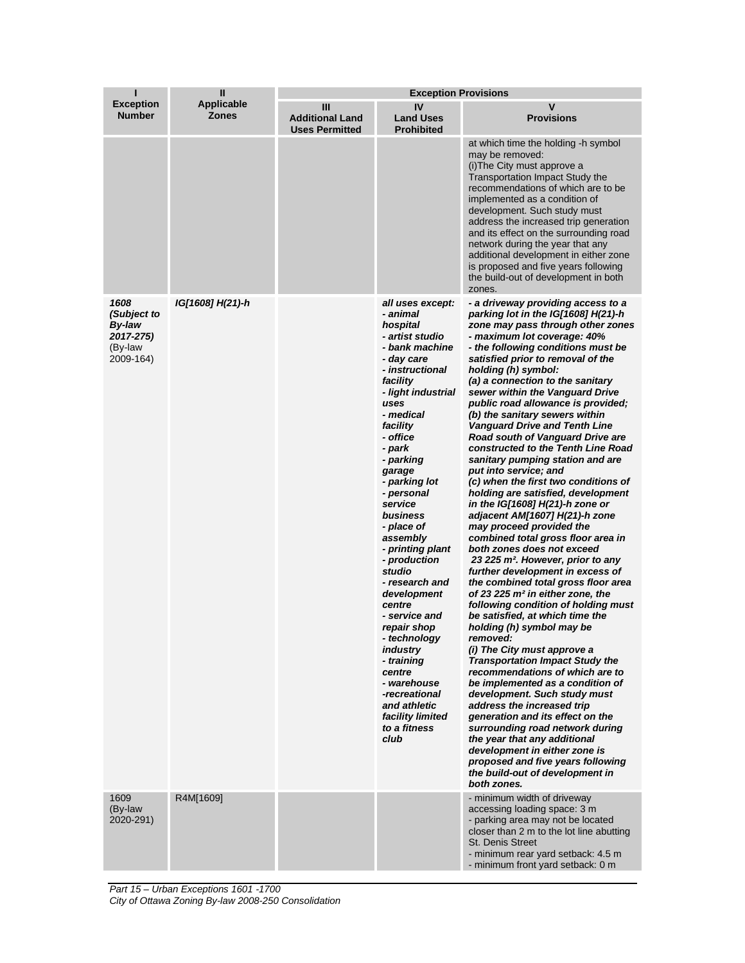| ı                                                                  | $\mathbf{I}$                      | <b>Exception Provisions</b>                          |                                                                                                                                                                                                                                                                                                                                                                                                                                                                                                                                                                                         |                                                                                                                                                                                                                                                                                                                                                                                                                                                                                                                                                                                                                                                                                                                                                                                                                                                                                                                                                                                                                                                                                                                                                                                                                                                                                                                                                                                                                                                                                                                                                                                  |  |
|--------------------------------------------------------------------|-----------------------------------|------------------------------------------------------|-----------------------------------------------------------------------------------------------------------------------------------------------------------------------------------------------------------------------------------------------------------------------------------------------------------------------------------------------------------------------------------------------------------------------------------------------------------------------------------------------------------------------------------------------------------------------------------------|----------------------------------------------------------------------------------------------------------------------------------------------------------------------------------------------------------------------------------------------------------------------------------------------------------------------------------------------------------------------------------------------------------------------------------------------------------------------------------------------------------------------------------------------------------------------------------------------------------------------------------------------------------------------------------------------------------------------------------------------------------------------------------------------------------------------------------------------------------------------------------------------------------------------------------------------------------------------------------------------------------------------------------------------------------------------------------------------------------------------------------------------------------------------------------------------------------------------------------------------------------------------------------------------------------------------------------------------------------------------------------------------------------------------------------------------------------------------------------------------------------------------------------------------------------------------------------|--|
| <b>Exception</b><br><b>Number</b>                                  | <b>Applicable</b><br><b>Zones</b> | Ш<br><b>Additional Land</b><br><b>Uses Permitted</b> | IV<br><b>Land Uses</b><br><b>Prohibited</b>                                                                                                                                                                                                                                                                                                                                                                                                                                                                                                                                             | v<br><b>Provisions</b>                                                                                                                                                                                                                                                                                                                                                                                                                                                                                                                                                                                                                                                                                                                                                                                                                                                                                                                                                                                                                                                                                                                                                                                                                                                                                                                                                                                                                                                                                                                                                           |  |
|                                                                    |                                   |                                                      |                                                                                                                                                                                                                                                                                                                                                                                                                                                                                                                                                                                         | at which time the holding -h symbol<br>may be removed:<br>(i) The City must approve a<br>Transportation Impact Study the<br>recommendations of which are to be<br>implemented as a condition of<br>development. Such study must<br>address the increased trip generation<br>and its effect on the surrounding road<br>network during the year that any<br>additional development in either zone<br>is proposed and five years following<br>the build-out of development in both<br>zones.                                                                                                                                                                                                                                                                                                                                                                                                                                                                                                                                                                                                                                                                                                                                                                                                                                                                                                                                                                                                                                                                                        |  |
| 1608<br>(Subject to<br>By-law<br>2017-275)<br>(By-law<br>2009-164) | IG[1608] H(21)-h                  |                                                      | all uses except:<br>- animal<br>hospital<br>- artist studio<br>- bank machine<br>- day care<br>- instructional<br>facility<br>- light industrial<br>uses<br>- medical<br>facility<br>- office<br>- park<br>- parking<br>garage<br>- parking lot<br>- personal<br>service<br>business<br>- place of<br>assembly<br>- printing plant<br>- production<br>studio<br>- research and<br>development<br>centre<br>- service and<br>repair shop<br>- technology<br>industry<br>- training<br>centre<br>- warehouse<br>-recreational<br>and athletic<br>facility limited<br>to a fitness<br>club | - a driveway providing access to a<br>parking lot in the $IG[1608] H(21)$ -h<br>zone may pass through other zones<br>maximum lot coverage: 40%<br>- the following conditions must be<br>satisfied prior to removal of the<br>holding (h) symbol:<br>(a) a connection to the sanitary<br>sewer within the Vanguard Drive<br>public road allowance is provided;<br>(b) the sanitary sewers within<br><b>Vanguard Drive and Tenth Line</b><br>Road south of Vanguard Drive are<br>constructed to the Tenth Line Road<br>sanitary pumping station and are<br>put into service; and<br>(c) when the first two conditions of<br>holding are satisfied, development<br>in the $IG[1608] H(21)$ -h zone or<br>adjacent AM[1607] H(21)-h zone<br>may proceed provided the<br>combined total gross floor area in<br>both zones does not exceed<br>23 225 m <sup>2</sup> . However, prior to any<br>further development in excess of<br>the combined total gross floor area<br>of 23 225 m <sup>2</sup> in either zone, the<br>following condition of holding must<br>be satisfied, at which time the<br>holding (h) symbol may be<br>removed:<br>(i) The City must approve a<br><b>Transportation Impact Study the</b><br>recommendations of which are to<br>be implemented as a condition of<br>development. Such study must<br>address the increased trip<br>generation and its effect on the<br>surrounding road network during<br>the year that any additional<br>development in either zone is<br>proposed and five years following<br>the build-out of development in<br>both zones. |  |
| 1609<br>(By-law                                                    | R4M[1609]                         |                                                      |                                                                                                                                                                                                                                                                                                                                                                                                                                                                                                                                                                                         | - minimum width of driveway<br>accessing loading space: 3 m                                                                                                                                                                                                                                                                                                                                                                                                                                                                                                                                                                                                                                                                                                                                                                                                                                                                                                                                                                                                                                                                                                                                                                                                                                                                                                                                                                                                                                                                                                                      |  |
| 2020-291)                                                          |                                   |                                                      |                                                                                                                                                                                                                                                                                                                                                                                                                                                                                                                                                                                         | - parking area may not be located<br>closer than 2 m to the lot line abutting<br><b>St. Denis Street</b><br>- minimum rear yard setback: 4.5 m<br>- minimum front yard setback: 0 m                                                                                                                                                                                                                                                                                                                                                                                                                                                                                                                                                                                                                                                                                                                                                                                                                                                                                                                                                                                                                                                                                                                                                                                                                                                                                                                                                                                              |  |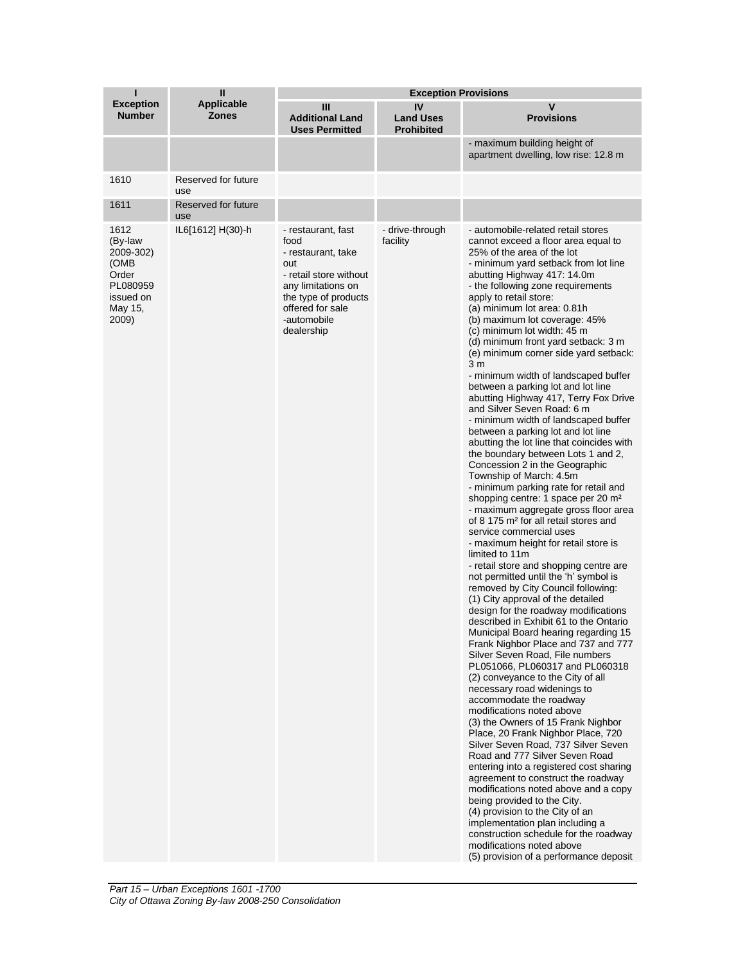| ī                                                                                          | $\mathbf{I}$                      | <b>Exception Provisions</b>                                                                                                                                                      |                                             |                                                                                                                                                                                                                                                                                                                                                                                                                                                                                                                                                                                                                                                                                                                                                                                                                                                                                                                                                                                                                                                                                                                                                                                                                                                                                                                                                                                                                                                                                                                                                                                                                                                                                                                                                                                                                                                                                                                                                                                                                                                                                                                                         |  |
|--------------------------------------------------------------------------------------------|-----------------------------------|----------------------------------------------------------------------------------------------------------------------------------------------------------------------------------|---------------------------------------------|-----------------------------------------------------------------------------------------------------------------------------------------------------------------------------------------------------------------------------------------------------------------------------------------------------------------------------------------------------------------------------------------------------------------------------------------------------------------------------------------------------------------------------------------------------------------------------------------------------------------------------------------------------------------------------------------------------------------------------------------------------------------------------------------------------------------------------------------------------------------------------------------------------------------------------------------------------------------------------------------------------------------------------------------------------------------------------------------------------------------------------------------------------------------------------------------------------------------------------------------------------------------------------------------------------------------------------------------------------------------------------------------------------------------------------------------------------------------------------------------------------------------------------------------------------------------------------------------------------------------------------------------------------------------------------------------------------------------------------------------------------------------------------------------------------------------------------------------------------------------------------------------------------------------------------------------------------------------------------------------------------------------------------------------------------------------------------------------------------------------------------------------|--|
| <b>Exception</b><br><b>Number</b>                                                          | <b>Applicable</b><br><b>Zones</b> | Ш<br><b>Additional Land</b><br><b>Uses Permitted</b>                                                                                                                             | IV<br><b>Land Uses</b><br><b>Prohibited</b> | V<br><b>Provisions</b>                                                                                                                                                                                                                                                                                                                                                                                                                                                                                                                                                                                                                                                                                                                                                                                                                                                                                                                                                                                                                                                                                                                                                                                                                                                                                                                                                                                                                                                                                                                                                                                                                                                                                                                                                                                                                                                                                                                                                                                                                                                                                                                  |  |
|                                                                                            |                                   |                                                                                                                                                                                  |                                             | - maximum building height of<br>apartment dwelling, low rise: 12.8 m                                                                                                                                                                                                                                                                                                                                                                                                                                                                                                                                                                                                                                                                                                                                                                                                                                                                                                                                                                                                                                                                                                                                                                                                                                                                                                                                                                                                                                                                                                                                                                                                                                                                                                                                                                                                                                                                                                                                                                                                                                                                    |  |
| 1610                                                                                       | Reserved for future<br>use        |                                                                                                                                                                                  |                                             |                                                                                                                                                                                                                                                                                                                                                                                                                                                                                                                                                                                                                                                                                                                                                                                                                                                                                                                                                                                                                                                                                                                                                                                                                                                                                                                                                                                                                                                                                                                                                                                                                                                                                                                                                                                                                                                                                                                                                                                                                                                                                                                                         |  |
| 1611                                                                                       | Reserved for future<br>use        |                                                                                                                                                                                  |                                             |                                                                                                                                                                                                                                                                                                                                                                                                                                                                                                                                                                                                                                                                                                                                                                                                                                                                                                                                                                                                                                                                                                                                                                                                                                                                                                                                                                                                                                                                                                                                                                                                                                                                                                                                                                                                                                                                                                                                                                                                                                                                                                                                         |  |
| 1612<br>(By-law<br>2009-302)<br>(OMB<br>Order<br>PL080959<br>issued on<br>May 15,<br>2009) | IL6[1612] H(30)-h                 | - restaurant, fast<br>food<br>- restaurant, take<br>out<br>- retail store without<br>any limitations on<br>the type of products<br>offered for sale<br>-automobile<br>dealership | - drive-through<br>facility                 | - automobile-related retail stores<br>cannot exceed a floor area equal to<br>25% of the area of the lot<br>- minimum yard setback from lot line<br>abutting Highway 417: 14.0m<br>- the following zone requirements<br>apply to retail store:<br>(a) minimum lot area: 0.81h<br>(b) maximum lot coverage: 45%<br>(c) minimum lot width: 45 m<br>(d) minimum front yard setback: 3 m<br>(e) minimum corner side yard setback:<br>3 m<br>- minimum width of landscaped buffer<br>between a parking lot and lot line<br>abutting Highway 417, Terry Fox Drive<br>and Silver Seven Road: 6 m<br>- minimum width of landscaped buffer<br>between a parking lot and lot line<br>abutting the lot line that coincides with<br>the boundary between Lots 1 and 2,<br>Concession 2 in the Geographic<br>Township of March: 4.5m<br>- minimum parking rate for retail and<br>shopping centre: 1 space per 20 m <sup>2</sup><br>- maximum aggregate gross floor area<br>of 8 175 m <sup>2</sup> for all retail stores and<br>service commercial uses<br>- maximum height for retail store is<br>limited to 11m<br>- retail store and shopping centre are<br>not permitted until the 'h' symbol is<br>removed by City Council following:<br>(1) City approval of the detailed<br>design for the roadway modifications<br>described in Exhibit 61 to the Ontario<br>Municipal Board hearing regarding 15<br>Frank Nighbor Place and 737 and 777<br>Silver Seven Road, File numbers<br>PL051066, PL060317 and PL060318<br>(2) conveyance to the City of all<br>necessary road widenings to<br>accommodate the roadway<br>modifications noted above<br>(3) the Owners of 15 Frank Nighbor<br>Place, 20 Frank Nighbor Place, 720<br>Silver Seven Road, 737 Silver Seven<br>Road and 777 Silver Seven Road<br>entering into a registered cost sharing<br>agreement to construct the roadway<br>modifications noted above and a copy<br>being provided to the City.<br>(4) provision to the City of an<br>implementation plan including a<br>construction schedule for the roadway<br>modifications noted above<br>(5) provision of a performance deposit |  |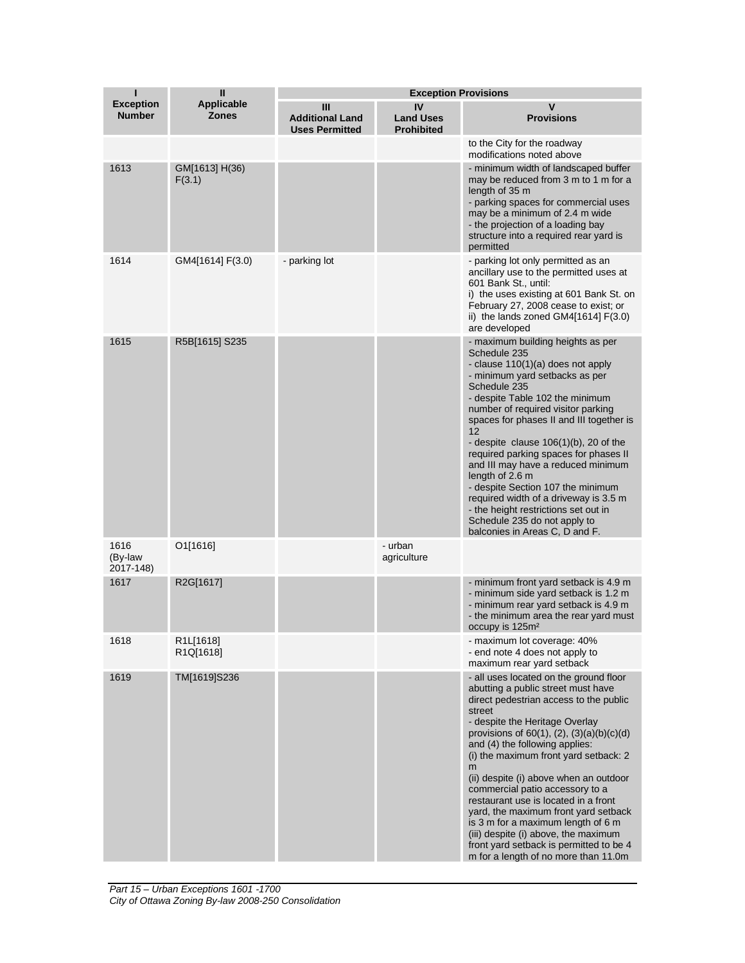| п                                 | $\mathbf{I}$                      | <b>Exception Provisions</b>                          |                                             |                                                                                                                                                                                                                                                                                                                                                                                                                                                                                                                                                                                                                                       |
|-----------------------------------|-----------------------------------|------------------------------------------------------|---------------------------------------------|---------------------------------------------------------------------------------------------------------------------------------------------------------------------------------------------------------------------------------------------------------------------------------------------------------------------------------------------------------------------------------------------------------------------------------------------------------------------------------------------------------------------------------------------------------------------------------------------------------------------------------------|
| <b>Exception</b><br><b>Number</b> | <b>Applicable</b><br><b>Zones</b> | Ш<br><b>Additional Land</b><br><b>Uses Permitted</b> | IV<br><b>Land Uses</b><br><b>Prohibited</b> | V<br><b>Provisions</b>                                                                                                                                                                                                                                                                                                                                                                                                                                                                                                                                                                                                                |
|                                   |                                   |                                                      |                                             | to the City for the roadway<br>modifications noted above                                                                                                                                                                                                                                                                                                                                                                                                                                                                                                                                                                              |
| 1613                              | GM[1613] H(36)<br>F(3.1)          |                                                      |                                             | - minimum width of landscaped buffer<br>may be reduced from 3 m to 1 m for a<br>length of 35 m<br>- parking spaces for commercial uses<br>may be a minimum of 2.4 m wide<br>- the projection of a loading bay<br>structure into a required rear yard is<br>permitted                                                                                                                                                                                                                                                                                                                                                                  |
| 1614                              | GM4[1614] F(3.0)                  | - parking lot                                        |                                             | - parking lot only permitted as an<br>ancillary use to the permitted uses at<br>601 Bank St., until:<br>i) the uses existing at 601 Bank St. on<br>February 27, 2008 cease to exist; or<br>ii) the lands zoned GM4 $[1614]$ F $(3.0)$<br>are developed                                                                                                                                                                                                                                                                                                                                                                                |
| 1615                              | R5B[1615] S235                    |                                                      |                                             | - maximum building heights as per<br>Schedule 235<br>- clause 110(1)(a) does not apply<br>- minimum yard setbacks as per<br>Schedule 235<br>- despite Table 102 the minimum<br>number of required visitor parking<br>spaces for phases II and III together is<br>12<br>- despite clause $106(1)(b)$ , 20 of the<br>required parking spaces for phases II<br>and III may have a reduced minimum<br>length of 2.6 m<br>- despite Section 107 the minimum<br>required width of a driveway is 3.5 m<br>- the height restrictions set out in<br>Schedule 235 do not apply to<br>balconies in Areas C, D and F.                             |
| 1616<br>(By-law<br>2017-148)      | O1[1616]                          |                                                      | - urban<br>agriculture                      |                                                                                                                                                                                                                                                                                                                                                                                                                                                                                                                                                                                                                                       |
| 1617                              | R2G[1617]                         |                                                      |                                             | - minimum front yard setback is 4.9 m<br>- minimum side yard setback is 1.2 m<br>- minimum rear yard setback is 4.9 m<br>- the minimum area the rear yard must<br>occupy is 125m <sup>2</sup>                                                                                                                                                                                                                                                                                                                                                                                                                                         |
| 1618                              | R1L[1618]<br>R1Q[1618]            |                                                      |                                             | - maximum lot coverage: 40%<br>- end note 4 does not apply to<br>maximum rear yard setback                                                                                                                                                                                                                                                                                                                                                                                                                                                                                                                                            |
| 1619                              | TM[1619]S236                      |                                                      |                                             | - all uses located on the ground floor<br>abutting a public street must have<br>direct pedestrian access to the public<br>street<br>- despite the Heritage Overlay<br>provisions of $60(1)$ , $(2)$ , $(3)(a)(b)(c)(d)$<br>and (4) the following applies:<br>(i) the maximum front yard setback: 2<br>m<br>(ii) despite (i) above when an outdoor<br>commercial patio accessory to a<br>restaurant use is located in a front<br>yard, the maximum front yard setback<br>is 3 m for a maximum length of 6 m<br>(iii) despite (i) above, the maximum<br>front yard setback is permitted to be 4<br>m for a length of no more than 11.0m |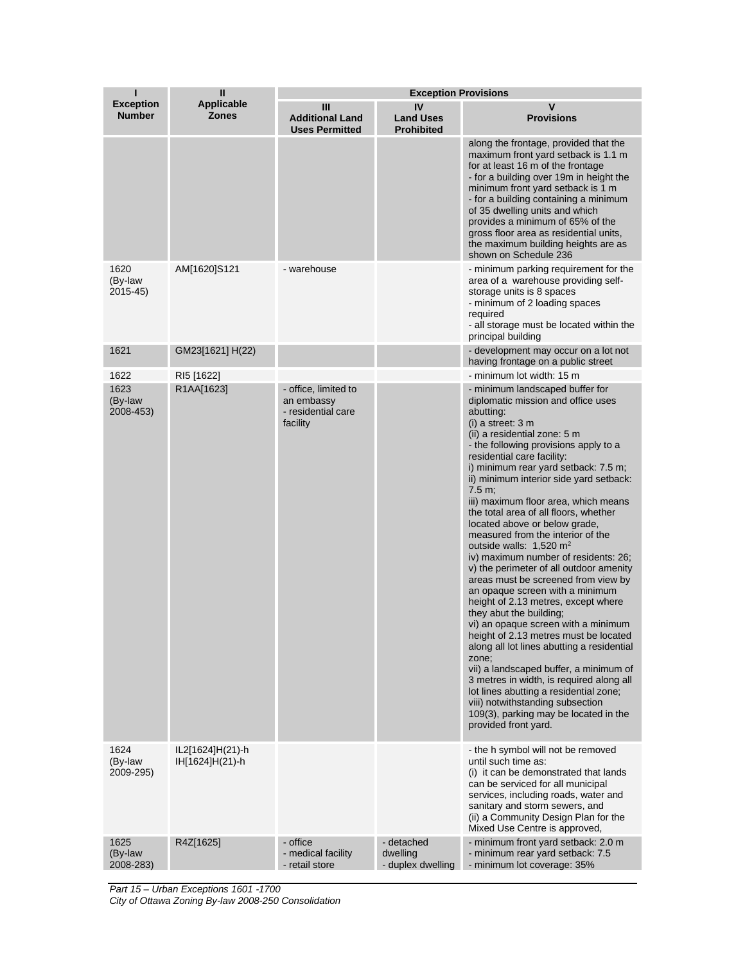| п                                 | $\mathbf{I}$                        | <b>Exception Provisions</b>                                          |                                             |                                                                                                                                                                                                                                                                                                                                                                                                                                                                                                                                                                                                                                                                                                                                                                                                                                                                                                                                                                                                                                                                                                                        |
|-----------------------------------|-------------------------------------|----------------------------------------------------------------------|---------------------------------------------|------------------------------------------------------------------------------------------------------------------------------------------------------------------------------------------------------------------------------------------------------------------------------------------------------------------------------------------------------------------------------------------------------------------------------------------------------------------------------------------------------------------------------------------------------------------------------------------------------------------------------------------------------------------------------------------------------------------------------------------------------------------------------------------------------------------------------------------------------------------------------------------------------------------------------------------------------------------------------------------------------------------------------------------------------------------------------------------------------------------------|
| <b>Exception</b><br><b>Number</b> | <b>Applicable</b><br><b>Zones</b>   | Ш<br><b>Additional Land</b><br><b>Uses Permitted</b>                 | IV<br><b>Land Uses</b><br><b>Prohibited</b> | v<br><b>Provisions</b>                                                                                                                                                                                                                                                                                                                                                                                                                                                                                                                                                                                                                                                                                                                                                                                                                                                                                                                                                                                                                                                                                                 |
|                                   |                                     |                                                                      |                                             | along the frontage, provided that the<br>maximum front yard setback is 1.1 m<br>for at least 16 m of the frontage<br>- for a building over 19m in height the<br>minimum front yard setback is 1 m<br>- for a building containing a minimum<br>of 35 dwelling units and which<br>provides a minimum of 65% of the<br>gross floor area as residential units,<br>the maximum building heights are as<br>shown on Schedule 236                                                                                                                                                                                                                                                                                                                                                                                                                                                                                                                                                                                                                                                                                             |
| 1620<br>(By-law<br>2015-45)       | AM[1620]S121                        | - warehouse                                                          |                                             | - minimum parking requirement for the<br>area of a warehouse providing self-<br>storage units is 8 spaces<br>- minimum of 2 loading spaces<br>required<br>- all storage must be located within the<br>principal building                                                                                                                                                                                                                                                                                                                                                                                                                                                                                                                                                                                                                                                                                                                                                                                                                                                                                               |
| 1621                              | GM23[1621] H(22)                    |                                                                      |                                             | - development may occur on a lot not<br>having frontage on a public street                                                                                                                                                                                                                                                                                                                                                                                                                                                                                                                                                                                                                                                                                                                                                                                                                                                                                                                                                                                                                                             |
| 1622                              | RI5 [1622]                          |                                                                      |                                             | - minimum lot width: 15 m                                                                                                                                                                                                                                                                                                                                                                                                                                                                                                                                                                                                                                                                                                                                                                                                                                                                                                                                                                                                                                                                                              |
| 1623<br>(By-law<br>2008-453)      | R1AA[1623]                          | - office, limited to<br>an embassy<br>- residential care<br>facility |                                             | - minimum landscaped buffer for<br>diplomatic mission and office uses<br>abutting:<br>$(i)$ a street: 3 m<br>(ii) a residential zone: 5 m<br>- the following provisions apply to a<br>residential care facility:<br>i) minimum rear yard setback: 7.5 m;<br>ii) minimum interior side yard setback:<br>7.5 m;<br>iii) maximum floor area, which means<br>the total area of all floors, whether<br>located above or below grade,<br>measured from the interior of the<br>outside walls: 1,520 m <sup>2</sup><br>iv) maximum number of residents: 26;<br>v) the perimeter of all outdoor amenity<br>areas must be screened from view by<br>an opaque screen with a minimum<br>height of 2.13 metres, except where<br>they abut the building;<br>vi) an opaque screen with a minimum<br>height of 2.13 metres must be located<br>along all lot lines abutting a residential<br>zone;<br>vii) a landscaped buffer, a minimum of<br>3 metres in width, is required along all<br>lot lines abutting a residential zone;<br>viii) notwithstanding subsection<br>109(3), parking may be located in the<br>provided front yard. |
| 1624<br>(By-law<br>2009-295)      | IL2[1624]H(21)-h<br>IH[1624]H(21)-h |                                                                      |                                             | - the h symbol will not be removed<br>until such time as:<br>(i) it can be demonstrated that lands<br>can be serviced for all municipal<br>services, including roads, water and<br>sanitary and storm sewers, and<br>(ii) a Community Design Plan for the<br>Mixed Use Centre is approved,                                                                                                                                                                                                                                                                                                                                                                                                                                                                                                                                                                                                                                                                                                                                                                                                                             |
| 1625<br>(By-law<br>2008-283)      | R4Z[1625]                           | - office<br>- medical facility<br>- retail store                     | - detached<br>dwelling<br>- duplex dwelling | - minimum front yard setback: 2.0 m<br>- minimum rear yard setback: 7.5<br>- minimum lot coverage: 35%                                                                                                                                                                                                                                                                                                                                                                                                                                                                                                                                                                                                                                                                                                                                                                                                                                                                                                                                                                                                                 |

*Part 15 – Urban Exceptions 1601 -1700 City of Ottawa Zoning By-law 2008-250 Consolidation*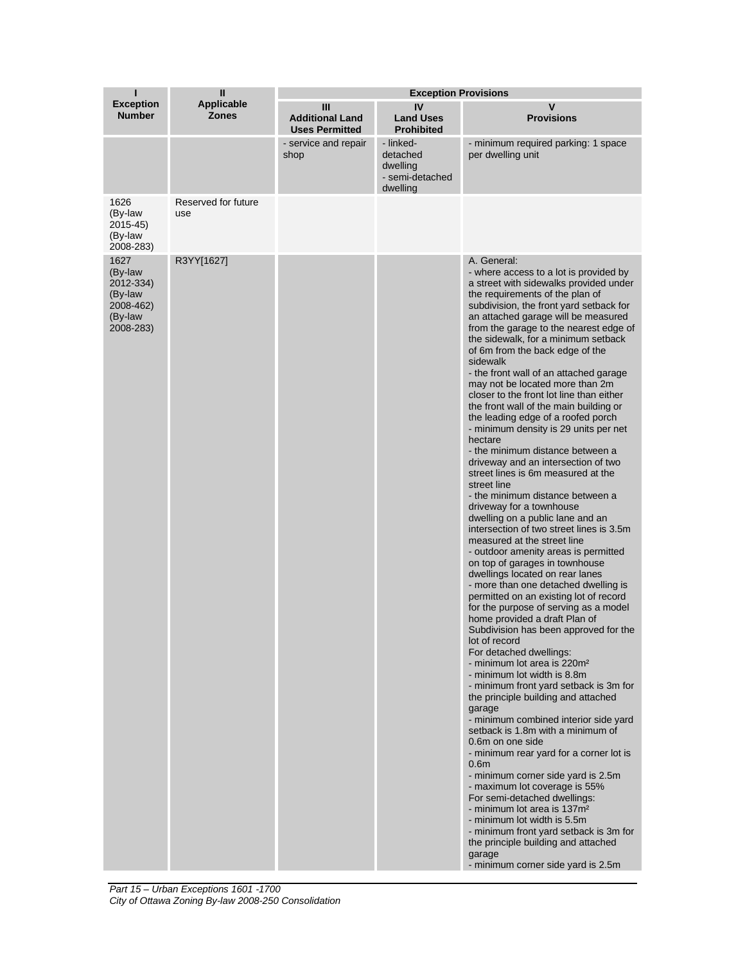| ı                                                                            | Ш                                 | <b>Exception Provisions</b>                          |                                                                  |                                                                                                                                                                                                                                                                                                                                                                                                                                                                                                                                                                                                                                                                                                                                                                                                                                                                                                                                                                                                                                                                                                                                                                                                                                                                                                                                                                                                                                                                                                                                                                                                                                                                                                                                                                                                                                                                                                                                                        |  |  |
|------------------------------------------------------------------------------|-----------------------------------|------------------------------------------------------|------------------------------------------------------------------|--------------------------------------------------------------------------------------------------------------------------------------------------------------------------------------------------------------------------------------------------------------------------------------------------------------------------------------------------------------------------------------------------------------------------------------------------------------------------------------------------------------------------------------------------------------------------------------------------------------------------------------------------------------------------------------------------------------------------------------------------------------------------------------------------------------------------------------------------------------------------------------------------------------------------------------------------------------------------------------------------------------------------------------------------------------------------------------------------------------------------------------------------------------------------------------------------------------------------------------------------------------------------------------------------------------------------------------------------------------------------------------------------------------------------------------------------------------------------------------------------------------------------------------------------------------------------------------------------------------------------------------------------------------------------------------------------------------------------------------------------------------------------------------------------------------------------------------------------------------------------------------------------------------------------------------------------------|--|--|
| <b>Exception</b><br><b>Number</b>                                            | <b>Applicable</b><br><b>Zones</b> | Ш<br><b>Additional Land</b><br><b>Uses Permitted</b> | IV<br><b>Land Uses</b><br><b>Prohibited</b>                      | $\mathsf{v}$<br><b>Provisions</b>                                                                                                                                                                                                                                                                                                                                                                                                                                                                                                                                                                                                                                                                                                                                                                                                                                                                                                                                                                                                                                                                                                                                                                                                                                                                                                                                                                                                                                                                                                                                                                                                                                                                                                                                                                                                                                                                                                                      |  |  |
|                                                                              |                                   | - service and repair<br>shop                         | - linked-<br>detached<br>dwelling<br>- semi-detached<br>dwelling | - minimum required parking: 1 space<br>per dwelling unit                                                                                                                                                                                                                                                                                                                                                                                                                                                                                                                                                                                                                                                                                                                                                                                                                                                                                                                                                                                                                                                                                                                                                                                                                                                                                                                                                                                                                                                                                                                                                                                                                                                                                                                                                                                                                                                                                               |  |  |
| 1626<br>(By-law<br>2015-45)<br>(By-law<br>2008-283)                          | Reserved for future<br>use        |                                                      |                                                                  |                                                                                                                                                                                                                                                                                                                                                                                                                                                                                                                                                                                                                                                                                                                                                                                                                                                                                                                                                                                                                                                                                                                                                                                                                                                                                                                                                                                                                                                                                                                                                                                                                                                                                                                                                                                                                                                                                                                                                        |  |  |
| 1627<br>(By-law<br>2012-334)<br>(By-law<br>2008-462)<br>(By-law<br>2008-283) | R3YY[1627]                        |                                                      |                                                                  | A. General:<br>- where access to a lot is provided by<br>a street with sidewalks provided under<br>the requirements of the plan of<br>subdivision, the front yard setback for<br>an attached garage will be measured<br>from the garage to the nearest edge of<br>the sidewalk, for a minimum setback<br>of 6m from the back edge of the<br>sidewalk<br>- the front wall of an attached garage<br>may not be located more than 2m<br>closer to the front lot line than either<br>the front wall of the main building or<br>the leading edge of a roofed porch<br>- minimum density is 29 units per net<br>hectare<br>- the minimum distance between a<br>driveway and an intersection of two<br>street lines is 6m measured at the<br>street line<br>- the minimum distance between a<br>driveway for a townhouse<br>dwelling on a public lane and an<br>intersection of two street lines is 3.5m<br>measured at the street line<br>- outdoor amenity areas is permitted<br>on top of garages in townhouse<br>dwellings located on rear lanes<br>- more than one detached dwelling is<br>permitted on an existing lot of record<br>for the purpose of serving as a model<br>home provided a draft Plan of<br>Subdivision has been approved for the<br>lot of record<br>For detached dwellings:<br>- minimum lot area is 220m <sup>2</sup><br>- minimum lot width is 8.8m<br>- minimum front yard setback is 3m for<br>the principle building and attached<br>garage<br>- minimum combined interior side yard<br>setback is 1.8m with a minimum of<br>0.6m on one side<br>- minimum rear yard for a corner lot is<br>0.6 <sub>m</sub><br>- minimum corner side yard is 2.5m<br>- maximum lot coverage is 55%<br>For semi-detached dwellings:<br>- minimum lot area is 137m <sup>2</sup><br>- minimum lot width is 5.5m<br>- minimum front yard setback is 3m for<br>the principle building and attached<br>garage<br>- minimum corner side yard is 2.5m |  |  |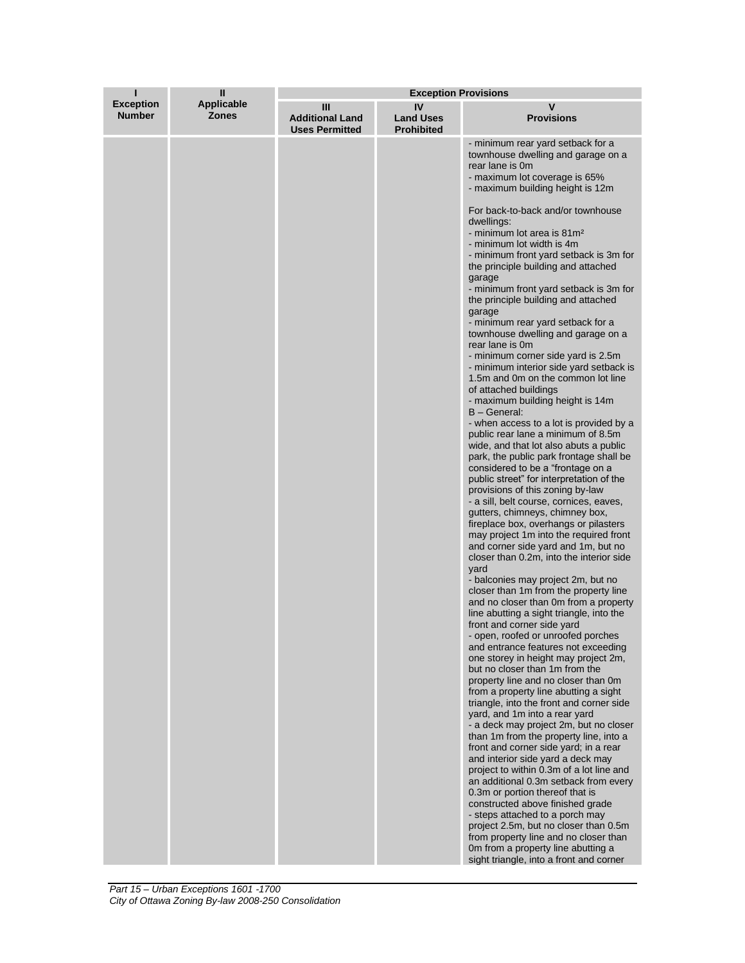| I                                 | Ш                          | <b>Exception Provisions</b>                          |                                             |                                                                                                                                                                                                                                                                                                                                                                                                                                                                                                                                                                                                                                                                                                                                                                                                                                                                                                                                                                                                                                                                                                                                                                                                                                                                                                                                                                                                                                                                                                                                                                                                                                                                                                                                                                                                                                                                                                                                                                                                                                                                                                                                                                                                                                                                                                                                                                                                    |
|-----------------------------------|----------------------------|------------------------------------------------------|---------------------------------------------|----------------------------------------------------------------------------------------------------------------------------------------------------------------------------------------------------------------------------------------------------------------------------------------------------------------------------------------------------------------------------------------------------------------------------------------------------------------------------------------------------------------------------------------------------------------------------------------------------------------------------------------------------------------------------------------------------------------------------------------------------------------------------------------------------------------------------------------------------------------------------------------------------------------------------------------------------------------------------------------------------------------------------------------------------------------------------------------------------------------------------------------------------------------------------------------------------------------------------------------------------------------------------------------------------------------------------------------------------------------------------------------------------------------------------------------------------------------------------------------------------------------------------------------------------------------------------------------------------------------------------------------------------------------------------------------------------------------------------------------------------------------------------------------------------------------------------------------------------------------------------------------------------------------------------------------------------------------------------------------------------------------------------------------------------------------------------------------------------------------------------------------------------------------------------------------------------------------------------------------------------------------------------------------------------------------------------------------------------------------------------------------------------|
| <b>Exception</b><br><b>Number</b> | <b>Applicable</b><br>Zones | Ш<br><b>Additional Land</b><br><b>Uses Permitted</b> | IV<br><b>Land Uses</b><br><b>Prohibited</b> | v<br><b>Provisions</b>                                                                                                                                                                                                                                                                                                                                                                                                                                                                                                                                                                                                                                                                                                                                                                                                                                                                                                                                                                                                                                                                                                                                                                                                                                                                                                                                                                                                                                                                                                                                                                                                                                                                                                                                                                                                                                                                                                                                                                                                                                                                                                                                                                                                                                                                                                                                                                             |
|                                   |                            |                                                      |                                             | - minimum rear yard setback for a<br>townhouse dwelling and garage on a<br>rear lane is 0m<br>- maximum lot coverage is 65%<br>- maximum building height is 12m<br>For back-to-back and/or townhouse<br>dwellings:<br>- minimum lot area is 81m <sup>2</sup><br>- minimum lot width is 4m<br>- minimum front yard setback is 3m for<br>the principle building and attached<br>garage<br>- minimum front yard setback is 3m for<br>the principle building and attached<br>garage<br>- minimum rear yard setback for a<br>townhouse dwelling and garage on a<br>rear lane is 0m<br>- minimum corner side yard is 2.5m<br>- minimum interior side yard setback is<br>1.5m and 0m on the common lot line<br>of attached buildings<br>- maximum building height is 14m<br>B - General:<br>- when access to a lot is provided by a<br>public rear lane a minimum of 8.5m<br>wide, and that lot also abuts a public<br>park, the public park frontage shall be<br>considered to be a "frontage on a<br>public street" for interpretation of the<br>provisions of this zoning by-law<br>- a sill, belt course, cornices, eaves,<br>gutters, chimneys, chimney box,<br>fireplace box, overhangs or pilasters<br>may project 1m into the required front<br>and corner side yard and 1m, but no<br>closer than 0.2m, into the interior side<br>yard<br>- balconies may project 2m, but no<br>closer than 1m from the property line<br>and no closer than 0m from a property<br>line abutting a sight triangle, into the<br>front and corner side yard<br>- open, roofed or unroofed porches<br>and entrance features not exceeding<br>one storey in height may project 2m,<br>but no closer than 1m from the<br>property line and no closer than 0m<br>from a property line abutting a sight<br>triangle, into the front and corner side<br>yard, and 1m into a rear yard<br>- a deck may project 2m, but no closer<br>than 1m from the property line, into a<br>front and corner side yard; in a rear<br>and interior side yard a deck may<br>project to within 0.3m of a lot line and<br>an additional 0.3m setback from every<br>0.3m or portion thereof that is<br>constructed above finished grade<br>- steps attached to a porch may<br>project 2.5m, but no closer than 0.5m<br>from property line and no closer than<br>Om from a property line abutting a<br>sight triangle, into a front and corner |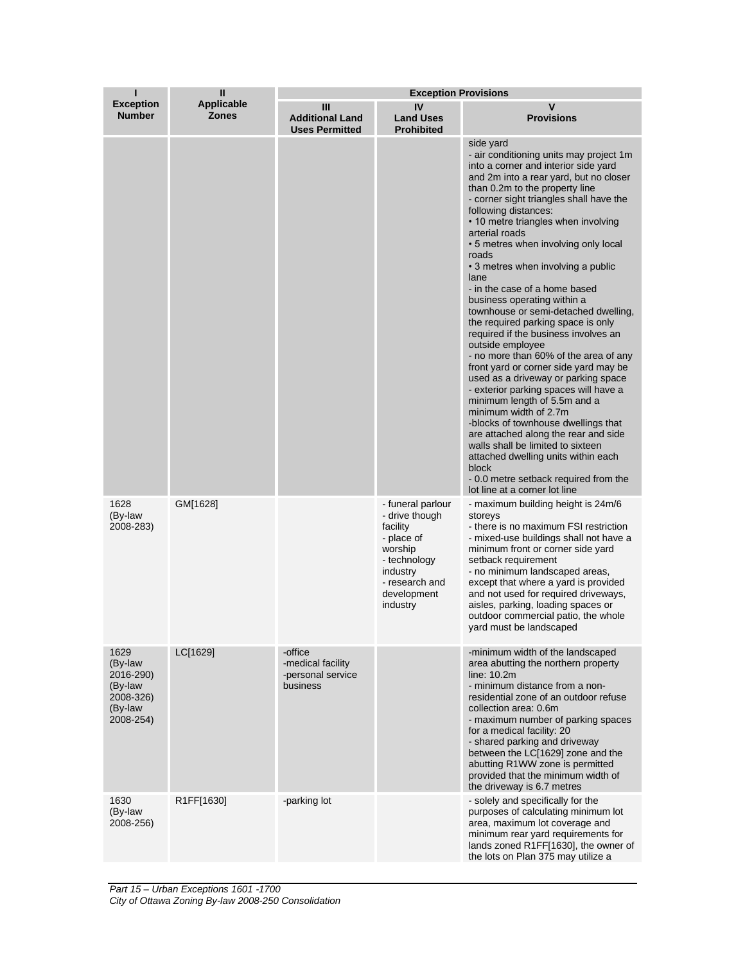| ı                                                                            | $\mathbf{u}$                      | <b>Exception Provisions</b>                                   |                                                                                                                                                   |                                                                                                                                                                                                                                                                                                                                                                                                                                                                                                                                                                                                                                                                                                                                                                                                                                                                                                                                                                                                                                                                                        |  |
|------------------------------------------------------------------------------|-----------------------------------|---------------------------------------------------------------|---------------------------------------------------------------------------------------------------------------------------------------------------|----------------------------------------------------------------------------------------------------------------------------------------------------------------------------------------------------------------------------------------------------------------------------------------------------------------------------------------------------------------------------------------------------------------------------------------------------------------------------------------------------------------------------------------------------------------------------------------------------------------------------------------------------------------------------------------------------------------------------------------------------------------------------------------------------------------------------------------------------------------------------------------------------------------------------------------------------------------------------------------------------------------------------------------------------------------------------------------|--|
| <b>Exception</b><br><b>Number</b>                                            | <b>Applicable</b><br><b>Zones</b> | Ш<br><b>Additional Land</b><br><b>Uses Permitted</b>          | IV<br><b>Land Uses</b><br><b>Prohibited</b>                                                                                                       | v<br><b>Provisions</b>                                                                                                                                                                                                                                                                                                                                                                                                                                                                                                                                                                                                                                                                                                                                                                                                                                                                                                                                                                                                                                                                 |  |
|                                                                              |                                   |                                                               |                                                                                                                                                   | side yard<br>- air conditioning units may project 1m<br>into a corner and interior side yard<br>and 2m into a rear yard, but no closer<br>than 0.2m to the property line<br>- corner sight triangles shall have the<br>following distances:<br>• 10 metre triangles when involving<br>arterial roads<br>• 5 metres when involving only local<br>roads<br>• 3 metres when involving a public<br>lane<br>- in the case of a home based<br>business operating within a<br>townhouse or semi-detached dwelling,<br>the required parking space is only<br>required if the business involves an<br>outside employee<br>- no more than 60% of the area of any<br>front yard or corner side yard may be<br>used as a driveway or parking space<br>- exterior parking spaces will have a<br>minimum length of 5.5m and a<br>minimum width of 2.7m<br>-blocks of townhouse dwellings that<br>are attached along the rear and side<br>walls shall be limited to sixteen<br>attached dwelling units within each<br>block<br>- 0.0 metre setback required from the<br>lot line at a corner lot line |  |
| 1628<br>(By-law<br>2008-283)                                                 | GM[1628]                          |                                                               | - funeral parlour<br>- drive though<br>facility<br>- place of<br>worship<br>- technology<br>industry<br>- research and<br>development<br>industry | - maximum building height is 24m/6<br>storeys<br>- there is no maximum FSI restriction<br>- mixed-use buildings shall not have a<br>minimum front or corner side yard<br>setback requirement<br>- no minimum landscaped areas,<br>except that where a yard is provided<br>and not used for required driveways,<br>aisles, parking, loading spaces or<br>outdoor commercial patio, the whole<br>yard must be landscaped                                                                                                                                                                                                                                                                                                                                                                                                                                                                                                                                                                                                                                                                 |  |
| 1629<br>(By-law<br>2016-290)<br>(By-law<br>2008-326)<br>(By-law<br>2008-254) | LC[1629]                          | -office<br>-medical facility<br>-personal service<br>business |                                                                                                                                                   | -minimum width of the landscaped<br>area abutting the northern property<br>line: $10.2m$<br>- minimum distance from a non-<br>residential zone of an outdoor refuse<br>collection area: 0.6m<br>- maximum number of parking spaces<br>for a medical facility: 20<br>- shared parking and driveway<br>between the LC[1629] zone and the<br>abutting R1WW zone is permitted<br>provided that the minimum width of<br>the driveway is 6.7 metres                                                                                                                                                                                                                                                                                                                                                                                                                                                                                                                                                                                                                                          |  |
| 1630<br>(By-law<br>2008-256)                                                 | R1FF[1630]                        | -parking lot                                                  |                                                                                                                                                   | - solely and specifically for the<br>purposes of calculating minimum lot<br>area, maximum lot coverage and<br>minimum rear yard requirements for<br>lands zoned R1FF[1630], the owner of<br>the lots on Plan 375 may utilize a                                                                                                                                                                                                                                                                                                                                                                                                                                                                                                                                                                                                                                                                                                                                                                                                                                                         |  |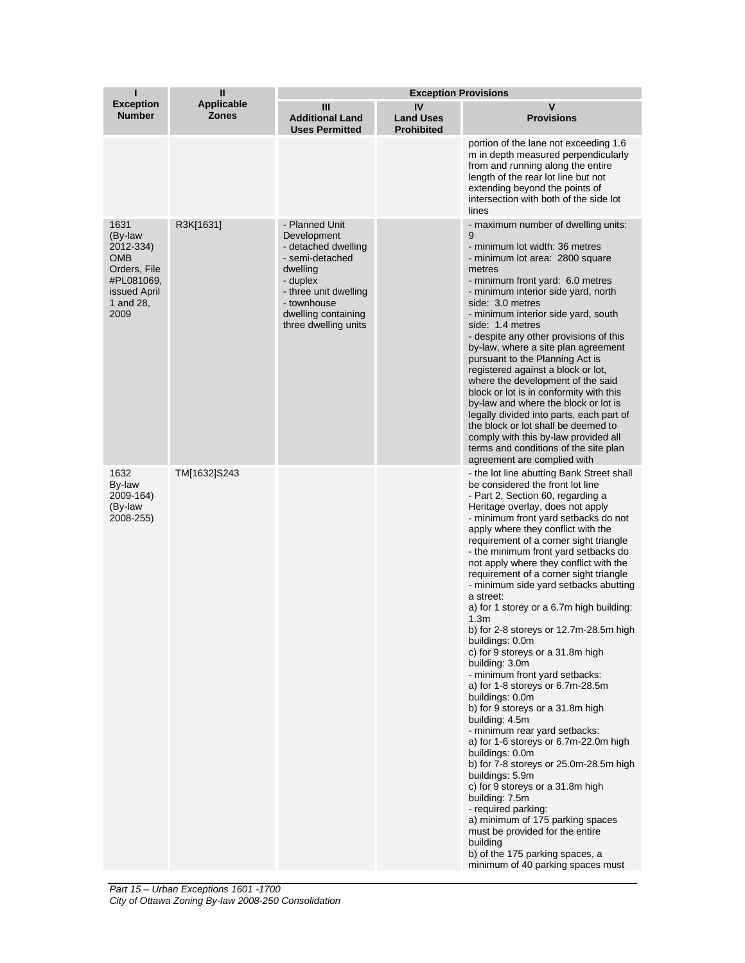| ı                                                                                                             | $\mathbf{I}$                      | <b>Exception Provisions</b>                                                                                                                                                            |                                             |                                                                                                                                                                                                                                                                                                                                                                                                                                                                                                                                                                                                                                                                                                                                                                                                                                                                                                                                                                                                                                                                                                                                                                                                      |  |
|---------------------------------------------------------------------------------------------------------------|-----------------------------------|----------------------------------------------------------------------------------------------------------------------------------------------------------------------------------------|---------------------------------------------|------------------------------------------------------------------------------------------------------------------------------------------------------------------------------------------------------------------------------------------------------------------------------------------------------------------------------------------------------------------------------------------------------------------------------------------------------------------------------------------------------------------------------------------------------------------------------------------------------------------------------------------------------------------------------------------------------------------------------------------------------------------------------------------------------------------------------------------------------------------------------------------------------------------------------------------------------------------------------------------------------------------------------------------------------------------------------------------------------------------------------------------------------------------------------------------------------|--|
| <b>Exception</b><br><b>Number</b>                                                                             | <b>Applicable</b><br><b>Zones</b> | Ш<br><b>Additional Land</b><br><b>Uses Permitted</b>                                                                                                                                   | IV<br><b>Land Uses</b><br><b>Prohibited</b> | $\mathsf{v}$<br><b>Provisions</b>                                                                                                                                                                                                                                                                                                                                                                                                                                                                                                                                                                                                                                                                                                                                                                                                                                                                                                                                                                                                                                                                                                                                                                    |  |
|                                                                                                               |                                   |                                                                                                                                                                                        |                                             | portion of the lane not exceeding 1.6<br>m in depth measured perpendicularly<br>from and running along the entire<br>length of the rear lot line but not<br>extending beyond the points of<br>intersection with both of the side lot<br>lines                                                                                                                                                                                                                                                                                                                                                                                                                                                                                                                                                                                                                                                                                                                                                                                                                                                                                                                                                        |  |
| 1631<br>(By-law<br>2012-334)<br><b>OMB</b><br>Orders, File<br>#PL081069,<br>issued April<br>1 and 28,<br>2009 | R3K[1631]                         | - Planned Unit<br>Development<br>- detached dwelling<br>- semi-detached<br>dwelling<br>- duplex<br>- three unit dwelling<br>- townhouse<br>dwelling containing<br>three dwelling units |                                             | - maximum number of dwelling units:<br>9<br>- minimum lot width: 36 metres<br>- minimum lot area: 2800 square<br>metres<br>- minimum front yard: 6.0 metres<br>- minimum interior side yard, north<br>side: 3.0 metres<br>- minimum interior side yard, south<br>side: 1.4 metres<br>- despite any other provisions of this<br>by-law, where a site plan agreement<br>pursuant to the Planning Act is<br>registered against a block or lot,<br>where the development of the said<br>block or lot is in conformity with this<br>by-law and where the block or lot is<br>legally divided into parts, each part of<br>the block or lot shall be deemed to<br>comply with this by-law provided all<br>terms and conditions of the site plan<br>agreement are complied with                                                                                                                                                                                                                                                                                                                                                                                                                               |  |
| 1632<br>By-law<br>2009-164)<br>(By-law<br>2008-255)                                                           | TM[1632]S243                      |                                                                                                                                                                                        |                                             | - the lot line abutting Bank Street shall<br>be considered the front lot line<br>- Part 2, Section 60, regarding a<br>Heritage overlay, does not apply<br>- minimum front yard setbacks do not<br>apply where they conflict with the<br>requirement of a corner sight triangle<br>- the minimum front yard setbacks do<br>not apply where they conflict with the<br>requirement of a corner sight triangle<br>- minimum side yard setbacks abutting<br>a street:<br>a) for 1 storey or a 6.7m high building:<br>1.3 <sub>m</sub><br>b) for 2-8 storeys or 12.7m-28.5m high<br>buildings: 0.0m<br>c) for 9 storeys or a 31.8m high<br>building: 3.0m<br>- minimum front yard setbacks:<br>a) for 1-8 storeys or 6.7m-28.5m<br>buildings: 0.0m<br>b) for 9 storeys or a 31.8m high<br>building: 4.5m<br>- minimum rear yard setbacks:<br>a) for 1-6 storeys or 6.7m-22.0m high<br>buildings: 0.0m<br>b) for 7-8 storeys or 25.0m-28.5m high<br>buildings: 5.9m<br>c) for 9 storeys or a 31.8m high<br>building: 7.5m<br>- required parking:<br>a) minimum of 175 parking spaces<br>must be provided for the entire<br>building<br>b) of the 175 parking spaces, a<br>minimum of 40 parking spaces must |  |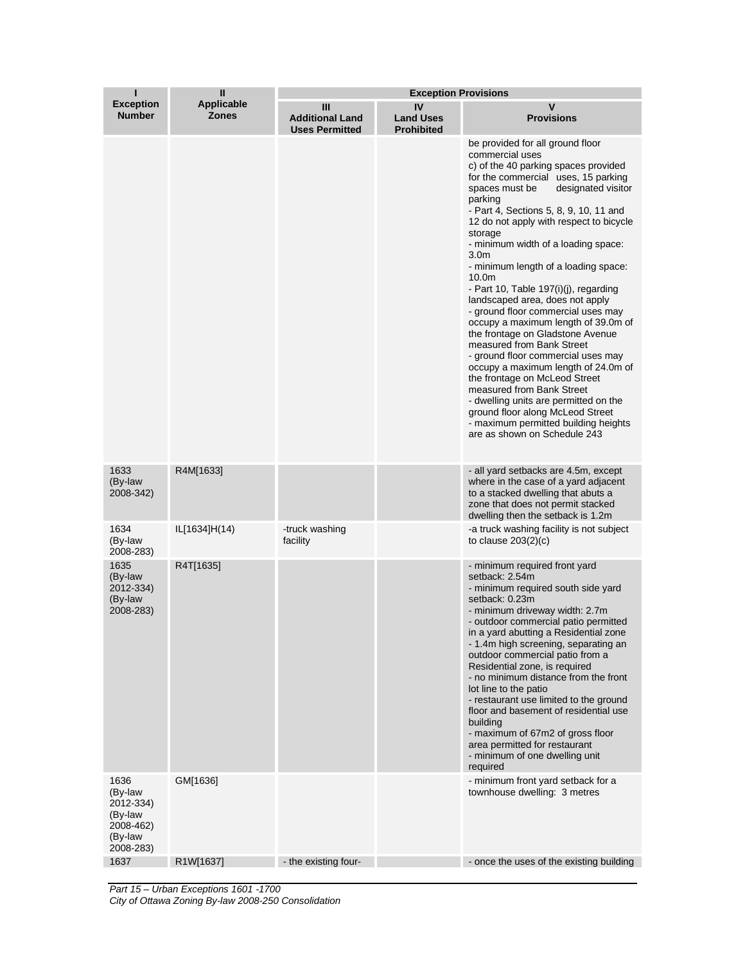| ı                                                                            | Ш                                 | <b>Exception Provisions</b>                          |                                             |                                                                                                                                                                                                                                                                                                                                                                                                                                                                                                                                                                                                                                                                                                                                                                                                                                                                                                                             |  |
|------------------------------------------------------------------------------|-----------------------------------|------------------------------------------------------|---------------------------------------------|-----------------------------------------------------------------------------------------------------------------------------------------------------------------------------------------------------------------------------------------------------------------------------------------------------------------------------------------------------------------------------------------------------------------------------------------------------------------------------------------------------------------------------------------------------------------------------------------------------------------------------------------------------------------------------------------------------------------------------------------------------------------------------------------------------------------------------------------------------------------------------------------------------------------------------|--|
| <b>Exception</b><br><b>Number</b>                                            | <b>Applicable</b><br><b>Zones</b> | Ш<br><b>Additional Land</b><br><b>Uses Permitted</b> | IV<br><b>Land Uses</b><br><b>Prohibited</b> | V<br><b>Provisions</b>                                                                                                                                                                                                                                                                                                                                                                                                                                                                                                                                                                                                                                                                                                                                                                                                                                                                                                      |  |
|                                                                              |                                   |                                                      |                                             | be provided for all ground floor<br>commercial uses<br>c) of the 40 parking spaces provided<br>for the commercial uses, 15 parking<br>spaces must be<br>designated visitor<br>parking<br>- Part 4, Sections 5, 8, 9, 10, 11 and<br>12 do not apply with respect to bicycle<br>storage<br>- minimum width of a loading space:<br>3.0 <sub>m</sub><br>- minimum length of a loading space:<br>10.0m<br>- Part 10, Table 197(i)(j), regarding<br>landscaped area, does not apply<br>- ground floor commercial uses may<br>occupy a maximum length of 39.0m of<br>the frontage on Gladstone Avenue<br>measured from Bank Street<br>- ground floor commercial uses may<br>occupy a maximum length of 24.0m of<br>the frontage on McLeod Street<br>measured from Bank Street<br>- dwelling units are permitted on the<br>ground floor along McLeod Street<br>- maximum permitted building heights<br>are as shown on Schedule 243 |  |
| 1633<br>(By-law<br>2008-342)                                                 | R4M[1633]                         |                                                      |                                             | - all yard setbacks are 4.5m, except<br>where in the case of a yard adjacent<br>to a stacked dwelling that abuts a<br>zone that does not permit stacked<br>dwelling then the setback is 1.2m                                                                                                                                                                                                                                                                                                                                                                                                                                                                                                                                                                                                                                                                                                                                |  |
| 1634<br>(By-law<br>2008-283)                                                 | IL[1634]H(14)                     | -truck washing<br>facility                           |                                             | -a truck washing facility is not subject<br>to clause $203(2)(c)$                                                                                                                                                                                                                                                                                                                                                                                                                                                                                                                                                                                                                                                                                                                                                                                                                                                           |  |
| 1635<br>(By-law<br>2012-334)<br>(By-law<br>2008-283)                         | R4T[1635]                         |                                                      |                                             | - minimum required front yard<br>setback: 2.54m<br>- minimum required south side yard<br>setback: 0.23m<br>- minimum driveway width: 2.7m<br>- outdoor commercial patio permitted<br>in a yard abutting a Residential zone<br>- 1.4m high screening, separating an<br>outdoor commercial patio from a<br>Residential zone, is required<br>- no minimum distance from the front<br>lot line to the patio<br>- restaurant use limited to the ground<br>floor and basement of residential use<br>building<br>- maximum of 67m2 of gross floor<br>area permitted for restaurant<br>- minimum of one dwelling unit<br>required                                                                                                                                                                                                                                                                                                   |  |
| 1636<br>(By-law<br>2012-334)<br>(By-law<br>2008-462)<br>(By-law<br>2008-283) | GM[1636]                          |                                                      |                                             | - minimum front yard setback for a<br>townhouse dwelling: 3 metres                                                                                                                                                                                                                                                                                                                                                                                                                                                                                                                                                                                                                                                                                                                                                                                                                                                          |  |
| 1637                                                                         | R1W[1637]                         | - the existing four-                                 |                                             | - once the uses of the existing building                                                                                                                                                                                                                                                                                                                                                                                                                                                                                                                                                                                                                                                                                                                                                                                                                                                                                    |  |

*Part 15 – Urban Exceptions 1601 -1700 City of Ottawa Zoning By-law 2008-250 Consolidation*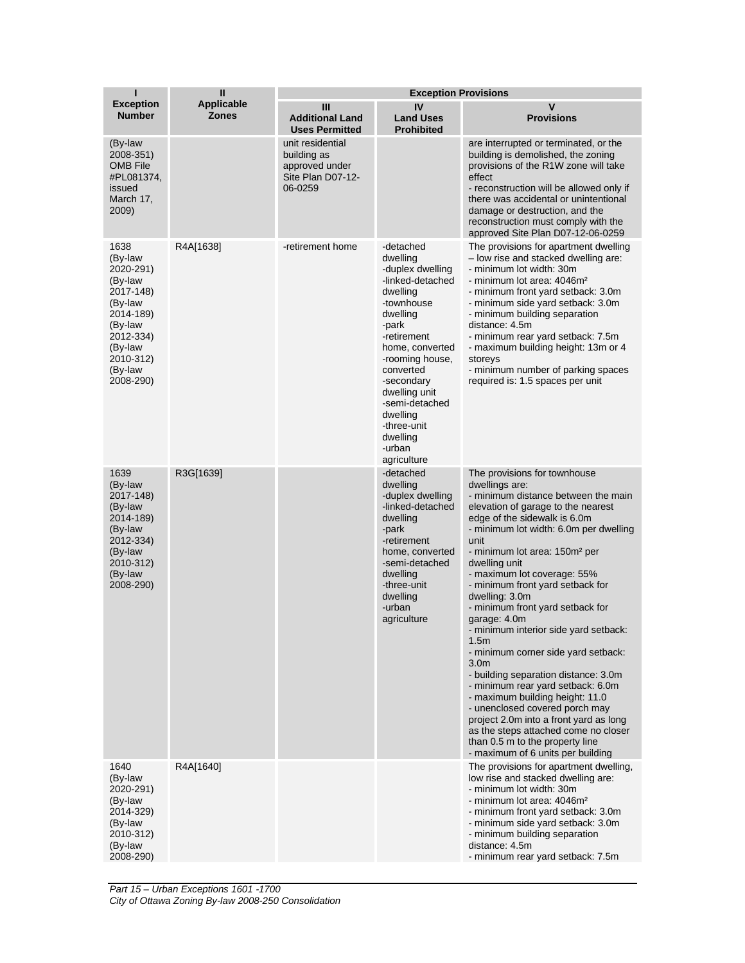| ī                                                                                                                                                    | $\mathbf{I}$                      | <b>Exception Provisions</b>                                                       |                                                                                                                                                                                                                                                                                                 |                                                                                                                                                                                                                                                                                                                                                                                                                                                                                                                                                                                                                                                                                                                                                                                                                                                          |  |
|------------------------------------------------------------------------------------------------------------------------------------------------------|-----------------------------------|-----------------------------------------------------------------------------------|-------------------------------------------------------------------------------------------------------------------------------------------------------------------------------------------------------------------------------------------------------------------------------------------------|----------------------------------------------------------------------------------------------------------------------------------------------------------------------------------------------------------------------------------------------------------------------------------------------------------------------------------------------------------------------------------------------------------------------------------------------------------------------------------------------------------------------------------------------------------------------------------------------------------------------------------------------------------------------------------------------------------------------------------------------------------------------------------------------------------------------------------------------------------|--|
| <b>Exception</b><br><b>Number</b>                                                                                                                    | <b>Applicable</b><br><b>Zones</b> | Ш<br><b>Additional Land</b><br><b>Uses Permitted</b>                              | IV<br><b>Land Uses</b><br><b>Prohibited</b>                                                                                                                                                                                                                                                     | V<br><b>Provisions</b>                                                                                                                                                                                                                                                                                                                                                                                                                                                                                                                                                                                                                                                                                                                                                                                                                                   |  |
| (By-law<br>2008-351)<br>OMB File<br>#PL081374,<br>issued<br>March 17,<br>2009)                                                                       |                                   | unit residential<br>building as<br>approved under<br>Site Plan D07-12-<br>06-0259 |                                                                                                                                                                                                                                                                                                 | are interrupted or terminated, or the<br>building is demolished, the zoning<br>provisions of the R1W zone will take<br>effect<br>- reconstruction will be allowed only if<br>there was accidental or unintentional<br>damage or destruction, and the<br>reconstruction must comply with the<br>approved Site Plan D07-12-06-0259                                                                                                                                                                                                                                                                                                                                                                                                                                                                                                                         |  |
| 1638<br>(By-law<br>2020-291)<br>(By-law<br>2017-148)<br>(By-law<br>2014-189)<br>(By-law<br>2012-334)<br>(By-law<br>2010-312)<br>(By-law<br>2008-290) | R4A[1638]                         | -retirement home                                                                  | -detached<br>dwelling<br>-duplex dwelling<br>-linked-detached<br>dwelling<br>-townhouse<br>dwelling<br>-park<br>-retirement<br>home, converted<br>-rooming house,<br>converted<br>-secondary<br>dwelling unit<br>-semi-detached<br>dwelling<br>-three-unit<br>dwelling<br>-urban<br>agriculture | The provisions for apartment dwelling<br>- low rise and stacked dwelling are:<br>- minimum lot width: 30m<br>- minimum lot area: 4046m <sup>2</sup><br>- minimum front yard setback: 3.0m<br>- minimum side yard setback: 3.0m<br>- minimum building separation<br>distance: 4.5m<br>- minimum rear yard setback: 7.5m<br>- maximum building height: 13m or 4<br>storeys<br>- minimum number of parking spaces<br>required is: 1.5 spaces per unit                                                                                                                                                                                                                                                                                                                                                                                                       |  |
| 1639<br>(By-law<br>2017-148)<br>(By-law<br>2014-189)<br>(By-law<br>2012-334)<br>(By-law<br>2010-312)<br>(By-law<br>2008-290)                         | R3G[1639]                         |                                                                                   | -detached<br>dwelling<br>-duplex dwelling<br>-linked-detached<br>dwelling<br>-park<br>-retirement<br>home, converted<br>-semi-detached<br>dwelling<br>-three-unit<br>dwelling<br>-urban<br>agriculture                                                                                          | The provisions for townhouse<br>dwellings are:<br>- minimum distance between the main<br>elevation of garage to the nearest<br>edge of the sidewalk is 6.0m<br>- minimum lot width: 6.0m per dwelling<br>unit<br>- minimum lot area: 150m <sup>2</sup> per<br>dwelling unit<br>- maximum lot coverage: 55%<br>- minimum front yard setback for<br>dwelling: 3.0m<br>- minimum front yard setback for<br>garage: 4.0m<br>- minimum interior side yard setback:<br>1.5 <sub>m</sub><br>- minimum corner side yard setback:<br>3.0 <sub>m</sub><br>- building separation distance: 3.0m<br>- minimum rear yard setback: 6.0m<br>- maximum building height: 11.0<br>- unenclosed covered porch may<br>project 2.0m into a front yard as long<br>as the steps attached come no closer<br>than 0.5 m to the property line<br>- maximum of 6 units per building |  |
| 1640<br>(By-law<br>2020-291)<br>(By-law<br>2014-329)<br>(By-law<br>2010-312)<br>(By-law<br>2008-290)                                                 | R4A[1640]                         |                                                                                   |                                                                                                                                                                                                                                                                                                 | The provisions for apartment dwelling,<br>low rise and stacked dwelling are:<br>- minimum lot width: 30m<br>- minimum lot area: 4046m <sup>2</sup><br>- minimum front yard setback: 3.0m<br>- minimum side yard setback: 3.0m<br>- minimum building separation<br>distance: 4.5m<br>- minimum rear yard setback: 7.5m                                                                                                                                                                                                                                                                                                                                                                                                                                                                                                                                    |  |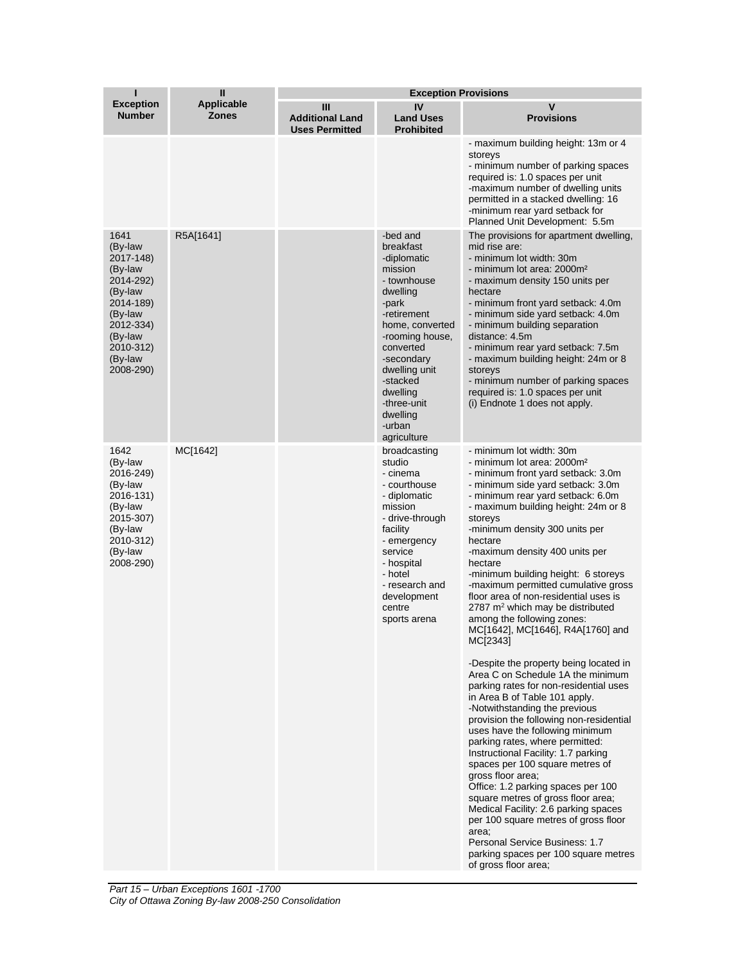| ı                                                                                                                                                    | Ш                                 | <b>Exception Provisions</b>                          |                                                                                                                                                                                                                                                                  |                                                                                                                                                                                                                                                                                                                                                                                                                                                                                                                                                                                                                                                                                                                                                                                                                                                                                                                                                                                                                                                                                                                                                                                                                                                                        |  |
|------------------------------------------------------------------------------------------------------------------------------------------------------|-----------------------------------|------------------------------------------------------|------------------------------------------------------------------------------------------------------------------------------------------------------------------------------------------------------------------------------------------------------------------|------------------------------------------------------------------------------------------------------------------------------------------------------------------------------------------------------------------------------------------------------------------------------------------------------------------------------------------------------------------------------------------------------------------------------------------------------------------------------------------------------------------------------------------------------------------------------------------------------------------------------------------------------------------------------------------------------------------------------------------------------------------------------------------------------------------------------------------------------------------------------------------------------------------------------------------------------------------------------------------------------------------------------------------------------------------------------------------------------------------------------------------------------------------------------------------------------------------------------------------------------------------------|--|
| <b>Exception</b><br><b>Number</b>                                                                                                                    | <b>Applicable</b><br><b>Zones</b> | Ш<br><b>Additional Land</b><br><b>Uses Permitted</b> | IV<br><b>Land Uses</b><br><b>Prohibited</b>                                                                                                                                                                                                                      | V<br><b>Provisions</b>                                                                                                                                                                                                                                                                                                                                                                                                                                                                                                                                                                                                                                                                                                                                                                                                                                                                                                                                                                                                                                                                                                                                                                                                                                                 |  |
|                                                                                                                                                      |                                   |                                                      |                                                                                                                                                                                                                                                                  | - maximum building height: 13m or 4<br>storeys<br>- minimum number of parking spaces<br>required is: 1.0 spaces per unit<br>-maximum number of dwelling units<br>permitted in a stacked dwelling: 16<br>-minimum rear yard setback for<br>Planned Unit Development: 5.5m                                                                                                                                                                                                                                                                                                                                                                                                                                                                                                                                                                                                                                                                                                                                                                                                                                                                                                                                                                                               |  |
| 1641<br>(By-law<br>2017-148)<br>(By-law<br>2014-292)<br>(By-law<br>2014-189)<br>(By-law<br>2012-334)<br>(By-law<br>2010-312)<br>(By-law<br>2008-290) | R5A[1641]                         |                                                      | -bed and<br>breakfast<br>-diplomatic<br>mission<br>- townhouse<br>dwelling<br>-park<br>-retirement<br>home, converted<br>-rooming house,<br>converted<br>-secondary<br>dwelling unit<br>-stacked<br>dwelling<br>-three-unit<br>dwelling<br>-urban<br>agriculture | The provisions for apartment dwelling,<br>mid rise are:<br>- minimum lot width: 30m<br>- minimum lot area: 2000m <sup>2</sup><br>- maximum density 150 units per<br>hectare<br>- minimum front yard setback: 4.0m<br>- minimum side yard setback: 4.0m<br>- minimum building separation<br>distance: 4.5m<br>- minimum rear yard setback: 7.5m<br>- maximum building height: 24m or 8<br>storeys<br>- minimum number of parking spaces<br>required is: 1.0 spaces per unit<br>(i) Endnote 1 does not apply.                                                                                                                                                                                                                                                                                                                                                                                                                                                                                                                                                                                                                                                                                                                                                            |  |
| 1642<br>(By-law<br>2016-249)<br>(By-law<br>2016-131)<br>(By-law<br>2015-307)<br>(By-law<br>2010-312)<br>(By-law<br>2008-290)                         | MC[1642]                          |                                                      | broadcasting<br>studio<br>- cinema<br>- courthouse<br>- diplomatic<br>mission<br>- drive-through<br>facility<br>- emergency<br>service<br>- hospital<br>- hotel<br>- research and<br>development<br>centre<br>sports arena                                       | - minimum lot width: 30m<br>- minimum lot area: 2000m <sup>2</sup><br>- minimum front yard setback: 3.0m<br>- minimum side yard setback: 3.0m<br>- minimum rear yard setback: 6.0m<br>- maximum building height: 24m or 8<br>storeys<br>-minimum density 300 units per<br>hectare<br>-maximum density 400 units per<br>hectare<br>-minimum building height: 6 storeys<br>-maximum permitted cumulative gross<br>floor area of non-residential uses is<br>2787 m <sup>2</sup> which may be distributed<br>among the following zones:<br>MC[1642], MC[1646], R4A[1760] and<br>MC[2343]<br>-Despite the property being located in<br>Area C on Schedule 1A the minimum<br>parking rates for non-residential uses<br>in Area B of Table 101 apply.<br>-Notwithstanding the previous<br>provision the following non-residential<br>uses have the following minimum<br>parking rates, where permitted:<br>Instructional Facility: 1.7 parking<br>spaces per 100 square metres of<br>gross floor area;<br>Office: 1.2 parking spaces per 100<br>square metres of gross floor area;<br>Medical Facility: 2.6 parking spaces<br>per 100 square metres of gross floor<br>area;<br>Personal Service Business: 1.7<br>parking spaces per 100 square metres<br>of gross floor area; |  |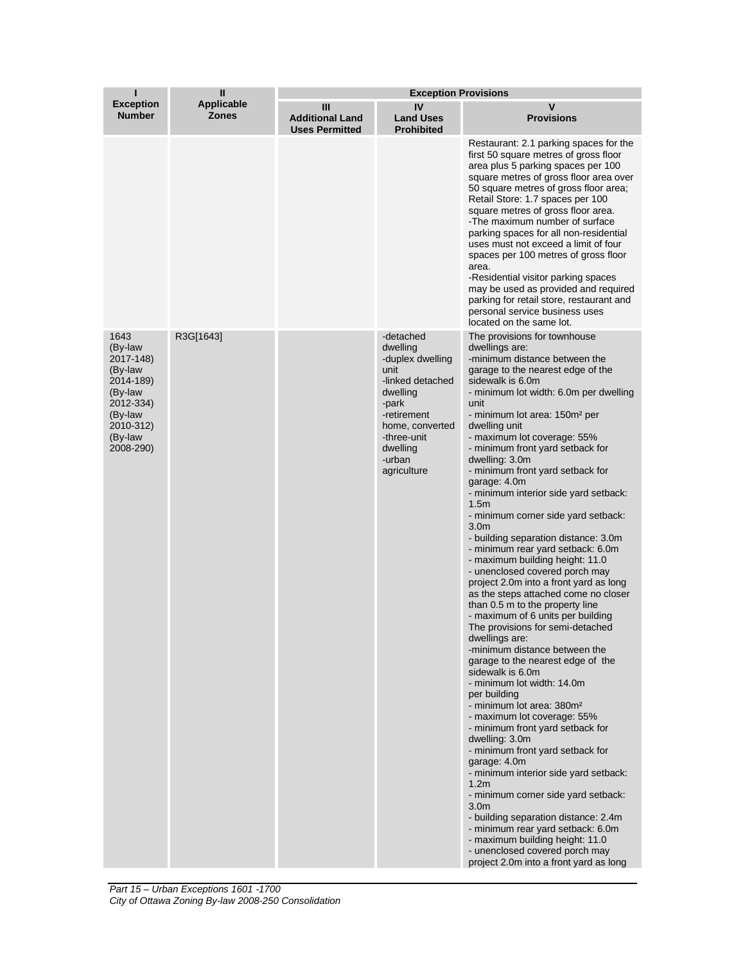| ı                                                                                                                            | Ш                          | <b>Exception Provisions</b>                          |                                                                                                                                                                                  |                                                                                                                                                                                                                                                                                                                                                                                                                                                                                                                                                                                                                                                                                                                                                                                                                                                                                                                                                                                                                                                                                                                                                                                                                                                                                                                                                                                                                                                                                                                                           |  |
|------------------------------------------------------------------------------------------------------------------------------|----------------------------|------------------------------------------------------|----------------------------------------------------------------------------------------------------------------------------------------------------------------------------------|-------------------------------------------------------------------------------------------------------------------------------------------------------------------------------------------------------------------------------------------------------------------------------------------------------------------------------------------------------------------------------------------------------------------------------------------------------------------------------------------------------------------------------------------------------------------------------------------------------------------------------------------------------------------------------------------------------------------------------------------------------------------------------------------------------------------------------------------------------------------------------------------------------------------------------------------------------------------------------------------------------------------------------------------------------------------------------------------------------------------------------------------------------------------------------------------------------------------------------------------------------------------------------------------------------------------------------------------------------------------------------------------------------------------------------------------------------------------------------------------------------------------------------------------|--|
| <b>Exception</b><br><b>Number</b>                                                                                            | Applicable<br><b>Zones</b> | Ш<br><b>Additional Land</b><br><b>Uses Permitted</b> | IV<br><b>Land Uses</b><br><b>Prohibited</b>                                                                                                                                      | v<br><b>Provisions</b>                                                                                                                                                                                                                                                                                                                                                                                                                                                                                                                                                                                                                                                                                                                                                                                                                                                                                                                                                                                                                                                                                                                                                                                                                                                                                                                                                                                                                                                                                                                    |  |
|                                                                                                                              |                            |                                                      |                                                                                                                                                                                  | Restaurant: 2.1 parking spaces for the<br>first 50 square metres of gross floor<br>area plus 5 parking spaces per 100<br>square metres of gross floor area over<br>50 square metres of gross floor area;<br>Retail Store: 1.7 spaces per 100<br>square metres of gross floor area.<br>-The maximum number of surface<br>parking spaces for all non-residential<br>uses must not exceed a limit of four<br>spaces per 100 metres of gross floor<br>area.<br>-Residential visitor parking spaces<br>may be used as provided and required<br>parking for retail store, restaurant and<br>personal service business uses<br>located on the same lot.                                                                                                                                                                                                                                                                                                                                                                                                                                                                                                                                                                                                                                                                                                                                                                                                                                                                                          |  |
| 1643<br>(By-law<br>2017-148)<br>(By-law<br>2014-189)<br>(By-law<br>2012-334)<br>(By-law<br>2010-312)<br>(By-law<br>2008-290) | R3G[1643]                  |                                                      | -detached<br>dwelling<br>-duplex dwelling<br>unit<br>-linked detached<br>dwelling<br>-park<br>-retirement<br>home, converted<br>-three-unit<br>dwelling<br>-urban<br>agriculture | The provisions for townhouse<br>dwellings are:<br>-minimum distance between the<br>garage to the nearest edge of the<br>sidewalk is 6.0m<br>- minimum lot width: 6.0m per dwelling<br>unit<br>- minimum lot area: 150m <sup>2</sup> per<br>dwelling unit<br>- maximum lot coverage: 55%<br>- minimum front yard setback for<br>dwelling: 3.0m<br>- minimum front yard setback for<br>garage: 4.0m<br>- minimum interior side yard setback:<br>1.5 <sub>m</sub><br>- minimum corner side yard setback:<br>3.0 <sub>m</sub><br>- building separation distance: 3.0m<br>- minimum rear yard setback: 6.0m<br>- maximum building height: 11.0<br>- unenclosed covered porch may<br>project 2.0m into a front yard as long<br>as the steps attached come no closer<br>than 0.5 m to the property line<br>- maximum of 6 units per building<br>The provisions for semi-detached<br>dwellings are:<br>-minimum distance between the<br>garage to the nearest edge of the<br>sidewalk is 6.0m<br>- minimum lot width: 14.0m<br>per building<br>- minimum lot area: 380m <sup>2</sup><br>- maximum lot coverage: 55%<br>- minimum front yard setback for<br>dwelling: 3.0m<br>- minimum front yard setback for<br>garage: 4.0m<br>- minimum interior side yard setback:<br>1.2 <sub>m</sub><br>- minimum corner side yard setback:<br>3.0 <sub>m</sub><br>- building separation distance: 2.4m<br>- minimum rear yard setback: 6.0m<br>- maximum building height: 11.0<br>- unenclosed covered porch may<br>project 2.0m into a front yard as long |  |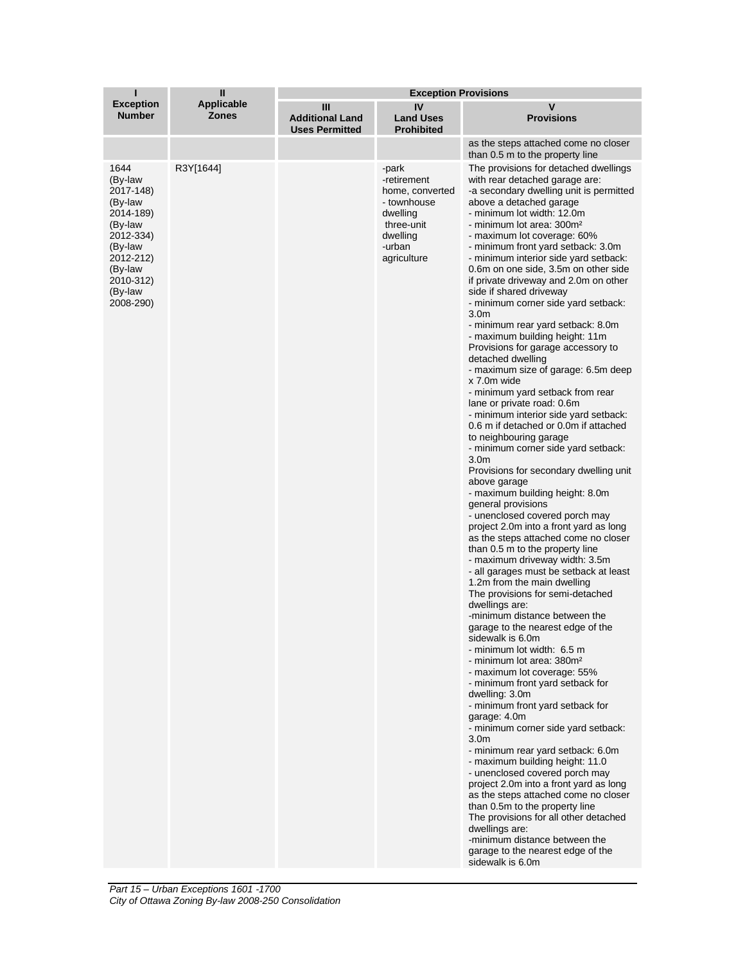| ı                                                                                                                                                    | Ш                                 | <b>Exception Provisions</b>                          |                                                                                                                       |                                                                                                                                                                                                                                                                                                                                                                                                                                                                                                                                                                                                                                                                                                                                                                                                                                                                                                                                                                                                                                                                                                                                                                                                                                                                                                                                                                                                                                                                                                                                                                                                                                                                                                                                                                                                                                                                                                                                                                                                                                                                                                                                               |  |  |
|------------------------------------------------------------------------------------------------------------------------------------------------------|-----------------------------------|------------------------------------------------------|-----------------------------------------------------------------------------------------------------------------------|-----------------------------------------------------------------------------------------------------------------------------------------------------------------------------------------------------------------------------------------------------------------------------------------------------------------------------------------------------------------------------------------------------------------------------------------------------------------------------------------------------------------------------------------------------------------------------------------------------------------------------------------------------------------------------------------------------------------------------------------------------------------------------------------------------------------------------------------------------------------------------------------------------------------------------------------------------------------------------------------------------------------------------------------------------------------------------------------------------------------------------------------------------------------------------------------------------------------------------------------------------------------------------------------------------------------------------------------------------------------------------------------------------------------------------------------------------------------------------------------------------------------------------------------------------------------------------------------------------------------------------------------------------------------------------------------------------------------------------------------------------------------------------------------------------------------------------------------------------------------------------------------------------------------------------------------------------------------------------------------------------------------------------------------------------------------------------------------------------------------------------------------------|--|--|
| <b>Exception</b><br><b>Number</b>                                                                                                                    | <b>Applicable</b><br><b>Zones</b> | Ш<br><b>Additional Land</b><br><b>Uses Permitted</b> | IV<br><b>Land Uses</b><br><b>Prohibited</b>                                                                           | V<br><b>Provisions</b>                                                                                                                                                                                                                                                                                                                                                                                                                                                                                                                                                                                                                                                                                                                                                                                                                                                                                                                                                                                                                                                                                                                                                                                                                                                                                                                                                                                                                                                                                                                                                                                                                                                                                                                                                                                                                                                                                                                                                                                                                                                                                                                        |  |  |
|                                                                                                                                                      |                                   |                                                      |                                                                                                                       | as the steps attached come no closer<br>than 0.5 m to the property line                                                                                                                                                                                                                                                                                                                                                                                                                                                                                                                                                                                                                                                                                                                                                                                                                                                                                                                                                                                                                                                                                                                                                                                                                                                                                                                                                                                                                                                                                                                                                                                                                                                                                                                                                                                                                                                                                                                                                                                                                                                                       |  |  |
| 1644<br>(By-law<br>2017-148)<br>(By-law<br>2014-189)<br>(By-law<br>2012-334)<br>(By-law<br>2012-212)<br>(By-law<br>2010-312)<br>(By-law<br>2008-290) | R3Y[1644]                         |                                                      | -park<br>-retirement<br>home, converted<br>- townhouse<br>dwelling<br>three-unit<br>dwelling<br>-urban<br>agriculture | The provisions for detached dwellings<br>with rear detached garage are:<br>-a secondary dwelling unit is permitted<br>above a detached garage<br>- minimum lot width: 12.0m<br>- minimum lot area: 300m <sup>2</sup><br>- maximum lot coverage: 60%<br>- minimum front yard setback: 3.0m<br>- minimum interior side yard setback:<br>0.6m on one side, 3.5m on other side<br>if private driveway and 2.0m on other<br>side if shared driveway<br>- minimum corner side yard setback:<br>3.0 <sub>m</sub><br>- minimum rear yard setback: 8.0m<br>- maximum building height: 11m<br>Provisions for garage accessory to<br>detached dwelling<br>- maximum size of garage: 6.5m deep<br>x 7.0m wide<br>- minimum yard setback from rear<br>lane or private road: 0.6m<br>- minimum interior side yard setback:<br>0.6 m if detached or 0.0m if attached<br>to neighbouring garage<br>- minimum corner side yard setback:<br>3.0 <sub>m</sub><br>Provisions for secondary dwelling unit<br>above garage<br>- maximum building height: 8.0m<br>general provisions<br>- unenclosed covered porch may<br>project 2.0m into a front yard as long<br>as the steps attached come no closer<br>than 0.5 m to the property line<br>- maximum driveway width: 3.5m<br>- all garages must be setback at least<br>1.2m from the main dwelling<br>The provisions for semi-detached<br>dwellings are:<br>-minimum distance between the<br>garage to the nearest edge of the<br>sidewalk is 6.0m<br>- minimum lot width: 6.5 m<br>- minimum lot area: 380m <sup>2</sup><br>- maximum lot coverage: 55%<br>- minimum front yard setback for<br>dwelling: 3.0m<br>- minimum front yard setback for<br>garage: 4.0m<br>- minimum corner side yard setback:<br>3.0 <sub>m</sub><br>- minimum rear yard setback: 6.0m<br>- maximum building height: 11.0<br>- unenclosed covered porch may<br>project 2.0m into a front yard as long<br>as the steps attached come no closer<br>than 0.5m to the property line<br>The provisions for all other detached<br>dwellings are:<br>-minimum distance between the<br>garage to the nearest edge of the<br>sidewalk is 6.0m |  |  |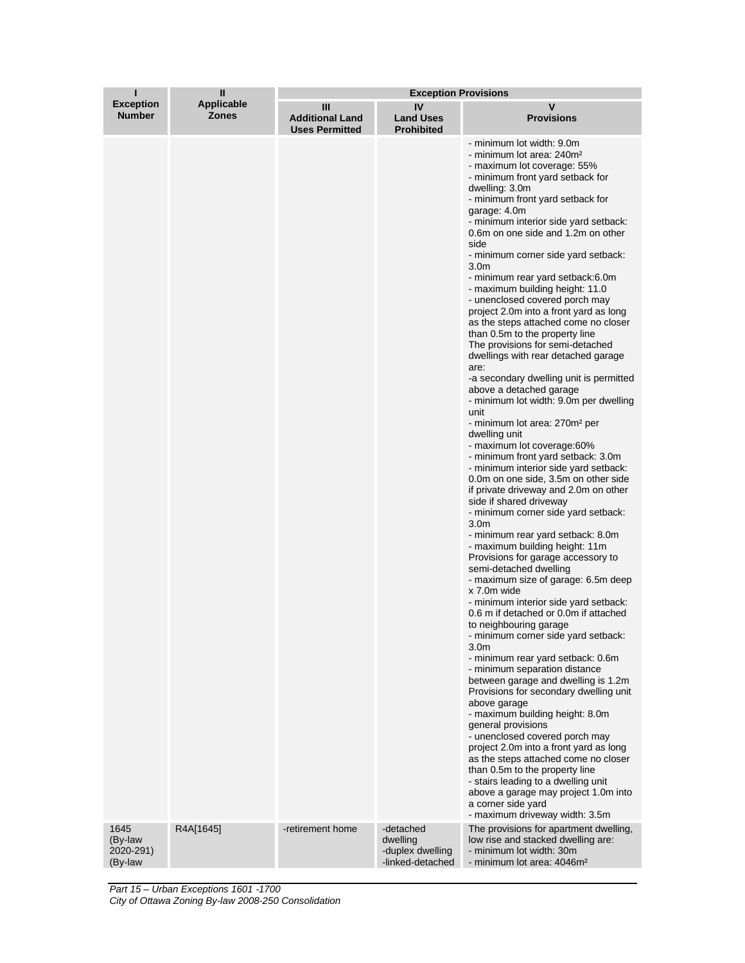| ī                                 | $\mathbf{I}$                      | <b>Exception Provisions</b>                          |                                                  |                                                                                                                                                                                                                                                                                                                                                                                                                                                                                                                                                                                                                                                                                                                                                                                                                                                                                                                                                                                                                                                                                                                                                                                                                                                                                                                                                                                                                                                                                                                                                                                                                                                                                                                                                                                                                                                                                                                                                                                                                                                                                      |
|-----------------------------------|-----------------------------------|------------------------------------------------------|--------------------------------------------------|--------------------------------------------------------------------------------------------------------------------------------------------------------------------------------------------------------------------------------------------------------------------------------------------------------------------------------------------------------------------------------------------------------------------------------------------------------------------------------------------------------------------------------------------------------------------------------------------------------------------------------------------------------------------------------------------------------------------------------------------------------------------------------------------------------------------------------------------------------------------------------------------------------------------------------------------------------------------------------------------------------------------------------------------------------------------------------------------------------------------------------------------------------------------------------------------------------------------------------------------------------------------------------------------------------------------------------------------------------------------------------------------------------------------------------------------------------------------------------------------------------------------------------------------------------------------------------------------------------------------------------------------------------------------------------------------------------------------------------------------------------------------------------------------------------------------------------------------------------------------------------------------------------------------------------------------------------------------------------------------------------------------------------------------------------------------------------------|
| <b>Exception</b><br><b>Number</b> | <b>Applicable</b><br><b>Zones</b> | Ш<br><b>Additional Land</b><br><b>Uses Permitted</b> | IV<br><b>Land Uses</b><br><b>Prohibited</b>      | ٧<br><b>Provisions</b>                                                                                                                                                                                                                                                                                                                                                                                                                                                                                                                                                                                                                                                                                                                                                                                                                                                                                                                                                                                                                                                                                                                                                                                                                                                                                                                                                                                                                                                                                                                                                                                                                                                                                                                                                                                                                                                                                                                                                                                                                                                               |
| 1645                              | R4A[1645]                         | -retirement home                                     | -detached                                        | - minimum lot width: 9.0m<br>- minimum lot area: 240m <sup>2</sup><br>- maximum lot coverage: 55%<br>- minimum front yard setback for<br>dwelling: 3.0m<br>- minimum front yard setback for<br>garage: 4.0m<br>- minimum interior side yard setback:<br>0.6m on one side and 1.2m on other<br>side<br>- minimum corner side yard setback:<br>3.0 <sub>m</sub><br>- minimum rear yard setback:6.0m<br>maximum building height: 11.0<br>- unenclosed covered porch may<br>project 2.0m into a front yard as long<br>as the steps attached come no closer<br>than 0.5m to the property line<br>The provisions for semi-detached<br>dwellings with rear detached garage<br>are:<br>-a secondary dwelling unit is permitted<br>above a detached garage<br>- minimum lot width: 9.0m per dwelling<br>unit<br>- minimum lot area: 270m <sup>2</sup> per<br>dwelling unit<br>- maximum lot coverage:60%<br>- minimum front yard setback: 3.0m<br>- minimum interior side yard setback:<br>0.0m on one side, 3.5m on other side<br>if private driveway and 2.0m on other<br>side if shared driveway<br>- minimum corner side yard setback:<br>3.0m<br>- minimum rear yard setback: 8.0m<br>- maximum building height: 11m<br>Provisions for garage accessory to<br>semi-detached dwelling<br>- maximum size of garage: 6.5m deep<br>x 7.0m wide<br>- minimum interior side yard setback:<br>0.6 m if detached or 0.0m if attached<br>to neighbouring garage<br>- minimum corner side yard setback:<br>3.0 <sub>m</sub><br>- minimum rear yard setback: 0.6m<br>- minimum separation distance<br>between garage and dwelling is 1.2m<br>Provisions for secondary dwelling unit<br>above garage<br>- maximum building height: 8.0m<br>general provisions<br>- unenclosed covered porch may<br>project 2.0m into a front yard as long<br>as the steps attached come no closer<br>than 0.5m to the property line<br>- stairs leading to a dwelling unit<br>above a garage may project 1.0m into<br>a corner side yard<br>- maximum driveway width: 3.5m<br>The provisions for apartment dwelling, |
| (By-law<br>2020-291)<br>(By-law   |                                   |                                                      | dwelling<br>-duplex dwelling<br>-linked-detached | low rise and stacked dwelling are:<br>- minimum lot width: 30m<br>- minimum lot area: 4046m <sup>2</sup>                                                                                                                                                                                                                                                                                                                                                                                                                                                                                                                                                                                                                                                                                                                                                                                                                                                                                                                                                                                                                                                                                                                                                                                                                                                                                                                                                                                                                                                                                                                                                                                                                                                                                                                                                                                                                                                                                                                                                                             |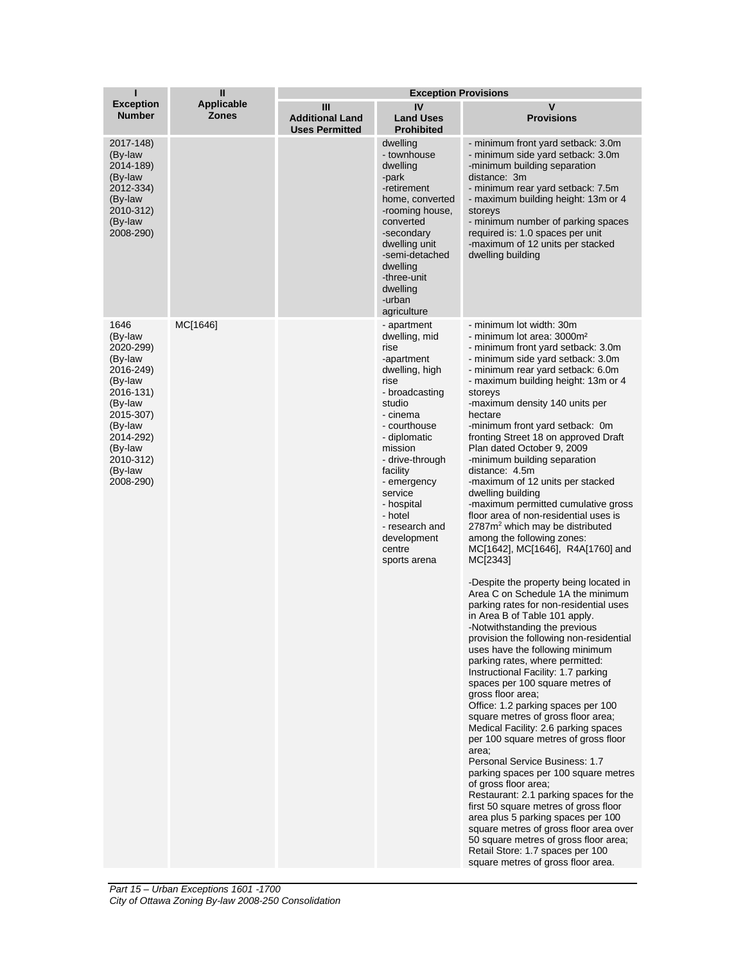| ı                                                                                                                                                                            | $\mathbf{I}$                      | <b>Exception Provisions</b>                          |                                                                                                                                                                                                                                                                                                              |                                                                                                                                                                                                                                                                                                                                                                                                                                                                                                                                                                                                                                                                                                                                                                                                                                                                                                                                                                                                                                                                                                                                                                                                                                                                                                                                                                                                                                                                                                                                                                                                                                                                                             |  |
|------------------------------------------------------------------------------------------------------------------------------------------------------------------------------|-----------------------------------|------------------------------------------------------|--------------------------------------------------------------------------------------------------------------------------------------------------------------------------------------------------------------------------------------------------------------------------------------------------------------|---------------------------------------------------------------------------------------------------------------------------------------------------------------------------------------------------------------------------------------------------------------------------------------------------------------------------------------------------------------------------------------------------------------------------------------------------------------------------------------------------------------------------------------------------------------------------------------------------------------------------------------------------------------------------------------------------------------------------------------------------------------------------------------------------------------------------------------------------------------------------------------------------------------------------------------------------------------------------------------------------------------------------------------------------------------------------------------------------------------------------------------------------------------------------------------------------------------------------------------------------------------------------------------------------------------------------------------------------------------------------------------------------------------------------------------------------------------------------------------------------------------------------------------------------------------------------------------------------------------------------------------------------------------------------------------------|--|
| <b>Exception</b><br><b>Number</b>                                                                                                                                            | <b>Applicable</b><br><b>Zones</b> | Ш<br><b>Additional Land</b><br><b>Uses Permitted</b> | IV<br><b>Land Uses</b><br><b>Prohibited</b>                                                                                                                                                                                                                                                                  | v<br><b>Provisions</b>                                                                                                                                                                                                                                                                                                                                                                                                                                                                                                                                                                                                                                                                                                                                                                                                                                                                                                                                                                                                                                                                                                                                                                                                                                                                                                                                                                                                                                                                                                                                                                                                                                                                      |  |
| 2017-148)<br>(By-law<br>2014-189)<br>(By-law<br>2012-334)<br>(By-law<br>2010-312)<br>(By-law<br>2008-290)                                                                    |                                   |                                                      | dwelling<br>- townhouse<br>dwelling<br>-park<br>-retirement<br>home, converted<br>-rooming house,<br>converted<br>-secondary<br>dwelling unit<br>-semi-detached<br>dwelling<br>-three-unit<br>dwelling<br>-urban<br>agriculture                                                                              | - minimum front yard setback: 3.0m<br>- minimum side yard setback: 3.0m<br>-minimum building separation<br>distance: 3m<br>- minimum rear yard setback: 7.5m<br>- maximum building height: 13m or 4<br>storeys<br>- minimum number of parking spaces<br>required is: 1.0 spaces per unit<br>-maximum of 12 units per stacked<br>dwelling building                                                                                                                                                                                                                                                                                                                                                                                                                                                                                                                                                                                                                                                                                                                                                                                                                                                                                                                                                                                                                                                                                                                                                                                                                                                                                                                                           |  |
| 1646<br>(By-law<br>2020-299)<br>(By-law<br>2016-249)<br>(By-law<br>2016-131)<br>(By-law<br>2015-307)<br>(By-law<br>2014-292)<br>(By-law<br>2010-312)<br>(By-law<br>2008-290) | MC[1646]                          |                                                      | - apartment<br>dwelling, mid<br>rise<br>-apartment<br>dwelling, high<br>rise<br>- broadcasting<br>studio<br>- cinema<br>- courthouse<br>- diplomatic<br>mission<br>- drive-through<br>facility<br>- emergency<br>service<br>- hospital<br>- hotel<br>- research and<br>development<br>centre<br>sports arena | - minimum lot width: 30m<br>- minimum lot area: 3000m <sup>2</sup><br>- minimum front yard setback: 3.0m<br>- minimum side yard setback: 3.0m<br>- minimum rear yard setback: 6.0m<br>- maximum building height: 13m or 4<br>storeys<br>-maximum density 140 units per<br>hectare<br>-minimum front yard setback: 0m<br>fronting Street 18 on approved Draft<br>Plan dated October 9, 2009<br>-minimum building separation<br>distance: 4.5m<br>-maximum of 12 units per stacked<br>dwelling building<br>-maximum permitted cumulative gross<br>floor area of non-residential uses is<br>2787m <sup>2</sup> which may be distributed<br>among the following zones:<br>MC[1642], MC[1646], R4A[1760] and<br>MC[2343]<br>-Despite the property being located in<br>Area C on Schedule 1A the minimum<br>parking rates for non-residential uses<br>in Area B of Table 101 apply.<br>-Notwithstanding the previous<br>provision the following non-residential<br>uses have the following minimum<br>parking rates, where permitted:<br>Instructional Facility: 1.7 parking<br>spaces per 100 square metres of<br>gross floor area;<br>Office: 1.2 parking spaces per 100<br>square metres of gross floor area;<br>Medical Facility: 2.6 parking spaces<br>per 100 square metres of gross floor<br>area;<br>Personal Service Business: 1.7<br>parking spaces per 100 square metres<br>of gross floor area;<br>Restaurant: 2.1 parking spaces for the<br>first 50 square metres of gross floor<br>area plus 5 parking spaces per 100<br>square metres of gross floor area over<br>50 square metres of gross floor area;<br>Retail Store: 1.7 spaces per 100<br>square metres of gross floor area. |  |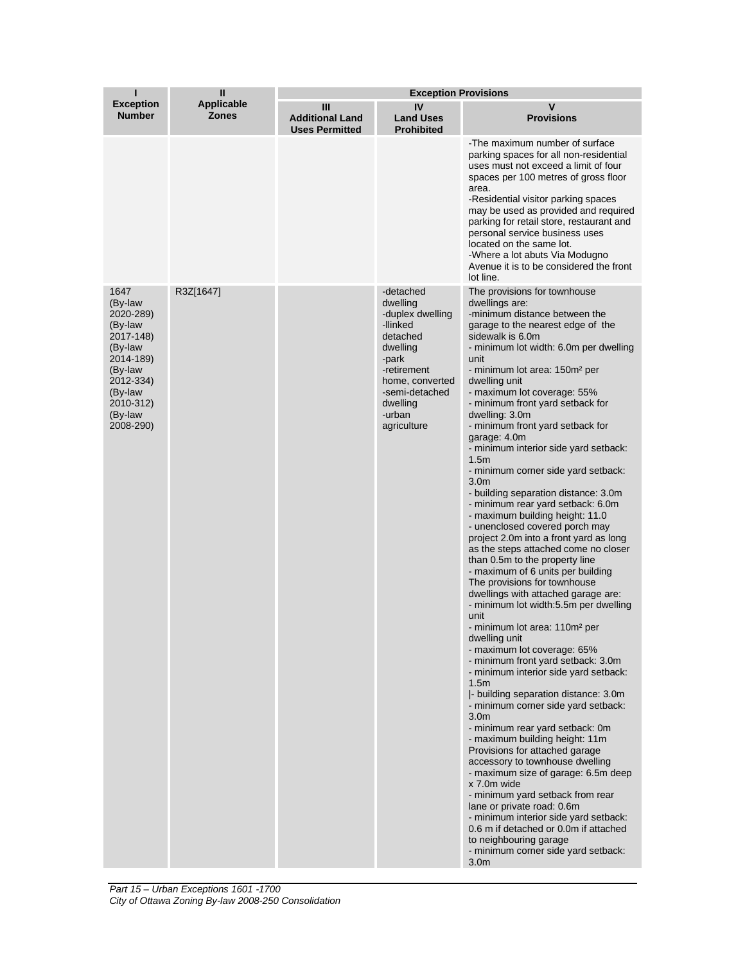|                                                                                                                                                      | $\mathbf{I}$               |                                                      | <b>Exception Provisions</b>                                                                                                                                                     |                                                                                                                                                                                                                                                                                                                                                                                                                                                                                                                                                                                                                                                                                                                                                                                                                                                                                                                                                                                                                                                                                                                                                                                                                                                                                                                                                                                                                                                                                                                                                                                                                                                                                                           |
|------------------------------------------------------------------------------------------------------------------------------------------------------|----------------------------|------------------------------------------------------|---------------------------------------------------------------------------------------------------------------------------------------------------------------------------------|-----------------------------------------------------------------------------------------------------------------------------------------------------------------------------------------------------------------------------------------------------------------------------------------------------------------------------------------------------------------------------------------------------------------------------------------------------------------------------------------------------------------------------------------------------------------------------------------------------------------------------------------------------------------------------------------------------------------------------------------------------------------------------------------------------------------------------------------------------------------------------------------------------------------------------------------------------------------------------------------------------------------------------------------------------------------------------------------------------------------------------------------------------------------------------------------------------------------------------------------------------------------------------------------------------------------------------------------------------------------------------------------------------------------------------------------------------------------------------------------------------------------------------------------------------------------------------------------------------------------------------------------------------------------------------------------------------------|
| <b>Exception</b><br><b>Number</b>                                                                                                                    | <b>Applicable</b><br>Zones | Ш<br><b>Additional Land</b><br><b>Uses Permitted</b> | IV<br><b>Land Uses</b><br><b>Prohibited</b>                                                                                                                                     | v<br><b>Provisions</b>                                                                                                                                                                                                                                                                                                                                                                                                                                                                                                                                                                                                                                                                                                                                                                                                                                                                                                                                                                                                                                                                                                                                                                                                                                                                                                                                                                                                                                                                                                                                                                                                                                                                                    |
|                                                                                                                                                      |                            |                                                      |                                                                                                                                                                                 | -The maximum number of surface<br>parking spaces for all non-residential<br>uses must not exceed a limit of four<br>spaces per 100 metres of gross floor<br>area.<br>-Residential visitor parking spaces<br>may be used as provided and required<br>parking for retail store, restaurant and<br>personal service business uses<br>located on the same lot.<br>-Where a lot abuts Via Modugno<br>Avenue it is to be considered the front<br>lot line.                                                                                                                                                                                                                                                                                                                                                                                                                                                                                                                                                                                                                                                                                                                                                                                                                                                                                                                                                                                                                                                                                                                                                                                                                                                      |
| 1647<br>(By-law<br>2020-289)<br>(By-law<br>2017-148)<br>(By-law<br>2014-189)<br>(By-law<br>2012-334)<br>(By-law<br>2010-312)<br>(By-law<br>2008-290) | R3Z[1647]                  |                                                      | -detached<br>dwelling<br>-duplex dwelling<br>-Ilinked<br>detached<br>dwelling<br>-park<br>-retirement<br>home, converted<br>-semi-detached<br>dwelling<br>-urban<br>agriculture | The provisions for townhouse<br>dwellings are:<br>-minimum distance between the<br>garage to the nearest edge of the<br>sidewalk is 6.0m<br>- minimum lot width: 6.0m per dwelling<br>unit<br>- minimum lot area: 150m <sup>2</sup> per<br>dwelling unit<br>- maximum lot coverage: 55%<br>- minimum front yard setback for<br>dwelling: 3.0m<br>- minimum front yard setback for<br>garage: 4.0m<br>- minimum interior side yard setback:<br>1.5 <sub>m</sub><br>- minimum corner side yard setback:<br>3.0 <sub>m</sub><br>- building separation distance: 3.0m<br>- minimum rear yard setback: 6.0m<br>- maximum building height: 11.0<br>- unenclosed covered porch may<br>project 2.0m into a front yard as long<br>as the steps attached come no closer<br>than 0.5m to the property line<br>- maximum of 6 units per building<br>The provisions for townhouse<br>dwellings with attached garage are:<br>- minimum lot width:5.5m per dwelling<br>unit<br>- minimum lot area: 110m <sup>2</sup> per<br>dwelling unit<br>- maximum lot coverage: 65%<br>- minimum front yard setback: 3.0m<br>- minimum interior side yard setback:<br>1.5 <sub>m</sub><br> - building separation distance: 3.0m<br>- minimum corner side yard setback:<br>3.0 <sub>m</sub><br>- minimum rear yard setback: 0m<br>- maximum building height: 11m<br>Provisions for attached garage<br>accessory to townhouse dwelling<br>- maximum size of garage: 6.5m deep<br>x 7.0m wide<br>- minimum yard setback from rear<br>lane or private road: 0.6m<br>- minimum interior side yard setback:<br>0.6 m if detached or 0.0m if attached<br>to neighbouring garage<br>- minimum corner side yard setback:<br>3.0 <sub>m</sub> |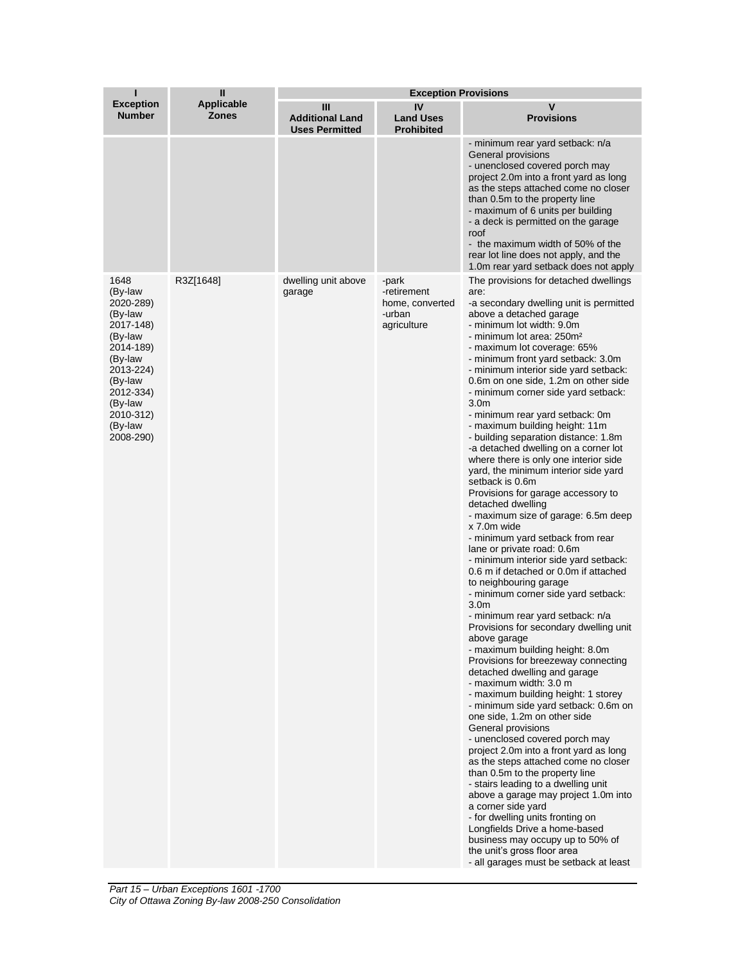| ı                                                                                                                                                                            | П                                 | <b>Exception Provisions</b>                          |                                                                  |                                                                                                                                                                                                                                                                                                                                                                                                                                                                                                                                                                                                                                                                                                                                                                                                                                                                                                                                                                                                                                                                                                                                                                                                                                                                                                                                                                                                                                                                                                                                                                                                                                                                                                                                                                                                                                                   |  |
|------------------------------------------------------------------------------------------------------------------------------------------------------------------------------|-----------------------------------|------------------------------------------------------|------------------------------------------------------------------|---------------------------------------------------------------------------------------------------------------------------------------------------------------------------------------------------------------------------------------------------------------------------------------------------------------------------------------------------------------------------------------------------------------------------------------------------------------------------------------------------------------------------------------------------------------------------------------------------------------------------------------------------------------------------------------------------------------------------------------------------------------------------------------------------------------------------------------------------------------------------------------------------------------------------------------------------------------------------------------------------------------------------------------------------------------------------------------------------------------------------------------------------------------------------------------------------------------------------------------------------------------------------------------------------------------------------------------------------------------------------------------------------------------------------------------------------------------------------------------------------------------------------------------------------------------------------------------------------------------------------------------------------------------------------------------------------------------------------------------------------------------------------------------------------------------------------------------------------|--|
| <b>Exception</b><br><b>Number</b>                                                                                                                                            | <b>Applicable</b><br><b>Zones</b> | Ш<br><b>Additional Land</b><br><b>Uses Permitted</b> | IV<br><b>Land Uses</b><br><b>Prohibited</b>                      | $\mathbf v$<br><b>Provisions</b>                                                                                                                                                                                                                                                                                                                                                                                                                                                                                                                                                                                                                                                                                                                                                                                                                                                                                                                                                                                                                                                                                                                                                                                                                                                                                                                                                                                                                                                                                                                                                                                                                                                                                                                                                                                                                  |  |
|                                                                                                                                                                              |                                   |                                                      |                                                                  | - minimum rear yard setback: n/a<br>General provisions<br>- unenclosed covered porch may<br>project 2.0m into a front yard as long<br>as the steps attached come no closer<br>than 0.5m to the property line<br>- maximum of 6 units per building<br>- a deck is permitted on the garage<br>roof<br>- the maximum width of 50% of the<br>rear lot line does not apply, and the<br>1.0 m rear yard setback does not apply                                                                                                                                                                                                                                                                                                                                                                                                                                                                                                                                                                                                                                                                                                                                                                                                                                                                                                                                                                                                                                                                                                                                                                                                                                                                                                                                                                                                                          |  |
| 1648<br>(By-law<br>2020-289)<br>(By-law<br>2017-148)<br>(By-law<br>2014-189)<br>(By-law<br>2013-224)<br>(By-law<br>2012-334)<br>(By-law<br>2010-312)<br>(By-law<br>2008-290) | R3Z[1648]                         | dwelling unit above<br>garage                        | -park<br>-retirement<br>home, converted<br>-urban<br>agriculture | The provisions for detached dwellings<br>are:<br>-a secondary dwelling unit is permitted<br>above a detached garage<br>- minimum lot width: 9.0m<br>- minimum lot area: 250m <sup>2</sup><br>- maximum lot coverage: 65%<br>- minimum front yard setback: 3.0m<br>- minimum interior side yard setback:<br>0.6m on one side, 1.2m on other side<br>- minimum corner side yard setback:<br>3.0 <sub>m</sub><br>- minimum rear yard setback: 0m<br>- maximum building height: 11m<br>- building separation distance: 1.8m<br>-a detached dwelling on a corner lot<br>where there is only one interior side<br>yard, the minimum interior side yard<br>setback is 0.6m<br>Provisions for garage accessory to<br>detached dwelling<br>- maximum size of garage: 6.5m deep<br>x 7.0m wide<br>- minimum yard setback from rear<br>lane or private road: 0.6m<br>- minimum interior side yard setback:<br>0.6 m if detached or 0.0m if attached<br>to neighbouring garage<br>- minimum corner side yard setback:<br>3.0 <sub>m</sub><br>- minimum rear yard setback: n/a<br>Provisions for secondary dwelling unit<br>above garage<br>- maximum building height: 8.0m<br>Provisions for breezeway connecting<br>detached dwelling and garage<br>- maximum width: 3.0 m<br>- maximum building height: 1 storey<br>- minimum side yard setback: 0.6m on<br>one side, 1.2m on other side<br>General provisions<br>- unenclosed covered porch may<br>project 2.0m into a front yard as long<br>as the steps attached come no closer<br>than 0.5m to the property line<br>- stairs leading to a dwelling unit<br>above a garage may project 1.0m into<br>a corner side yard<br>- for dwelling units fronting on<br>Longfields Drive a home-based<br>business may occupy up to 50% of<br>the unit's gross floor area<br>- all garages must be setback at least |  |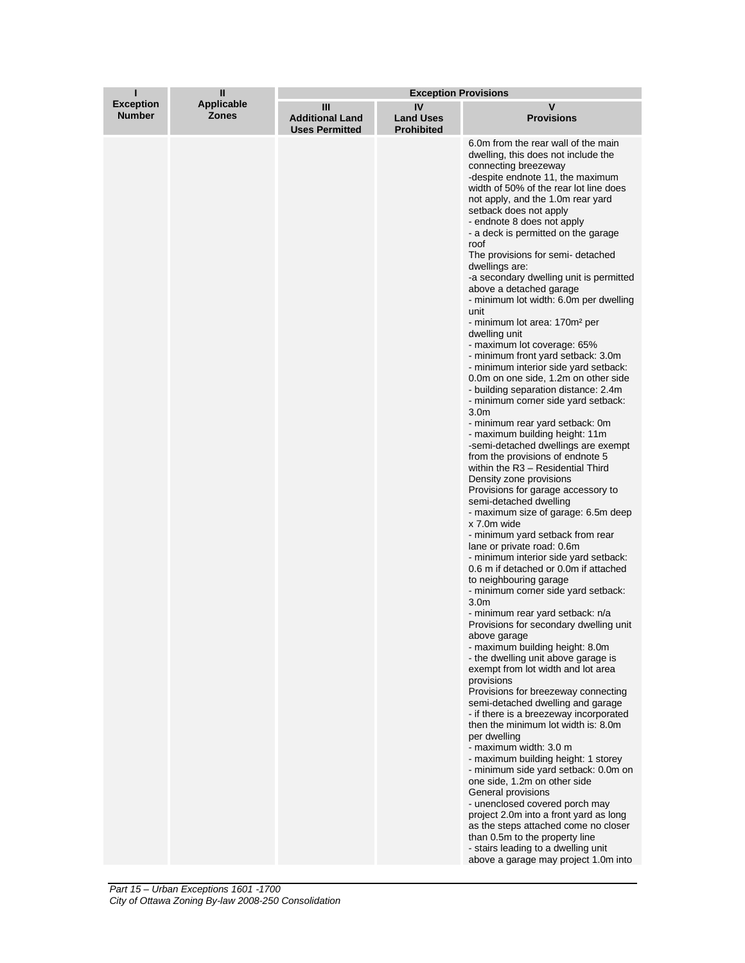| ı                                 | $\mathbf{I}$                      | <b>Exception Provisions</b>                          |                                             |                                                                                                                                                                                                                                                                                                                                                                                                                                                                                                                                                                                                                                                                                                                                                                                                                                                                                                                                                                                                                                                                                                                                                                                                                                                                                                                                                                                                                                                                                                                                                                                                                                                                                                                                                                                                                                                                                                                                                                                                                                                                                                                                                                                                                               |
|-----------------------------------|-----------------------------------|------------------------------------------------------|---------------------------------------------|-------------------------------------------------------------------------------------------------------------------------------------------------------------------------------------------------------------------------------------------------------------------------------------------------------------------------------------------------------------------------------------------------------------------------------------------------------------------------------------------------------------------------------------------------------------------------------------------------------------------------------------------------------------------------------------------------------------------------------------------------------------------------------------------------------------------------------------------------------------------------------------------------------------------------------------------------------------------------------------------------------------------------------------------------------------------------------------------------------------------------------------------------------------------------------------------------------------------------------------------------------------------------------------------------------------------------------------------------------------------------------------------------------------------------------------------------------------------------------------------------------------------------------------------------------------------------------------------------------------------------------------------------------------------------------------------------------------------------------------------------------------------------------------------------------------------------------------------------------------------------------------------------------------------------------------------------------------------------------------------------------------------------------------------------------------------------------------------------------------------------------------------------------------------------------------------------------------------------------|
| <b>Exception</b><br><b>Number</b> | <b>Applicable</b><br><b>Zones</b> | Ш<br><b>Additional Land</b><br><b>Uses Permitted</b> | IV<br><b>Land Uses</b><br><b>Prohibited</b> | v<br><b>Provisions</b>                                                                                                                                                                                                                                                                                                                                                                                                                                                                                                                                                                                                                                                                                                                                                                                                                                                                                                                                                                                                                                                                                                                                                                                                                                                                                                                                                                                                                                                                                                                                                                                                                                                                                                                                                                                                                                                                                                                                                                                                                                                                                                                                                                                                        |
|                                   |                                   |                                                      |                                             | 6.0m from the rear wall of the main<br>dwelling, this does not include the<br>connecting breezeway<br>-despite endnote 11, the maximum<br>width of 50% of the rear lot line does<br>not apply, and the 1.0m rear yard<br>setback does not apply<br>- endnote 8 does not apply<br>- a deck is permitted on the garage<br>roof<br>The provisions for semi-detached<br>dwellings are:<br>-a secondary dwelling unit is permitted<br>above a detached garage<br>- minimum lot width: 6.0m per dwelling<br>unit<br>- minimum lot area: 170m <sup>2</sup> per<br>dwelling unit<br>- maximum lot coverage: 65%<br>- minimum front yard setback: 3.0m<br>- minimum interior side yard setback:<br>0.0m on one side, 1.2m on other side<br>- building separation distance: 2.4m<br>- minimum corner side yard setback:<br>3.0 <sub>m</sub><br>- minimum rear yard setback: 0m<br>- maximum building height: 11m<br>-semi-detached dwellings are exempt<br>from the provisions of endnote 5<br>within the R3 - Residential Third<br>Density zone provisions<br>Provisions for garage accessory to<br>semi-detached dwelling<br>- maximum size of garage: 6.5m deep<br>x 7.0m wide<br>- minimum yard setback from rear<br>lane or private road: 0.6m<br>- minimum interior side yard setback:<br>0.6 m if detached or 0.0m if attached<br>to neighbouring garage<br>- minimum corner side yard setback:<br>3.0 <sub>m</sub><br>- minimum rear yard setback: n/a<br>Provisions for secondary dwelling unit<br>above garage<br>- maximum building height: 8.0m<br>- the dwelling unit above garage is<br>exempt from lot width and lot area<br>provisions<br>Provisions for breezeway connecting<br>semi-detached dwelling and garage<br>- if there is a breezeway incorporated<br>then the minimum lot width is: 8.0m<br>per dwelling<br>- maximum width: 3.0 m<br>- maximum building height: 1 storey<br>- minimum side yard setback: 0.0m on<br>one side, 1.2m on other side<br>General provisions<br>- unenclosed covered porch may<br>project 2.0m into a front yard as long<br>as the steps attached come no closer<br>than 0.5m to the property line<br>- stairs leading to a dwelling unit<br>above a garage may project 1.0m into |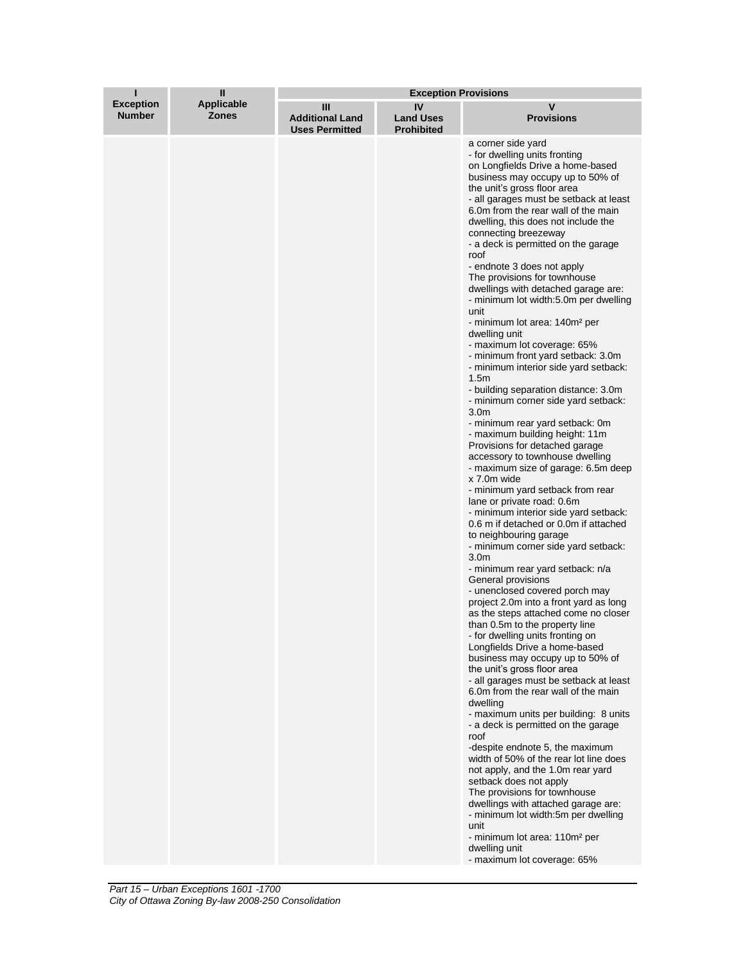| ı                                 | Ш                                 | <b>Exception Provisions</b>                          |                                             |                                                                                                                                                                                                                                                                                                                                                                                                                                                                                                                                                                                                                                                                                                                                                                                                                                                                                                                                                                                                                                                                                                                                                                                                                                                                                                                                                                                                                                                                                                                                                                                                                                                                                                                                                                                                                                                                                                                                                                                                                                                                                                                                                                          |
|-----------------------------------|-----------------------------------|------------------------------------------------------|---------------------------------------------|--------------------------------------------------------------------------------------------------------------------------------------------------------------------------------------------------------------------------------------------------------------------------------------------------------------------------------------------------------------------------------------------------------------------------------------------------------------------------------------------------------------------------------------------------------------------------------------------------------------------------------------------------------------------------------------------------------------------------------------------------------------------------------------------------------------------------------------------------------------------------------------------------------------------------------------------------------------------------------------------------------------------------------------------------------------------------------------------------------------------------------------------------------------------------------------------------------------------------------------------------------------------------------------------------------------------------------------------------------------------------------------------------------------------------------------------------------------------------------------------------------------------------------------------------------------------------------------------------------------------------------------------------------------------------------------------------------------------------------------------------------------------------------------------------------------------------------------------------------------------------------------------------------------------------------------------------------------------------------------------------------------------------------------------------------------------------------------------------------------------------------------------------------------------------|
| <b>Exception</b><br><b>Number</b> | <b>Applicable</b><br><b>Zones</b> | Ш<br><b>Additional Land</b><br><b>Uses Permitted</b> | IV<br><b>Land Uses</b><br><b>Prohibited</b> | v<br><b>Provisions</b>                                                                                                                                                                                                                                                                                                                                                                                                                                                                                                                                                                                                                                                                                                                                                                                                                                                                                                                                                                                                                                                                                                                                                                                                                                                                                                                                                                                                                                                                                                                                                                                                                                                                                                                                                                                                                                                                                                                                                                                                                                                                                                                                                   |
|                                   |                                   |                                                      |                                             | a corner side yard<br>- for dwelling units fronting<br>on Longfields Drive a home-based<br>business may occupy up to 50% of<br>the unit's gross floor area<br>- all garages must be setback at least<br>6.0m from the rear wall of the main<br>dwelling, this does not include the<br>connecting breezeway<br>- a deck is permitted on the garage<br>roof<br>- endnote 3 does not apply<br>The provisions for townhouse<br>dwellings with detached garage are:<br>- minimum lot width: 5.0m per dwelling<br>unit<br>- minimum lot area: 140m <sup>2</sup> per<br>dwelling unit<br>- maximum lot coverage: 65%<br>- minimum front yard setback: 3.0m<br>- minimum interior side yard setback:<br>1.5 <sub>m</sub><br>- building separation distance: 3.0m<br>- minimum corner side yard setback:<br>3.0 <sub>m</sub><br>- minimum rear yard setback: 0m<br>- maximum building height: 11m<br>Provisions for detached garage<br>accessory to townhouse dwelling<br>- maximum size of garage: 6.5m deep<br>x 7.0m wide<br>- minimum yard setback from rear<br>lane or private road: 0.6m<br>- minimum interior side yard setback:<br>0.6 m if detached or 0.0m if attached<br>to neighbouring garage<br>- minimum corner side yard setback:<br>3.0 <sub>m</sub><br>- minimum rear yard setback: n/a<br>General provisions<br>- unenclosed covered porch may<br>project 2.0m into a front yard as long<br>as the steps attached come no closer<br>than 0.5m to the property line<br>- for dwelling units fronting on<br>Longfields Drive a home-based<br>business may occupy up to 50% of<br>the unit's gross floor area<br>- all garages must be setback at least<br>6.0m from the rear wall of the main<br>dwelling<br>- maximum units per building: 8 units<br>- a deck is permitted on the garage<br>roof<br>-despite endnote 5, the maximum<br>width of 50% of the rear lot line does<br>not apply, and the 1.0m rear yard<br>setback does not apply<br>The provisions for townhouse<br>dwellings with attached garage are:<br>- minimum lot width:5m per dwelling<br>unit<br>- minimum lot area: 110m <sup>2</sup> per<br>dwelling unit<br>- maximum lot coverage: 65% |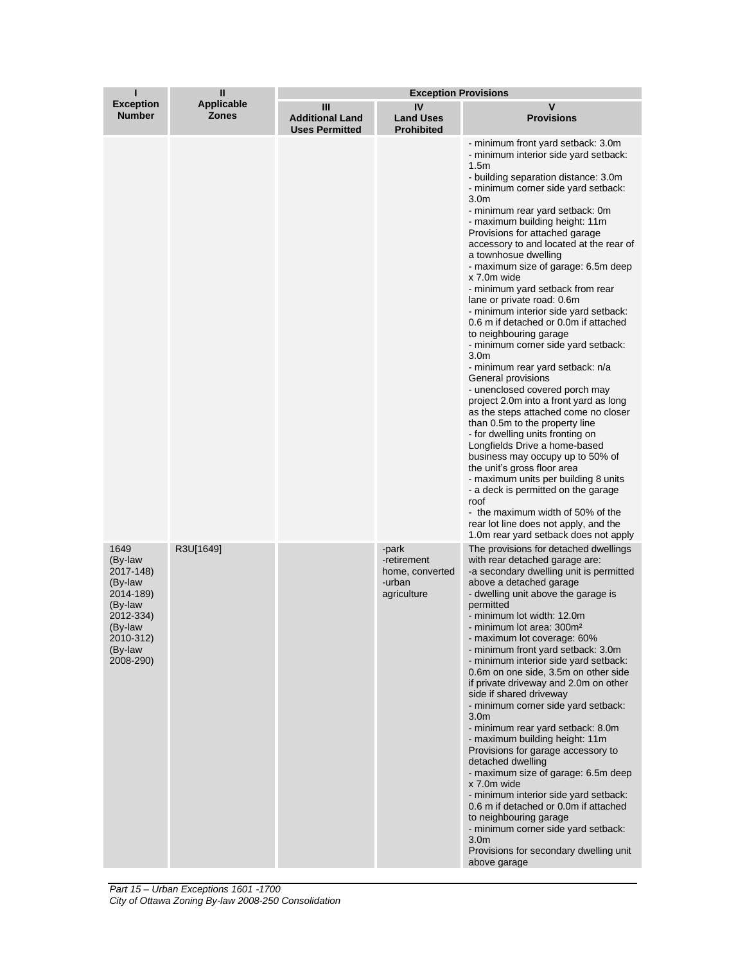| ı                                                                                                                            | $\mathbf{I}$                      | <b>Exception Provisions</b>                          |                                                                  |                                                                                                                                                                                                                                                                                                                                                                                                                                                                                                                                                                                                                                                                                                                                                                                                                                                                                                                                                                                                                                                                                                                                                                                                                                                    |  |
|------------------------------------------------------------------------------------------------------------------------------|-----------------------------------|------------------------------------------------------|------------------------------------------------------------------|----------------------------------------------------------------------------------------------------------------------------------------------------------------------------------------------------------------------------------------------------------------------------------------------------------------------------------------------------------------------------------------------------------------------------------------------------------------------------------------------------------------------------------------------------------------------------------------------------------------------------------------------------------------------------------------------------------------------------------------------------------------------------------------------------------------------------------------------------------------------------------------------------------------------------------------------------------------------------------------------------------------------------------------------------------------------------------------------------------------------------------------------------------------------------------------------------------------------------------------------------|--|
| <b>Exception</b><br><b>Number</b>                                                                                            | <b>Applicable</b><br><b>Zones</b> | Ш<br><b>Additional Land</b><br><b>Uses Permitted</b> | IV<br><b>Land Uses</b><br><b>Prohibited</b>                      | V<br><b>Provisions</b>                                                                                                                                                                                                                                                                                                                                                                                                                                                                                                                                                                                                                                                                                                                                                                                                                                                                                                                                                                                                                                                                                                                                                                                                                             |  |
|                                                                                                                              |                                   |                                                      |                                                                  | - minimum front yard setback: 3.0m<br>- minimum interior side yard setback:<br>1.5 <sub>m</sub><br>- building separation distance: 3.0m<br>- minimum corner side yard setback:<br>3.0 <sub>m</sub><br>- minimum rear yard setback: 0m<br>- maximum building height: 11m<br>Provisions for attached garage<br>accessory to and located at the rear of<br>a townhosue dwelling<br>- maximum size of garage: 6.5m deep<br>x 7.0m wide<br>- minimum yard setback from rear<br>lane or private road: 0.6m<br>- minimum interior side yard setback:<br>0.6 m if detached or 0.0m if attached<br>to neighbouring garage<br>- minimum corner side yard setback:<br>3.0 <sub>m</sub><br>- minimum rear yard setback: n/a<br>General provisions<br>- unenclosed covered porch may<br>project 2.0m into a front yard as long<br>as the steps attached come no closer<br>than 0.5m to the property line<br>- for dwelling units fronting on<br>Longfields Drive a home-based<br>business may occupy up to 50% of<br>the unit's gross floor area<br>- maximum units per building 8 units<br>- a deck is permitted on the garage<br>roof<br>- the maximum width of 50% of the<br>rear lot line does not apply, and the<br>1.0 m rear yard setback does not apply |  |
| 1649<br>(By-law<br>2017-148)<br>(By-law<br>2014-189)<br>(By-law<br>2012-334)<br>(By-law<br>2010-312)<br>(By-law<br>2008-290) | R3U[1649]                         |                                                      | -park<br>-retirement<br>home, converted<br>-urban<br>agriculture | The provisions for detached dwellings<br>with rear detached garage are:<br>-a secondary dwelling unit is permitted<br>above a detached garage<br>- dwelling unit above the garage is<br>permitted<br>- minimum lot width: 12.0m<br>- minimum lot area: 300m <sup>2</sup><br>- maximum lot coverage: 60%<br>- minimum front yard setback: 3.0m<br>- minimum interior side yard setback:<br>0.6m on one side, 3.5m on other side<br>if private driveway and 2.0m on other<br>side if shared driveway<br>- minimum corner side yard setback:<br>3.0 <sub>m</sub><br>- minimum rear yard setback: 8.0m<br>- maximum building height: 11m<br>Provisions for garage accessory to<br>detached dwelling<br>- maximum size of garage: 6.5m deep<br>x 7.0m wide<br>- minimum interior side yard setback:<br>0.6 m if detached or 0.0m if attached<br>to neighbouring garage<br>- minimum corner side yard setback:<br>3.0 <sub>m</sub><br>Provisions for secondary dwelling unit<br>above garage                                                                                                                                                                                                                                                             |  |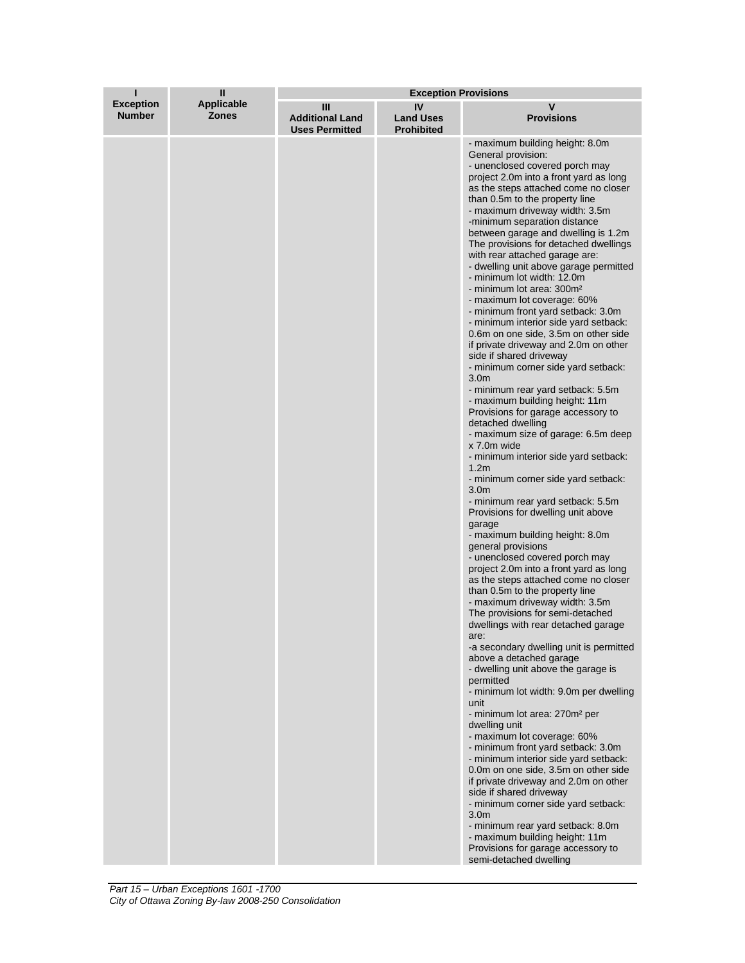| ı                                 | $\mathbf{I}$                      | <b>Exception Provisions</b>                          |                                             |                                                                                                                                                                                                                                                                                                                                                                                                                                                                                                                                                                                                                                                                                                                                                                                                                                                                                                                                                                                                                                                                                                                                                                                                                                                                                                                                                                                                                                                                                                                                                                                                                                                                                                                                                                                                                                                                                                                                                                                                                                                                                                                                                                                                                      |
|-----------------------------------|-----------------------------------|------------------------------------------------------|---------------------------------------------|----------------------------------------------------------------------------------------------------------------------------------------------------------------------------------------------------------------------------------------------------------------------------------------------------------------------------------------------------------------------------------------------------------------------------------------------------------------------------------------------------------------------------------------------------------------------------------------------------------------------------------------------------------------------------------------------------------------------------------------------------------------------------------------------------------------------------------------------------------------------------------------------------------------------------------------------------------------------------------------------------------------------------------------------------------------------------------------------------------------------------------------------------------------------------------------------------------------------------------------------------------------------------------------------------------------------------------------------------------------------------------------------------------------------------------------------------------------------------------------------------------------------------------------------------------------------------------------------------------------------------------------------------------------------------------------------------------------------------------------------------------------------------------------------------------------------------------------------------------------------------------------------------------------------------------------------------------------------------------------------------------------------------------------------------------------------------------------------------------------------------------------------------------------------------------------------------------------------|
| <b>Exception</b><br><b>Number</b> | <b>Applicable</b><br><b>Zones</b> | Ш<br><b>Additional Land</b><br><b>Uses Permitted</b> | IV<br><b>Land Uses</b><br><b>Prohibited</b> | V<br><b>Provisions</b>                                                                                                                                                                                                                                                                                                                                                                                                                                                                                                                                                                                                                                                                                                                                                                                                                                                                                                                                                                                                                                                                                                                                                                                                                                                                                                                                                                                                                                                                                                                                                                                                                                                                                                                                                                                                                                                                                                                                                                                                                                                                                                                                                                                               |
|                                   |                                   |                                                      |                                             | - maximum building height: 8.0m<br>General provision:<br>- unenclosed covered porch may<br>project 2.0m into a front yard as long<br>as the steps attached come no closer<br>than 0.5m to the property line<br>- maximum driveway width: 3.5m<br>-minimum separation distance<br>between garage and dwelling is 1.2m<br>The provisions for detached dwellings<br>with rear attached garage are:<br>- dwelling unit above garage permitted<br>- minimum lot width: 12.0m<br>- minimum lot area: 300m <sup>2</sup><br>- maximum lot coverage: 60%<br>- minimum front yard setback: 3.0m<br>- minimum interior side yard setback:<br>0.6m on one side, 3.5m on other side<br>if private driveway and 2.0m on other<br>side if shared driveway<br>- minimum corner side yard setback:<br>3.0 <sub>m</sub><br>- minimum rear yard setback: 5.5m<br>- maximum building height: 11m<br>Provisions for garage accessory to<br>detached dwelling<br>- maximum size of garage: 6.5m deep<br>x 7.0m wide<br>- minimum interior side yard setback:<br>1.2 <sub>m</sub><br>- minimum corner side yard setback:<br>3.0 <sub>m</sub><br>- minimum rear yard setback: 5.5m<br>Provisions for dwelling unit above<br>garage<br>- maximum building height: 8.0m<br>general provisions<br>- unenclosed covered porch may<br>project 2.0m into a front yard as long<br>as the steps attached come no closer<br>than 0.5m to the property line<br>- maximum driveway width: 3.5m<br>The provisions for semi-detached<br>dwellings with rear detached garage<br>are:<br>-a secondary dwelling unit is permitted<br>above a detached garage<br>- dwelling unit above the garage is<br>permitted<br>- minimum lot width: 9.0m per dwelling<br>unit<br>- minimum lot area: 270m <sup>2</sup> per<br>dwelling unit<br>- maximum lot coverage: 60%<br>- minimum front yard setback: 3.0m<br>- minimum interior side yard setback:<br>0.0m on one side, 3.5m on other side<br>if private driveway and 2.0m on other<br>side if shared driveway<br>- minimum corner side yard setback:<br>3.0 <sub>m</sub><br>- minimum rear yard setback: 8.0m<br>- maximum building height: 11m<br>Provisions for garage accessory to<br>semi-detached dwelling |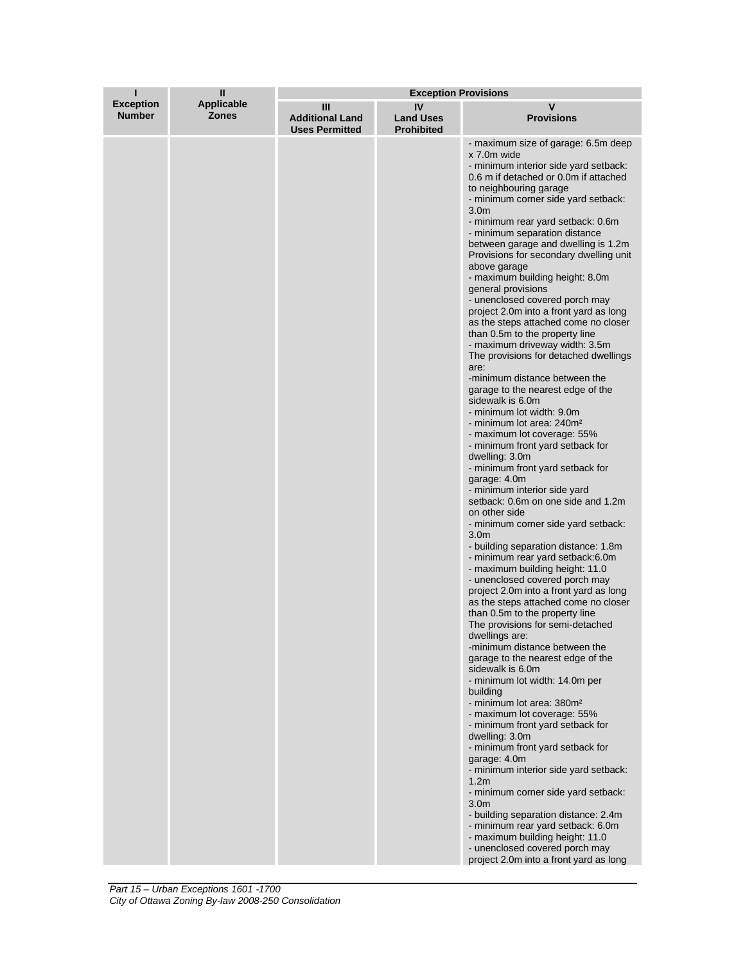| ı                                 | Ш                                 | <b>Exception Provisions</b>                          |                                             |                                                                                                                                                                                                                                                                                                                                                                                                                                                                                                                                                                                                                                                                                                                                                                                                                                                                                                                                                                                                                                                                                                                                                                                                                                                                                                                                                                                                                                                                                                                                                                                                                                                                                                                                                                                                                                                                                                                                                                                                                                                                                                                                        |  |
|-----------------------------------|-----------------------------------|------------------------------------------------------|---------------------------------------------|----------------------------------------------------------------------------------------------------------------------------------------------------------------------------------------------------------------------------------------------------------------------------------------------------------------------------------------------------------------------------------------------------------------------------------------------------------------------------------------------------------------------------------------------------------------------------------------------------------------------------------------------------------------------------------------------------------------------------------------------------------------------------------------------------------------------------------------------------------------------------------------------------------------------------------------------------------------------------------------------------------------------------------------------------------------------------------------------------------------------------------------------------------------------------------------------------------------------------------------------------------------------------------------------------------------------------------------------------------------------------------------------------------------------------------------------------------------------------------------------------------------------------------------------------------------------------------------------------------------------------------------------------------------------------------------------------------------------------------------------------------------------------------------------------------------------------------------------------------------------------------------------------------------------------------------------------------------------------------------------------------------------------------------------------------------------------------------------------------------------------------------|--|
| <b>Exception</b><br><b>Number</b> | <b>Applicable</b><br><b>Zones</b> | Ш<br><b>Additional Land</b><br><b>Uses Permitted</b> | IV<br><b>Land Uses</b><br><b>Prohibited</b> | ۷<br><b>Provisions</b>                                                                                                                                                                                                                                                                                                                                                                                                                                                                                                                                                                                                                                                                                                                                                                                                                                                                                                                                                                                                                                                                                                                                                                                                                                                                                                                                                                                                                                                                                                                                                                                                                                                                                                                                                                                                                                                                                                                                                                                                                                                                                                                 |  |
|                                   |                                   |                                                      |                                             | - maximum size of garage: 6.5m deep<br>x 7.0m wide<br>- minimum interior side yard setback:<br>0.6 m if detached or 0.0m if attached<br>to neighbouring garage<br>- minimum corner side yard setback:<br>3.0 <sub>m</sub><br>- minimum rear yard setback: 0.6m<br>- minimum separation distance<br>between garage and dwelling is 1.2m<br>Provisions for secondary dwelling unit<br>above garage<br>- maximum building height: 8.0m<br>general provisions<br>- unenclosed covered porch may<br>project 2.0m into a front yard as long<br>as the steps attached come no closer<br>than 0.5m to the property line<br>- maximum driveway width: 3.5m<br>The provisions for detached dwellings<br>are:<br>-minimum distance between the<br>garage to the nearest edge of the<br>sidewalk is 6.0m<br>- minimum lot width: 9.0m<br>- minimum lot area: 240m <sup>2</sup><br>- maximum lot coverage: 55%<br>- minimum front yard setback for<br>dwelling: 3.0m<br>- minimum front yard setback for<br>garage: 4.0m<br>- minimum interior side yard<br>setback: 0.6m on one side and 1.2m<br>on other side<br>- minimum corner side yard setback:<br>3.0 <sub>m</sub><br>- building separation distance: 1.8m<br>- minimum rear yard setback:6.0m<br>- maximum building height: 11.0<br>- unenclosed covered porch may<br>project 2.0m into a front yard as long<br>as the steps attached come no closer<br>than 0.5m to the property line<br>The provisions for semi-detached<br>dwellings are:<br>-minimum distance between the<br>garage to the nearest edge of the<br>sidewalk is 6.0m<br>- minimum lot width: 14.0m per<br>building<br>- minimum lot area: 380m <sup>2</sup><br>- maximum lot coverage: 55%<br>- minimum front yard setback for<br>dwelling: 3.0m<br>- minimum front yard setback for<br>garage: 4.0m<br>- minimum interior side yard setback:<br>1.2 <sub>m</sub><br>- minimum corner side yard setback:<br>3.0 <sub>m</sub><br>- building separation distance: 2.4m<br>- minimum rear yard setback: 6.0m<br>- maximum building height: 11.0<br>- unenclosed covered porch may<br>project 2.0m into a front yard as long |  |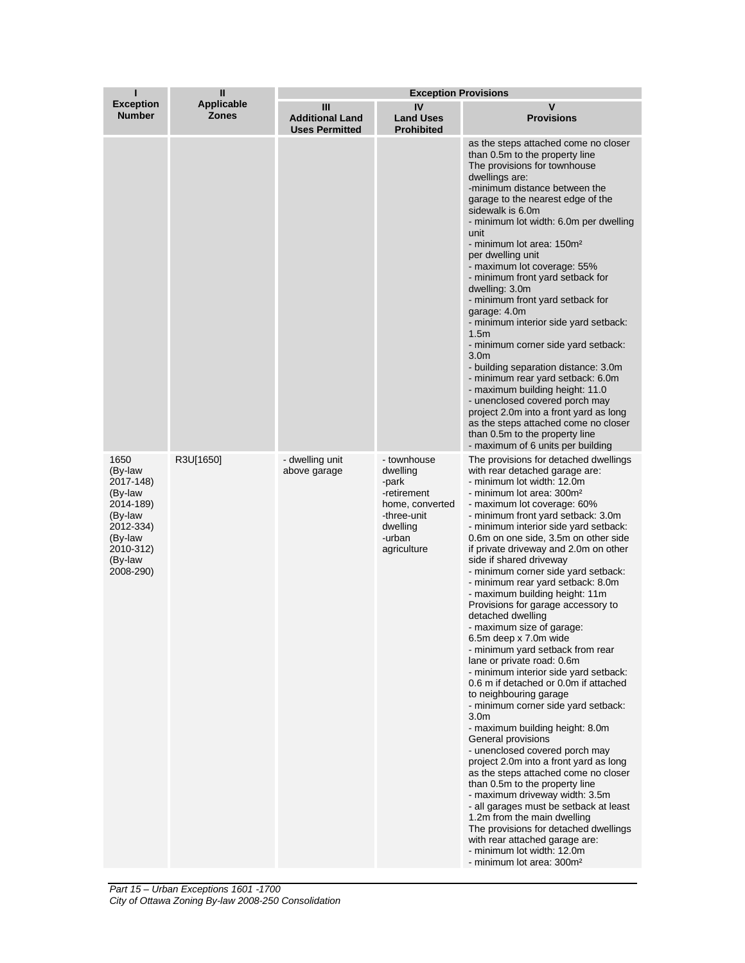| ı                                                                                                                            | Ш                          | <b>Exception Provisions</b>                          |                                                                                                                        |                                                                                                                                                                                                                                                                                                                                                                                                                                                                                                                                                                                                                                                                                                                                                                                                                                                                                                                                                                                                                                                                                                                                                                                                                                                                                                                              |  |
|------------------------------------------------------------------------------------------------------------------------------|----------------------------|------------------------------------------------------|------------------------------------------------------------------------------------------------------------------------|------------------------------------------------------------------------------------------------------------------------------------------------------------------------------------------------------------------------------------------------------------------------------------------------------------------------------------------------------------------------------------------------------------------------------------------------------------------------------------------------------------------------------------------------------------------------------------------------------------------------------------------------------------------------------------------------------------------------------------------------------------------------------------------------------------------------------------------------------------------------------------------------------------------------------------------------------------------------------------------------------------------------------------------------------------------------------------------------------------------------------------------------------------------------------------------------------------------------------------------------------------------------------------------------------------------------------|--|
| <b>Exception</b><br><b>Number</b>                                                                                            | Applicable<br><b>Zones</b> | Ш<br><b>Additional Land</b><br><b>Uses Permitted</b> | IV<br><b>Land Uses</b><br><b>Prohibited</b>                                                                            | V<br><b>Provisions</b>                                                                                                                                                                                                                                                                                                                                                                                                                                                                                                                                                                                                                                                                                                                                                                                                                                                                                                                                                                                                                                                                                                                                                                                                                                                                                                       |  |
|                                                                                                                              |                            |                                                      |                                                                                                                        | as the steps attached come no closer<br>than 0.5m to the property line<br>The provisions for townhouse<br>dwellings are:<br>-minimum distance between the<br>garage to the nearest edge of the<br>sidewalk is 6.0m<br>- minimum lot width: 6.0m per dwelling<br>unit<br>- minimum lot area: 150m <sup>2</sup><br>per dwelling unit<br>- maximum lot coverage: 55%<br>- minimum front yard setback for<br>dwelling: 3.0m<br>- minimum front yard setback for<br>garage: 4.0m<br>- minimum interior side yard setback:<br>1.5 <sub>m</sub><br>- minimum corner side yard setback:<br>3.0 <sub>m</sub><br>- building separation distance: 3.0m<br>- minimum rear yard setback: 6.0m<br>- maximum building height: 11.0<br>- unenclosed covered porch may<br>project 2.0m into a front yard as long<br>as the steps attached come no closer<br>than 0.5m to the property line<br>- maximum of 6 units per building                                                                                                                                                                                                                                                                                                                                                                                                               |  |
| 1650<br>(By-law<br>2017-148)<br>(By-law<br>2014-189)<br>(By-law<br>2012-334)<br>(By-law<br>2010-312)<br>(By-law<br>2008-290) | R3U[1650]                  | - dwelling unit<br>above garage                      | - townhouse<br>dwelling<br>-park<br>-retirement<br>home, converted<br>-three-unit<br>dwelling<br>-urban<br>agriculture | The provisions for detached dwellings<br>with rear detached garage are:<br>- minimum lot width: 12.0m<br>- minimum lot area: 300m <sup>2</sup><br>- maximum lot coverage: 60%<br>- minimum front yard setback: 3.0m<br>- minimum interior side yard setback:<br>0.6m on one side, 3.5m on other side<br>if private driveway and 2.0m on other<br>side if shared driveway<br>- minimum corner side yard setback:<br>- minimum rear yard setback: 8.0m<br>- maximum building height: 11m<br>Provisions for garage accessory to<br>detached dwelling<br>- maximum size of garage:<br>6.5m deep x 7.0m wide<br>- minimum yard setback from rear<br>lane or private road: 0.6m<br>- minimum interior side yard setback:<br>0.6 m if detached or 0.0m if attached<br>to neighbouring garage<br>- minimum corner side yard setback:<br>3.0 <sub>m</sub><br>- maximum building height: 8.0m<br>General provisions<br>- unenclosed covered porch may<br>project 2.0m into a front yard as long<br>as the steps attached come no closer<br>than 0.5m to the property line<br>- maximum driveway width: 3.5m<br>- all garages must be setback at least<br>1.2m from the main dwelling<br>The provisions for detached dwellings<br>with rear attached garage are:<br>- minimum lot width: 12.0m<br>- minimum lot area: 300m <sup>2</sup> |  |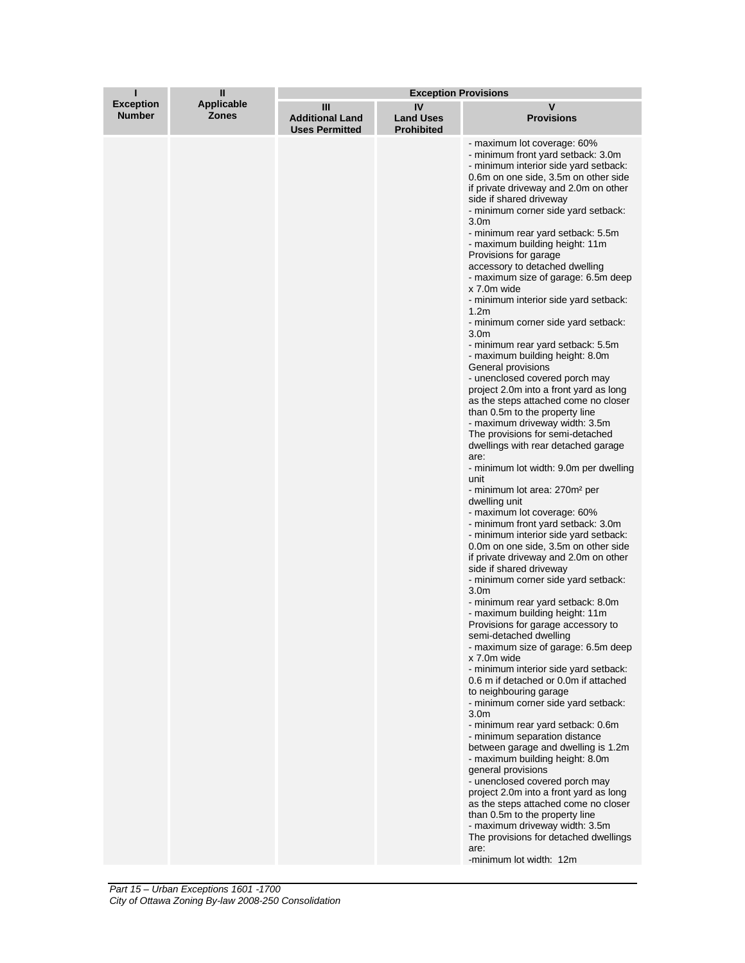|                                   | Ш                                 | <b>Exception Provisions</b>                          |                                             |                                                                                                                                                                                                                                                                                                                                                                                                                                                                                                                                                                                                                                                                                                                                                                                                                                                                                                                                                                                                                                                                                                                                                                                                                                                                                                                                                                                                                                                                                                                                                                                                                                                                                                                                                                                                                                                                                                                                                                                                                                                                                                                                                                                               |  |
|-----------------------------------|-----------------------------------|------------------------------------------------------|---------------------------------------------|-----------------------------------------------------------------------------------------------------------------------------------------------------------------------------------------------------------------------------------------------------------------------------------------------------------------------------------------------------------------------------------------------------------------------------------------------------------------------------------------------------------------------------------------------------------------------------------------------------------------------------------------------------------------------------------------------------------------------------------------------------------------------------------------------------------------------------------------------------------------------------------------------------------------------------------------------------------------------------------------------------------------------------------------------------------------------------------------------------------------------------------------------------------------------------------------------------------------------------------------------------------------------------------------------------------------------------------------------------------------------------------------------------------------------------------------------------------------------------------------------------------------------------------------------------------------------------------------------------------------------------------------------------------------------------------------------------------------------------------------------------------------------------------------------------------------------------------------------------------------------------------------------------------------------------------------------------------------------------------------------------------------------------------------------------------------------------------------------------------------------------------------------------------------------------------------------|--|
| <b>Exception</b><br><b>Number</b> | <b>Applicable</b><br><b>Zones</b> | Ш<br><b>Additional Land</b><br><b>Uses Permitted</b> | IV<br><b>Land Uses</b><br><b>Prohibited</b> | v<br><b>Provisions</b>                                                                                                                                                                                                                                                                                                                                                                                                                                                                                                                                                                                                                                                                                                                                                                                                                                                                                                                                                                                                                                                                                                                                                                                                                                                                                                                                                                                                                                                                                                                                                                                                                                                                                                                                                                                                                                                                                                                                                                                                                                                                                                                                                                        |  |
|                                   |                                   |                                                      |                                             | - maximum lot coverage: 60%<br>- minimum front yard setback: 3.0m<br>- minimum interior side yard setback:<br>0.6m on one side, 3.5m on other side<br>if private driveway and 2.0m on other<br>side if shared driveway<br>- minimum corner side yard setback:<br>3.0 <sub>m</sub><br>- minimum rear yard setback: 5.5m<br>- maximum building height: 11m<br>Provisions for garage<br>accessory to detached dwelling<br>- maximum size of garage: 6.5m deep<br>x 7.0m wide<br>- minimum interior side yard setback:<br>1.2 <sub>m</sub><br>- minimum corner side yard setback:<br>3.0 <sub>m</sub><br>- minimum rear yard setback: 5.5m<br>- maximum building height: 8.0m<br>General provisions<br>- unenclosed covered porch may<br>project 2.0m into a front yard as long<br>as the steps attached come no closer<br>than 0.5m to the property line<br>- maximum driveway width: 3.5m<br>The provisions for semi-detached<br>dwellings with rear detached garage<br>are:<br>- minimum lot width: 9.0m per dwelling<br>unit<br>- minimum lot area: 270m <sup>2</sup> per<br>dwelling unit<br>- maximum lot coverage: 60%<br>- minimum front yard setback: 3.0m<br>- minimum interior side yard setback:<br>0.0m on one side, 3.5m on other side<br>if private driveway and 2.0m on other<br>side if shared driveway<br>- minimum corner side yard setback:<br>3.0 <sub>m</sub><br>- minimum rear yard setback: 8.0m<br>- maximum building height: 11m<br>Provisions for garage accessory to<br>semi-detached dwelling<br>- maximum size of garage: 6.5m deep<br>x 7.0m wide<br>- minimum interior side yard setback:<br>0.6 m if detached or 0.0m if attached<br>to neighbouring garage<br>- minimum corner side yard setback:<br>3.0 <sub>m</sub><br>- minimum rear yard setback: 0.6m<br>- minimum separation distance<br>between garage and dwelling is 1.2m<br>- maximum building height: 8.0m<br>general provisions<br>- unenclosed covered porch may<br>project 2.0m into a front yard as long<br>as the steps attached come no closer<br>than 0.5m to the property line<br>- maximum driveway width: 3.5m<br>The provisions for detached dwellings<br>are:<br>-minimum lot width: 12m |  |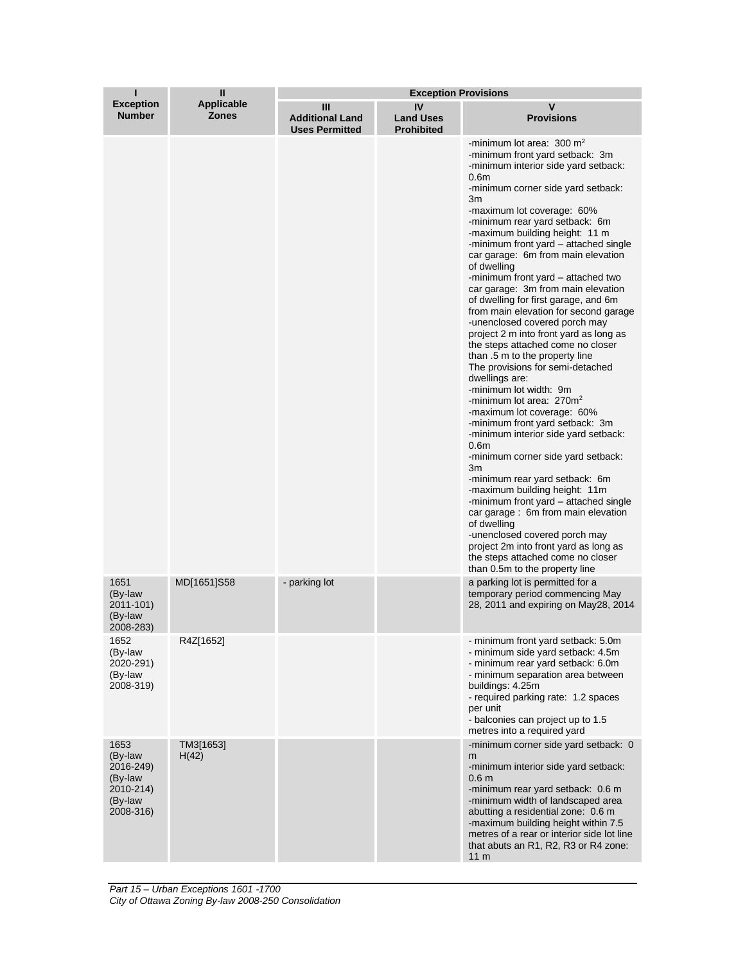| ı                                                                            | $\mathbf{u}$                      | <b>Exception Provisions</b>                          |                                             |                                                                                                                                                                                                                                                                                                                                                                                                                                                                                                                                                                                                                                                                                                                                                                                                                                                                                                                                                                                                                                                                                                                                                                                                                                                                                                          |  |
|------------------------------------------------------------------------------|-----------------------------------|------------------------------------------------------|---------------------------------------------|----------------------------------------------------------------------------------------------------------------------------------------------------------------------------------------------------------------------------------------------------------------------------------------------------------------------------------------------------------------------------------------------------------------------------------------------------------------------------------------------------------------------------------------------------------------------------------------------------------------------------------------------------------------------------------------------------------------------------------------------------------------------------------------------------------------------------------------------------------------------------------------------------------------------------------------------------------------------------------------------------------------------------------------------------------------------------------------------------------------------------------------------------------------------------------------------------------------------------------------------------------------------------------------------------------|--|
| <b>Exception</b><br><b>Number</b>                                            | <b>Applicable</b><br><b>Zones</b> | Ш<br><b>Additional Land</b><br><b>Uses Permitted</b> | IV<br><b>Land Uses</b><br><b>Prohibited</b> | v<br><b>Provisions</b>                                                                                                                                                                                                                                                                                                                                                                                                                                                                                                                                                                                                                                                                                                                                                                                                                                                                                                                                                                                                                                                                                                                                                                                                                                                                                   |  |
|                                                                              |                                   |                                                      |                                             | -minimum lot area: $300 \text{ m}^2$<br>-minimum front yard setback: 3m<br>-minimum interior side yard setback:<br>0.6 <sub>m</sub><br>-minimum corner side yard setback:<br>3m<br>-maximum lot coverage: 60%<br>-minimum rear yard setback: 6m<br>-maximum building height: 11 m<br>-minimum front yard – attached single<br>car garage: 6m from main elevation<br>of dwelling<br>-minimum front yard - attached two<br>car garage: 3m from main elevation<br>of dwelling for first garage, and 6m<br>from main elevation for second garage<br>-unenclosed covered porch may<br>project 2 m into front yard as long as<br>the steps attached come no closer<br>than .5 m to the property line<br>The provisions for semi-detached<br>dwellings are:<br>-minimum lot width: 9m<br>-minimum lot area: $270m^2$<br>-maximum lot coverage: 60%<br>-minimum front yard setback: 3m<br>-minimum interior side yard setback:<br>0.6 <sub>m</sub><br>-minimum corner side yard setback:<br>3m<br>-minimum rear yard setback: 6m<br>-maximum building height: 11m<br>-minimum front yard – attached single<br>car garage: 6m from main elevation<br>of dwelling<br>-unenclosed covered porch may<br>project 2m into front yard as long as<br>the steps attached come no closer<br>than 0.5m to the property line |  |
| 1651<br>(By-law<br>2011-101)<br>(By-law<br>2008-283)                         | MD[1651]S58                       | - parking lot                                        |                                             | a parking lot is permitted for a<br>temporary period commencing May<br>28, 2011 and expiring on May28, 2014                                                                                                                                                                                                                                                                                                                                                                                                                                                                                                                                                                                                                                                                                                                                                                                                                                                                                                                                                                                                                                                                                                                                                                                              |  |
| 1652<br>(By-law<br>2020-291)<br>(By-law<br>2008-319)                         | R4Z[1652]                         |                                                      |                                             | - minimum front yard setback: 5.0m<br>- minimum side yard setback: 4.5m<br>- minimum rear yard setback: 6.0m<br>- minimum separation area between<br>buildings: 4.25m<br>- required parking rate: 1.2 spaces<br>per unit<br>- balconies can project up to 1.5<br>metres into a required yard                                                                                                                                                                                                                                                                                                                                                                                                                                                                                                                                                                                                                                                                                                                                                                                                                                                                                                                                                                                                             |  |
| 1653<br>(By-law<br>2016-249)<br>(By-law<br>2010-214)<br>(By-law<br>2008-316) | TM3[1653]<br>H(42)                |                                                      |                                             | -minimum corner side yard setback: 0<br>m<br>-minimum interior side yard setback:<br>0.6 <sub>m</sub><br>-minimum rear yard setback: 0.6 m<br>-minimum width of landscaped area<br>abutting a residential zone: 0.6 m<br>-maximum building height within 7.5<br>metres of a rear or interior side lot line<br>that abuts an R1, R2, R3 or R4 zone:<br>11 <sub>m</sub>                                                                                                                                                                                                                                                                                                                                                                                                                                                                                                                                                                                                                                                                                                                                                                                                                                                                                                                                    |  |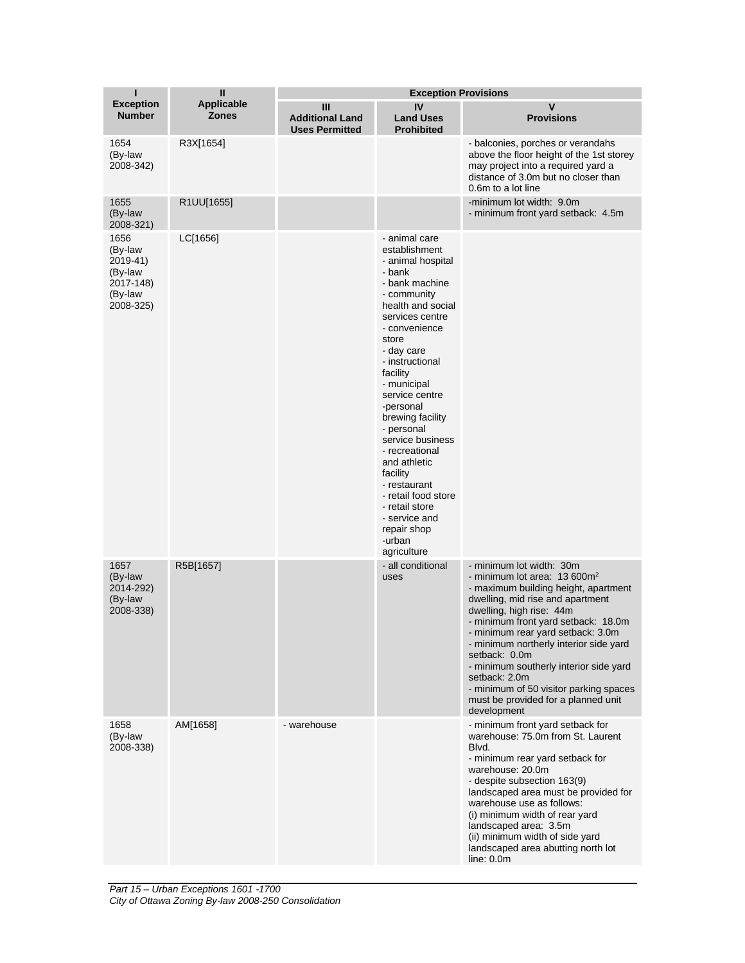| ī                                                                           | $\mathbf{I}$                      | <b>Exception Provisions</b>                                       |                                                                                                                                                                                                                                                                                                                                                                                                                                                                                   |                                                                                                                                                                                                                                                                                                                                                                                                                                                                      |
|-----------------------------------------------------------------------------|-----------------------------------|-------------------------------------------------------------------|-----------------------------------------------------------------------------------------------------------------------------------------------------------------------------------------------------------------------------------------------------------------------------------------------------------------------------------------------------------------------------------------------------------------------------------------------------------------------------------|----------------------------------------------------------------------------------------------------------------------------------------------------------------------------------------------------------------------------------------------------------------------------------------------------------------------------------------------------------------------------------------------------------------------------------------------------------------------|
| <b>Exception</b><br><b>Number</b>                                           | <b>Applicable</b><br><b>Zones</b> | $\mathbf{III}$<br><b>Additional Land</b><br><b>Uses Permitted</b> | IV<br><b>Land Uses</b><br><b>Prohibited</b>                                                                                                                                                                                                                                                                                                                                                                                                                                       | V<br><b>Provisions</b>                                                                                                                                                                                                                                                                                                                                                                                                                                               |
| 1654<br>(By-law<br>2008-342)                                                | R3X[1654]                         |                                                                   |                                                                                                                                                                                                                                                                                                                                                                                                                                                                                   | - balconies, porches or verandahs<br>above the floor height of the 1st storey<br>may project into a required yard a<br>distance of 3.0m but no closer than<br>0.6m to a lot line                                                                                                                                                                                                                                                                                     |
| 1655<br>(By-law<br>2008-321)                                                | R1UU[1655]                        |                                                                   |                                                                                                                                                                                                                                                                                                                                                                                                                                                                                   | -minimum lot width: 9.0m<br>- minimum front yard setback: 4.5m                                                                                                                                                                                                                                                                                                                                                                                                       |
| 1656<br>(By-law<br>2019-41)<br>(By-law<br>2017-148)<br>(By-law<br>2008-325) | LC[1656]                          |                                                                   | - animal care<br>establishment<br>- animal hospital<br>- bank<br>- bank machine<br>- community<br>health and social<br>services centre<br>- convenience<br>store<br>- day care<br>- instructional<br>facility<br>- municipal<br>service centre<br>-personal<br>brewing facility<br>- personal<br>service business<br>- recreational<br>and athletic<br>facility<br>- restaurant<br>- retail food store<br>- retail store<br>- service and<br>repair shop<br>-urban<br>agriculture |                                                                                                                                                                                                                                                                                                                                                                                                                                                                      |
| 1657<br>(By-law<br>2014-292)<br>(By-law<br>2008-338)                        | R5B[1657]                         |                                                                   | - all conditional<br>uses                                                                                                                                                                                                                                                                                                                                                                                                                                                         | - minimum lot width: 30m<br>- minimum lot area: $13600m^2$<br>- maximum building height, apartment<br>dwelling, mid rise and apartment<br>dwelling, high rise: 44m<br>- minimum front yard setback: 18.0m<br>- minimum rear yard setback: 3.0m<br>- minimum northerly interior side yard<br>setback: 0.0m<br>- minimum southerly interior side yard<br>setback: 2.0m<br>- minimum of 50 visitor parking spaces<br>must be provided for a planned unit<br>development |
| 1658<br>(By-law<br>2008-338)                                                | AM[1658]                          | - warehouse                                                       |                                                                                                                                                                                                                                                                                                                                                                                                                                                                                   | - minimum front yard setback for<br>warehouse: 75.0m from St. Laurent<br>Blvd.<br>- minimum rear yard setback for<br>warehouse: 20.0m<br>- despite subsection 163(9)<br>landscaped area must be provided for<br>warehouse use as follows:<br>(i) minimum width of rear yard<br>landscaped area: 3.5m<br>(ii) minimum width of side yard<br>landscaped area abutting north lot<br>line: 0.0m                                                                          |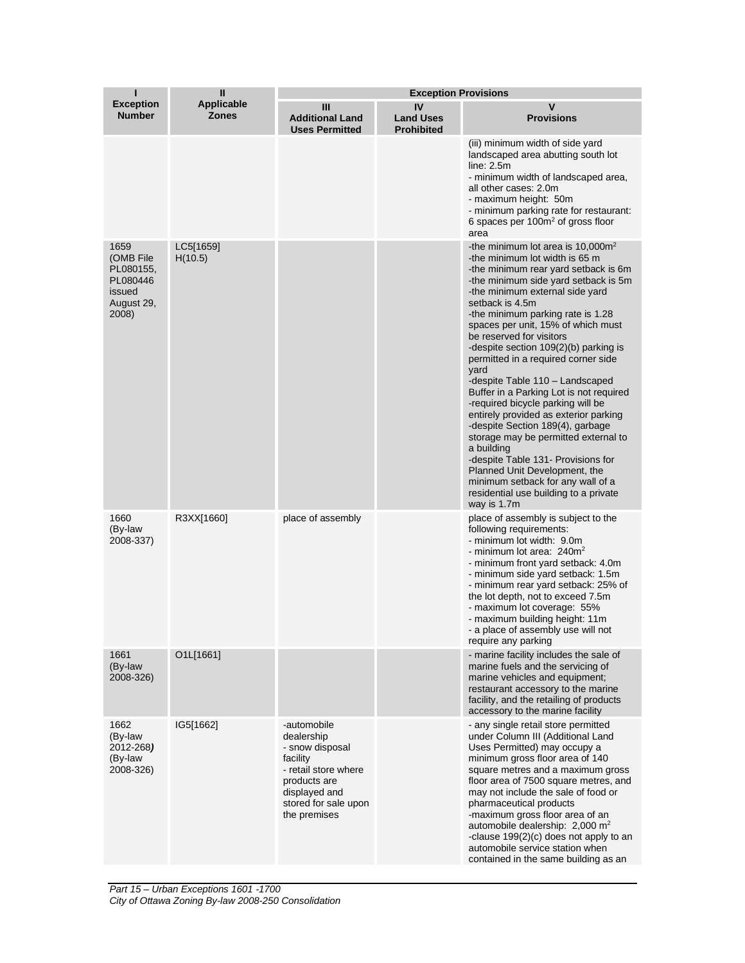|                                                                             | $\mathbf{I}$               | <b>Exception Provisions</b>                                                                                                                               |                                             |                                                                                                                                                                                                                                                                                                                                                                                                                                                                                                                                                                                                                                                                                                                                                                                                                                       |  |
|-----------------------------------------------------------------------------|----------------------------|-----------------------------------------------------------------------------------------------------------------------------------------------------------|---------------------------------------------|---------------------------------------------------------------------------------------------------------------------------------------------------------------------------------------------------------------------------------------------------------------------------------------------------------------------------------------------------------------------------------------------------------------------------------------------------------------------------------------------------------------------------------------------------------------------------------------------------------------------------------------------------------------------------------------------------------------------------------------------------------------------------------------------------------------------------------------|--|
| <b>Exception</b><br><b>Number</b>                                           | <b>Applicable</b><br>Zones | Ш<br><b>Additional Land</b><br><b>Uses Permitted</b>                                                                                                      | IV<br><b>Land Uses</b><br><b>Prohibited</b> | V<br><b>Provisions</b>                                                                                                                                                                                                                                                                                                                                                                                                                                                                                                                                                                                                                                                                                                                                                                                                                |  |
|                                                                             |                            |                                                                                                                                                           |                                             | (iii) minimum width of side yard<br>landscaped area abutting south lot<br>line: 2.5m<br>- minimum width of landscaped area,<br>all other cases: 2.0m<br>- maximum height: 50m<br>- minimum parking rate for restaurant:<br>6 spaces per 100m <sup>2</sup> of gross floor<br>area                                                                                                                                                                                                                                                                                                                                                                                                                                                                                                                                                      |  |
| 1659<br>(OMB File<br>PL080155,<br>PL080446<br>issued<br>August 29,<br>2008) | LC5[1659]<br>H(10.5)       |                                                                                                                                                           |                                             | -the minimum lot area is $10,000m^2$<br>-the minimum lot width is 65 m<br>-the minimum rear yard setback is 6m<br>-the minimum side yard setback is 5m<br>-the minimum external side yard<br>setback is 4.5m<br>-the minimum parking rate is 1.28<br>spaces per unit, 15% of which must<br>be reserved for visitors<br>-despite section 109(2)(b) parking is<br>permitted in a required corner side<br>yard<br>-despite Table 110 - Landscaped<br>Buffer in a Parking Lot is not required<br>-required bicycle parking will be<br>entirely provided as exterior parking<br>-despite Section 189(4), garbage<br>storage may be permitted external to<br>a building<br>-despite Table 131- Provisions for<br>Planned Unit Development, the<br>minimum setback for any wall of a<br>residential use building to a private<br>way is 1.7m |  |
| 1660<br>(By-law<br>2008-337)                                                | R3XX[1660]                 | place of assembly                                                                                                                                         |                                             | place of assembly is subject to the<br>following requirements:<br>- minimum lot width: 9.0m<br>- minimum lot area: $240m^2$<br>- minimum front yard setback: 4.0m<br>- minimum side yard setback: 1.5m<br>- minimum rear yard setback: 25% of<br>the lot depth, not to exceed 7.5m<br>- maximum lot coverage: 55%<br>- maximum building height: 11m<br>- a place of assembly use will not<br>require any parking                                                                                                                                                                                                                                                                                                                                                                                                                      |  |
| 1661<br>(By-law<br>2008-326)                                                | O1L[1661]                  |                                                                                                                                                           |                                             | - marine facility includes the sale of<br>marine fuels and the servicing of<br>marine vehicles and equipment;<br>restaurant accessory to the marine<br>facility, and the retailing of products<br>accessory to the marine facility                                                                                                                                                                                                                                                                                                                                                                                                                                                                                                                                                                                                    |  |
| 1662<br>(By-law<br>2012-268)<br>(By-law<br>2008-326)                        | IG5[1662]                  | -automobile<br>dealership<br>- snow disposal<br>facility<br>- retail store where<br>products are<br>displayed and<br>stored for sale upon<br>the premises |                                             | - any single retail store permitted<br>under Column III (Additional Land<br>Uses Permitted) may occupy a<br>minimum gross floor area of 140<br>square metres and a maximum gross<br>floor area of 7500 square metres, and<br>may not include the sale of food or<br>pharmaceutical products<br>-maximum gross floor area of an<br>automobile dealership: 2,000 m <sup>2</sup><br>-clause 199(2)(c) does not apply to an<br>automobile service station when<br>contained in the same building as an                                                                                                                                                                                                                                                                                                                                    |  |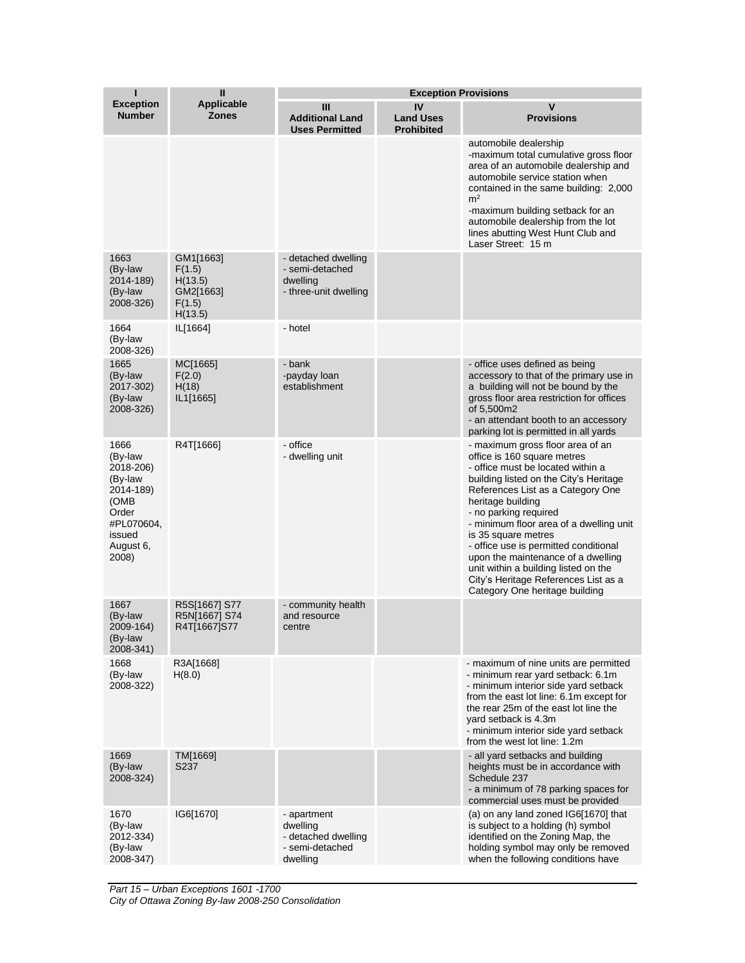| ı                                                                                                                   | Ш                                                                | <b>Exception Provisions</b>                                                   |                                             |                                                                                                                                                                                                                                                                                                                                                                                                                                                                                                      |  |
|---------------------------------------------------------------------------------------------------------------------|------------------------------------------------------------------|-------------------------------------------------------------------------------|---------------------------------------------|------------------------------------------------------------------------------------------------------------------------------------------------------------------------------------------------------------------------------------------------------------------------------------------------------------------------------------------------------------------------------------------------------------------------------------------------------------------------------------------------------|--|
| <b>Exception</b><br><b>Number</b>                                                                                   | <b>Applicable</b><br><b>Zones</b>                                | Ш<br><b>Additional Land</b><br><b>Uses Permitted</b>                          | IV<br><b>Land Uses</b><br><b>Prohibited</b> | $\mathbf v$<br><b>Provisions</b>                                                                                                                                                                                                                                                                                                                                                                                                                                                                     |  |
|                                                                                                                     |                                                                  |                                                                               |                                             | automobile dealership<br>-maximum total cumulative gross floor<br>area of an automobile dealership and<br>automobile service station when<br>contained in the same building: 2,000<br>m <sup>2</sup><br>-maximum building setback for an<br>automobile dealership from the lot<br>lines abutting West Hunt Club and<br>Laser Street: 15 m                                                                                                                                                            |  |
| 1663<br>(By-law<br>2014-189)<br>(By-law<br>2008-326)                                                                | GM1[1663]<br>F(1.5)<br>H(13.5)<br>GM2[1663]<br>F(1.5)<br>H(13.5) | - detached dwelling<br>- semi-detached<br>dwelling<br>- three-unit dwelling   |                                             |                                                                                                                                                                                                                                                                                                                                                                                                                                                                                                      |  |
| 1664<br>(By-law<br>2008-326)                                                                                        | IL[1664]                                                         | - hotel                                                                       |                                             |                                                                                                                                                                                                                                                                                                                                                                                                                                                                                                      |  |
| 1665<br>(By-law<br>2017-302)<br>(By-law<br>2008-326)                                                                | MC[1665]<br>F(2.0)<br>H(18)<br>IL1[1665]                         | - bank<br>-payday loan<br>establishment                                       |                                             | - office uses defined as being<br>accessory to that of the primary use in<br>a building will not be bound by the<br>gross floor area restriction for offices<br>of 5,500m2<br>- an attendant booth to an accessory<br>parking lot is permitted in all yards                                                                                                                                                                                                                                          |  |
| 1666<br>(By-law<br>2018-206)<br>(By-law<br>2014-189)<br>(OMB<br>Order<br>#PL070604,<br>issued<br>August 6,<br>2008) | R4T[1666]                                                        | - office<br>- dwelling unit                                                   |                                             | - maximum gross floor area of an<br>office is 160 square metres<br>- office must be located within a<br>building listed on the City's Heritage<br>References List as a Category One<br>heritage building<br>- no parking required<br>- minimum floor area of a dwelling unit<br>is 35 square metres<br>- office use is permitted conditional<br>upon the maintenance of a dwelling<br>unit within a building listed on the<br>City's Heritage References List as a<br>Category One heritage building |  |
| 1667<br>(By-law<br>2009-164)<br>(By-law<br>2008-341)                                                                | R5S[1667] S77<br>R5N[1667] S74<br>R4T[1667]S77                   | - community health<br>and resource<br>centre                                  |                                             |                                                                                                                                                                                                                                                                                                                                                                                                                                                                                                      |  |
| 1668<br>(By-law<br>2008-322)                                                                                        | R3A[1668]<br>H(8.0)                                              |                                                                               |                                             | - maximum of nine units are permitted<br>- minimum rear yard setback: 6.1m<br>- minimum interior side yard setback<br>from the east lot line: 6.1m except for<br>the rear 25m of the east lot line the<br>yard setback is 4.3m<br>- minimum interior side yard setback<br>from the west lot line: 1.2m                                                                                                                                                                                               |  |
| 1669<br>(By-law<br>2008-324)                                                                                        | TM[1669]<br>S237                                                 |                                                                               |                                             | - all yard setbacks and building<br>heights must be in accordance with<br>Schedule 237<br>- a minimum of 78 parking spaces for<br>commercial uses must be provided                                                                                                                                                                                                                                                                                                                                   |  |
| 1670<br>(By-law<br>2012-334)<br>(By-law<br>2008-347)                                                                | IG6[1670]                                                        | - apartment<br>dwelling<br>- detached dwelling<br>- semi-detached<br>dwelling |                                             | (a) on any land zoned IG6[1670] that<br>is subject to a holding (h) symbol<br>identified on the Zoning Map, the<br>holding symbol may only be removed<br>when the following conditions have                                                                                                                                                                                                                                                                                                          |  |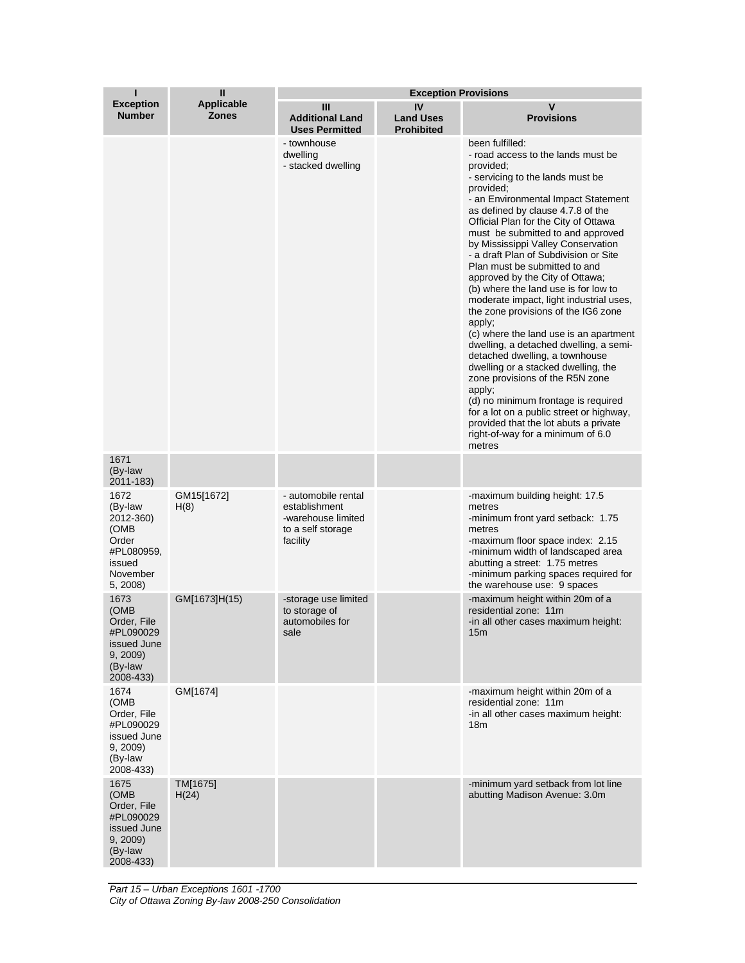| $\mathbf{I}$<br>ı<br><b>Exception Provisions</b>                                              |                                   |                                                                                             |                                             |                                                                                                                                                                                                                                                                                                                                                                                                                                                                                                                                                                                                                                                                                                                                                                                                                                                                                                                                                          |
|-----------------------------------------------------------------------------------------------|-----------------------------------|---------------------------------------------------------------------------------------------|---------------------------------------------|----------------------------------------------------------------------------------------------------------------------------------------------------------------------------------------------------------------------------------------------------------------------------------------------------------------------------------------------------------------------------------------------------------------------------------------------------------------------------------------------------------------------------------------------------------------------------------------------------------------------------------------------------------------------------------------------------------------------------------------------------------------------------------------------------------------------------------------------------------------------------------------------------------------------------------------------------------|
| <b>Exception</b><br><b>Number</b>                                                             | <b>Applicable</b><br><b>Zones</b> | Ш<br><b>Additional Land</b><br><b>Uses Permitted</b>                                        | IV<br><b>Land Uses</b><br><b>Prohibited</b> | v<br><b>Provisions</b>                                                                                                                                                                                                                                                                                                                                                                                                                                                                                                                                                                                                                                                                                                                                                                                                                                                                                                                                   |
|                                                                                               |                                   | - townhouse<br>dwelling<br>- stacked dwelling                                               |                                             | been fulfilled:<br>- road access to the lands must be<br>provided;<br>- servicing to the lands must be<br>provided;<br>- an Environmental Impact Statement<br>as defined by clause 4.7.8 of the<br>Official Plan for the City of Ottawa<br>must be submitted to and approved<br>by Mississippi Valley Conservation<br>- a draft Plan of Subdivision or Site<br>Plan must be submitted to and<br>approved by the City of Ottawa;<br>(b) where the land use is for low to<br>moderate impact, light industrial uses,<br>the zone provisions of the IG6 zone<br>apply:<br>(c) where the land use is an apartment<br>dwelling, a detached dwelling, a semi-<br>detached dwelling, a townhouse<br>dwelling or a stacked dwelling, the<br>zone provisions of the R5N zone<br>apply;<br>(d) no minimum frontage is required<br>for a lot on a public street or highway,<br>provided that the lot abuts a private<br>right-of-way for a minimum of 6.0<br>metres |
| 1671<br>(By-law<br>2011-183)                                                                  |                                   |                                                                                             |                                             |                                                                                                                                                                                                                                                                                                                                                                                                                                                                                                                                                                                                                                                                                                                                                                                                                                                                                                                                                          |
| 1672<br>(By-law<br>2012-360)<br>(OMB<br>Order<br>#PL080959,<br>issued<br>November<br>5, 2008) | GM15[1672]<br>H(8)                | - automobile rental<br>establishment<br>-warehouse limited<br>to a self storage<br>facility |                                             | -maximum building height: 17.5<br>metres<br>-minimum front yard setback: 1.75<br>metres<br>-maximum floor space index: 2.15<br>-minimum width of landscaped area<br>abutting a street: 1.75 metres<br>-minimum parking spaces required for<br>the warehouse use: 9 spaces                                                                                                                                                                                                                                                                                                                                                                                                                                                                                                                                                                                                                                                                                |
| 1673<br>(OMB<br>Order, File<br>#PL090029<br>issued June<br>9, 2009<br>(By-law<br>2008-433)    | GM[1673]H(15)                     | -storage use limited<br>to storage of<br>automobiles for<br>saie                            |                                             | -maximum height within 20m of a<br>residential zone: 11m<br>-in all other cases maximum height:<br>ndri                                                                                                                                                                                                                                                                                                                                                                                                                                                                                                                                                                                                                                                                                                                                                                                                                                                  |
| 1674<br>(OMB<br>Order, File<br>#PL090029<br>issued June<br>9, 2009)<br>(By-law<br>2008-433)   | GM[1674]                          |                                                                                             |                                             | -maximum height within 20m of a<br>residential zone: 11m<br>-in all other cases maximum height:<br>18 <sub>m</sub>                                                                                                                                                                                                                                                                                                                                                                                                                                                                                                                                                                                                                                                                                                                                                                                                                                       |
| 1675<br>(OMB<br>Order, File<br>#PL090029<br>issued June<br>9, 2009)<br>(By-law<br>2008-433)   | TM[1675]<br>H(24)                 |                                                                                             |                                             | -minimum yard setback from lot line<br>abutting Madison Avenue: 3.0m                                                                                                                                                                                                                                                                                                                                                                                                                                                                                                                                                                                                                                                                                                                                                                                                                                                                                     |

*Part 15 – Urban Exceptions 1601 -1700 City of Ottawa Zoning By-law 2008-250 Consolidation*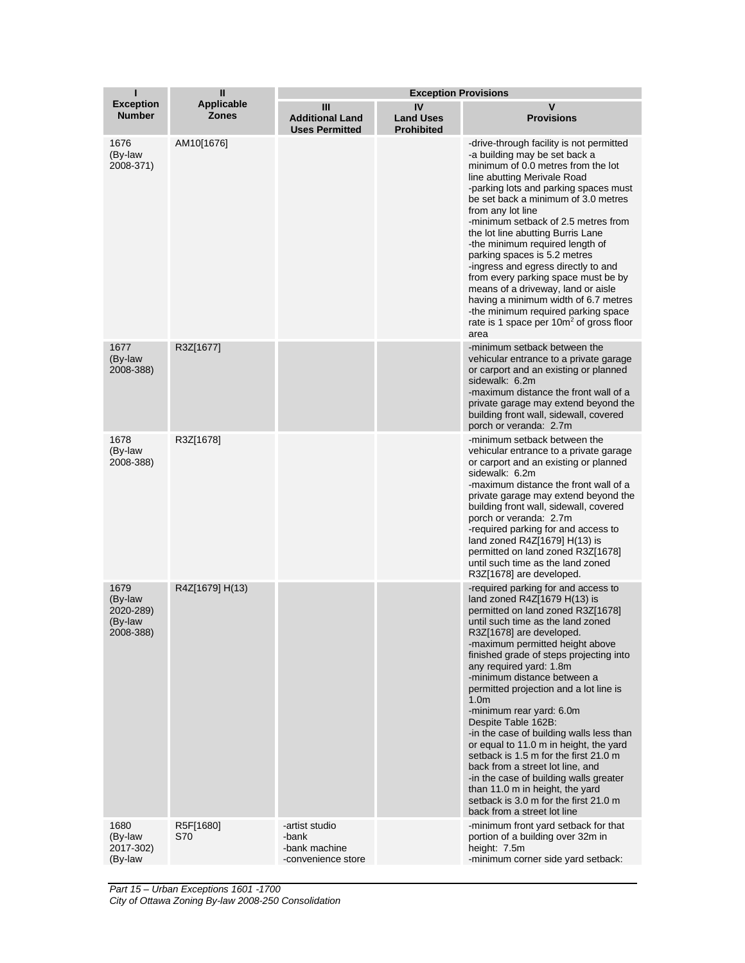| п                                                    | Ш                                 | <b>Exception Provisions</b>                                    |                                             |                                                                                                                                                                                                                                                                                                                                                                                                                                                                                                                                                                                                                                                                                                                                                            |
|------------------------------------------------------|-----------------------------------|----------------------------------------------------------------|---------------------------------------------|------------------------------------------------------------------------------------------------------------------------------------------------------------------------------------------------------------------------------------------------------------------------------------------------------------------------------------------------------------------------------------------------------------------------------------------------------------------------------------------------------------------------------------------------------------------------------------------------------------------------------------------------------------------------------------------------------------------------------------------------------------|
| <b>Exception</b><br><b>Number</b>                    | <b>Applicable</b><br><b>Zones</b> | Ш<br><b>Additional Land</b><br><b>Uses Permitted</b>           | IV<br><b>Land Uses</b><br><b>Prohibited</b> | v<br><b>Provisions</b>                                                                                                                                                                                                                                                                                                                                                                                                                                                                                                                                                                                                                                                                                                                                     |
| 1676<br>(By-law<br>2008-371)                         | AM10[1676]                        |                                                                |                                             | -drive-through facility is not permitted<br>-a building may be set back a<br>minimum of 0.0 metres from the lot<br>line abutting Merivale Road<br>-parking lots and parking spaces must<br>be set back a minimum of 3.0 metres<br>from any lot line<br>-minimum setback of 2.5 metres from<br>the lot line abutting Burris Lane<br>-the minimum required length of<br>parking spaces is 5.2 metres<br>-ingress and egress directly to and<br>from every parking space must be by<br>means of a driveway, land or aisle<br>having a minimum width of 6.7 metres<br>-the minimum required parking space<br>rate is 1 space per $10m^2$ of gross floor<br>area                                                                                                |
| 1677<br>(By-law<br>2008-388)                         | R3Z[1677]                         |                                                                |                                             | -minimum setback between the<br>vehicular entrance to a private garage<br>or carport and an existing or planned<br>sidewalk: 6.2m<br>-maximum distance the front wall of a<br>private garage may extend beyond the<br>building front wall, sidewall, covered<br>porch or veranda: 2.7m                                                                                                                                                                                                                                                                                                                                                                                                                                                                     |
| 1678<br>(By-law<br>2008-388)                         | R3Z[1678]                         |                                                                |                                             | -minimum setback between the<br>vehicular entrance to a private garage<br>or carport and an existing or planned<br>sidewalk: 6.2m<br>-maximum distance the front wall of a<br>private garage may extend beyond the<br>building front wall, sidewall, covered<br>porch or veranda: 2.7m<br>-required parking for and access to<br>land zoned R4Z[1679] H(13) is<br>permitted on land zoned R3Z[1678]<br>until such time as the land zoned<br>R3Z[1678] are developed.                                                                                                                                                                                                                                                                                       |
| 1679<br>(By-law<br>2020-289)<br>(By-law<br>2008-388) | R4Z[1679] H(13)                   |                                                                |                                             | -required parking for and access to<br>land zoned R4Z[1679 H(13) is<br>permitted on land zoned R3Z[1678]<br>until such time as the land zoned<br>R3Z[1678] are developed.<br>-maximum permitted height above<br>finished grade of steps projecting into<br>any required yard: 1.8m<br>-minimum distance between a<br>permitted projection and a lot line is<br>1.0 <sub>m</sub><br>-minimum rear yard: 6.0m<br>Despite Table 162B:<br>-in the case of building walls less than<br>or equal to 11.0 m in height, the yard<br>setback is 1.5 m for the first 21.0 m<br>back from a street lot line, and<br>-in the case of building walls greater<br>than 11.0 m in height, the yard<br>setback is 3.0 m for the first 21.0 m<br>back from a street lot line |
| 1680<br>(By-law<br>2017-302)<br>(By-law              | R5F[1680]<br>S70                  | -artist studio<br>-bank<br>-bank machine<br>-convenience store |                                             | -minimum front yard setback for that<br>portion of a building over 32m in<br>height: 7.5m<br>-minimum corner side yard setback:                                                                                                                                                                                                                                                                                                                                                                                                                                                                                                                                                                                                                            |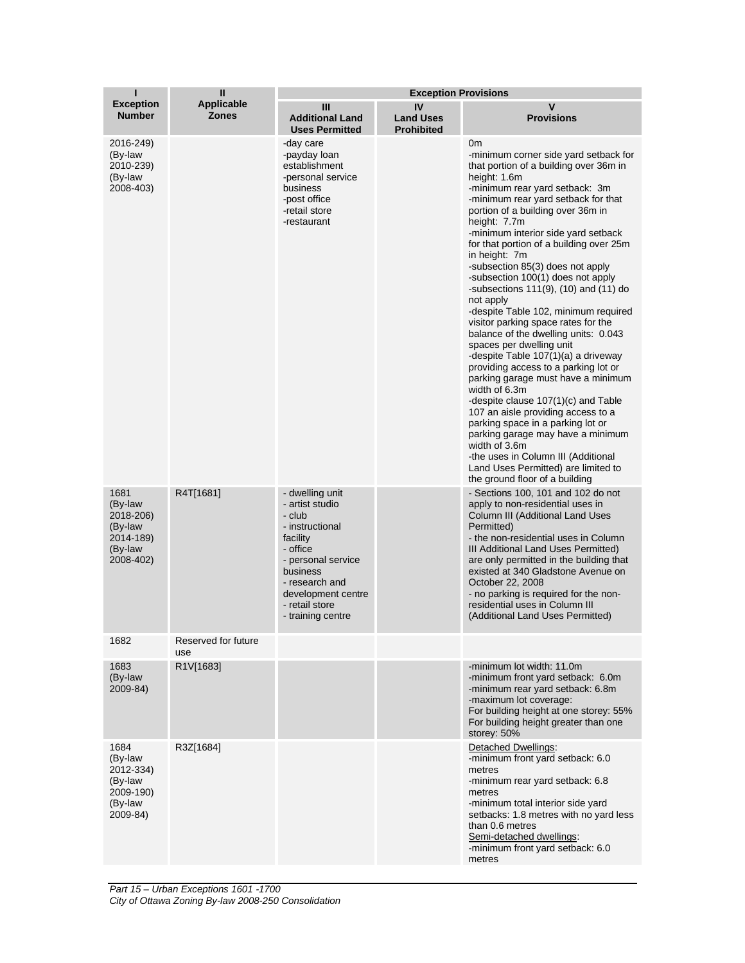| ı                                                                            | $\mathbf{I}$                      | <b>Exception Provisions</b>                                                                                                                                                                              |                                             |                                                                                                                                                                                                                                                                                                                                                                                                                                                                                                                                                                                                                                                                                                                                                                                                                                                                                                                                                                                                                                                                           |  |
|------------------------------------------------------------------------------|-----------------------------------|----------------------------------------------------------------------------------------------------------------------------------------------------------------------------------------------------------|---------------------------------------------|---------------------------------------------------------------------------------------------------------------------------------------------------------------------------------------------------------------------------------------------------------------------------------------------------------------------------------------------------------------------------------------------------------------------------------------------------------------------------------------------------------------------------------------------------------------------------------------------------------------------------------------------------------------------------------------------------------------------------------------------------------------------------------------------------------------------------------------------------------------------------------------------------------------------------------------------------------------------------------------------------------------------------------------------------------------------------|--|
| <b>Exception</b><br><b>Number</b>                                            | <b>Applicable</b><br><b>Zones</b> | Ш<br><b>Additional Land</b><br><b>Uses Permitted</b>                                                                                                                                                     | IV<br><b>Land Uses</b><br><b>Prohibited</b> | v<br><b>Provisions</b>                                                                                                                                                                                                                                                                                                                                                                                                                                                                                                                                                                                                                                                                                                                                                                                                                                                                                                                                                                                                                                                    |  |
| 2016-249)<br>(By-law<br>2010-239)<br>(By-law<br>2008-403)                    |                                   | -day care<br>-payday loan<br>establishment<br>-personal service<br>business<br>-post office<br>-retail store<br>-restaurant                                                                              |                                             | 0 <sub>m</sub><br>-minimum corner side yard setback for<br>that portion of a building over 36m in<br>height: 1.6m<br>-minimum rear yard setback: 3m<br>-minimum rear yard setback for that<br>portion of a building over 36m in<br>height: 7.7m<br>-minimum interior side yard setback<br>for that portion of a building over 25m<br>in height: 7m<br>-subsection 85(3) does not apply<br>-subsection 100(1) does not apply<br>-subsections $111(9)$ , $(10)$ and $(11)$ do<br>not apply<br>-despite Table 102, minimum required<br>visitor parking space rates for the<br>balance of the dwelling units: 0.043<br>spaces per dwelling unit<br>-despite Table 107(1)(a) a driveway<br>providing access to a parking lot or<br>parking garage must have a minimum<br>width of 6.3m<br>-despite clause 107(1)(c) and Table<br>107 an aisle providing access to a<br>parking space in a parking lot or<br>parking garage may have a minimum<br>width of 3.6m<br>-the uses in Column III (Additional<br>Land Uses Permitted) are limited to<br>the ground floor of a building |  |
| 1681<br>(By-law<br>2018-206)<br>(By-law<br>2014-189)<br>(By-law<br>2008-402) | R4T[1681]                         | - dwelling unit<br>- artist studio<br>- club<br>- instructional<br>facility<br>- office<br>- personal service<br>business<br>- research and<br>development centre<br>- retail store<br>- training centre |                                             | - Sections 100, 101 and 102 do not<br>apply to non-residential uses in<br>Column III (Additional Land Uses<br>Permitted)<br>- the non-residential uses in Column<br>III Additional Land Uses Permitted)<br>are only permitted in the building that<br>existed at 340 Gladstone Avenue on<br>October 22, 2008<br>- no parking is required for the non-<br>residential uses in Column III<br>(Additional Land Uses Permitted)                                                                                                                                                                                                                                                                                                                                                                                                                                                                                                                                                                                                                                               |  |
| 1682                                                                         | Reserved for future<br>use        |                                                                                                                                                                                                          |                                             |                                                                                                                                                                                                                                                                                                                                                                                                                                                                                                                                                                                                                                                                                                                                                                                                                                                                                                                                                                                                                                                                           |  |
| 1683<br>(By-law<br>2009-84)                                                  | R1V[1683]                         |                                                                                                                                                                                                          |                                             | -minimum lot width: 11.0m<br>-minimum front yard setback: 6.0m<br>-minimum rear yard setback: 6.8m<br>-maximum lot coverage:<br>For building height at one storey: 55%<br>For building height greater than one<br>storey: 50%                                                                                                                                                                                                                                                                                                                                                                                                                                                                                                                                                                                                                                                                                                                                                                                                                                             |  |
| 1684<br>(By-law<br>2012-334)<br>(By-law<br>2009-190)<br>(By-law<br>2009-84)  | R3Z[1684]                         |                                                                                                                                                                                                          |                                             | <b>Detached Dwellings:</b><br>-minimum front yard setback: 6.0<br>metres<br>-minimum rear yard setback: 6.8<br>metres<br>-minimum total interior side yard<br>setbacks: 1.8 metres with no yard less<br>than 0.6 metres<br>Semi-detached dwellings:<br>-minimum front yard setback: 6.0<br>metres                                                                                                                                                                                                                                                                                                                                                                                                                                                                                                                                                                                                                                                                                                                                                                         |  |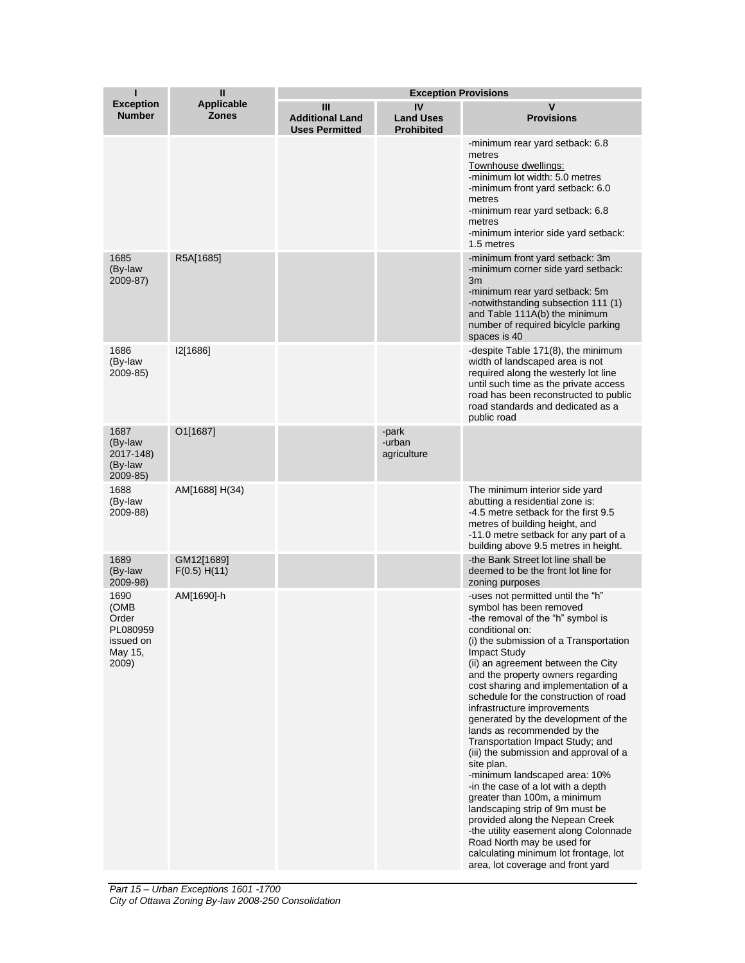| ī                                                                   | $\mathbf{I}$                      | <b>Exception Provisions</b>                          |                                             |                                                                                                                                                                                                                                                                                                                                                                                                                                                                                                                                                                                                                                                                                                                                                                                                                                                                                      |
|---------------------------------------------------------------------|-----------------------------------|------------------------------------------------------|---------------------------------------------|--------------------------------------------------------------------------------------------------------------------------------------------------------------------------------------------------------------------------------------------------------------------------------------------------------------------------------------------------------------------------------------------------------------------------------------------------------------------------------------------------------------------------------------------------------------------------------------------------------------------------------------------------------------------------------------------------------------------------------------------------------------------------------------------------------------------------------------------------------------------------------------|
| <b>Exception</b><br><b>Number</b>                                   | <b>Applicable</b><br><b>Zones</b> | Ш<br><b>Additional Land</b><br><b>Uses Permitted</b> | IV<br><b>Land Uses</b><br><b>Prohibited</b> | $\mathbf v$<br><b>Provisions</b>                                                                                                                                                                                                                                                                                                                                                                                                                                                                                                                                                                                                                                                                                                                                                                                                                                                     |
|                                                                     |                                   |                                                      |                                             | -minimum rear yard setback: 6.8<br>metres<br>Townhouse dwellings:<br>-minimum lot width: 5.0 metres<br>-minimum front yard setback: 6.0<br>metres<br>-minimum rear yard setback: 6.8<br>metres<br>-minimum interior side yard setback:<br>1.5 metres                                                                                                                                                                                                                                                                                                                                                                                                                                                                                                                                                                                                                                 |
| 1685<br>(By-law<br>2009-87)                                         | R5A[1685]                         |                                                      |                                             | -minimum front yard setback: 3m<br>-minimum corner side yard setback:<br>3m<br>-minimum rear yard setback: 5m<br>-notwithstanding subsection 111 (1)<br>and Table 111A(b) the minimum<br>number of required bicylcle parking<br>spaces is 40                                                                                                                                                                                                                                                                                                                                                                                                                                                                                                                                                                                                                                         |
| 1686<br>(By-law<br>2009-85)                                         | 12[1686]                          |                                                      |                                             | -despite Table 171(8), the minimum<br>width of landscaped area is not<br>required along the westerly lot line<br>until such time as the private access<br>road has been reconstructed to public<br>road standards and dedicated as a<br>public road                                                                                                                                                                                                                                                                                                                                                                                                                                                                                                                                                                                                                                  |
| 1687<br>(By-law<br>2017-148)<br>(By-law<br>$2009 - 85$              | O1[1687]                          |                                                      | -park<br>-urban<br>agriculture              |                                                                                                                                                                                                                                                                                                                                                                                                                                                                                                                                                                                                                                                                                                                                                                                                                                                                                      |
| 1688<br>(By-law<br>2009-88)                                         | AM[1688] H(34)                    |                                                      |                                             | The minimum interior side yard<br>abutting a residential zone is:<br>-4.5 metre setback for the first 9.5<br>metres of building height, and<br>-11.0 metre setback for any part of a<br>building above 9.5 metres in height.                                                                                                                                                                                                                                                                                                                                                                                                                                                                                                                                                                                                                                                         |
| 1689<br>(By-law<br>2009-98)                                         | GM12[1689]<br>F(0.5) H(11)        |                                                      |                                             | -the Bank Street lot line shall be<br>deemed to be the front lot line for<br>zoning purposes                                                                                                                                                                                                                                                                                                                                                                                                                                                                                                                                                                                                                                                                                                                                                                                         |
| 1690<br>(OMB<br>Order<br>PI 080959<br>issued on<br>May 15,<br>2009) | AM[1690]-h                        |                                                      |                                             | -uses not permitted until the "h"<br>symbol has been removed<br>-the removal of the "h" symbol is<br>conditional on:<br>(i) the submission of a Transportation<br><b>Impact Study</b><br>(ii) an agreement between the City<br>and the property owners regarding<br>cost sharing and implementation of a<br>schedule for the construction of road<br>infrastructure improvements<br>generated by the development of the<br>lands as recommended by the<br>Transportation Impact Study; and<br>(iii) the submission and approval of a<br>site plan.<br>-minimum landscaped area: 10%<br>-in the case of a lot with a depth<br>greater than 100m, a minimum<br>landscaping strip of 9m must be<br>provided along the Nepean Creek<br>-the utility easement along Colonnade<br>Road North may be used for<br>calculating minimum lot frontage, lot<br>area, lot coverage and front yard |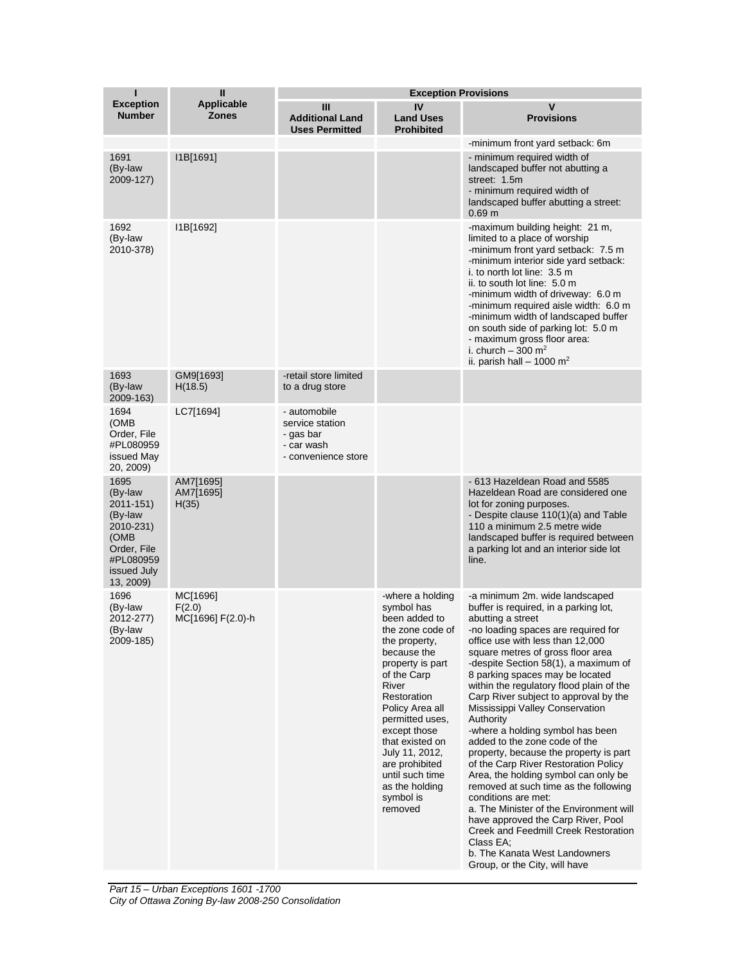|                                                                                                                      | $\mathbf{I}$                            | <b>Exception Provisions</b>                                                       |                                                                                                                                                                                                                                                                                                                                          |                                                                                                                                                                                                                                                                                                                                                                                                                                                                                                                                                                                                                                                                                                                                                                                                                                                                                                     |
|----------------------------------------------------------------------------------------------------------------------|-----------------------------------------|-----------------------------------------------------------------------------------|------------------------------------------------------------------------------------------------------------------------------------------------------------------------------------------------------------------------------------------------------------------------------------------------------------------------------------------|-----------------------------------------------------------------------------------------------------------------------------------------------------------------------------------------------------------------------------------------------------------------------------------------------------------------------------------------------------------------------------------------------------------------------------------------------------------------------------------------------------------------------------------------------------------------------------------------------------------------------------------------------------------------------------------------------------------------------------------------------------------------------------------------------------------------------------------------------------------------------------------------------------|
| <b>Exception</b><br><b>Number</b>                                                                                    | <b>Applicable</b><br><b>Zones</b>       | Ш<br><b>Additional Land</b><br><b>Uses Permitted</b>                              | IV<br><b>Land Uses</b><br><b>Prohibited</b>                                                                                                                                                                                                                                                                                              | $\mathbf v$<br><b>Provisions</b>                                                                                                                                                                                                                                                                                                                                                                                                                                                                                                                                                                                                                                                                                                                                                                                                                                                                    |
| 1691<br>(By-law<br>2009-127)                                                                                         | I1B[1691]                               |                                                                                   |                                                                                                                                                                                                                                                                                                                                          | -minimum front yard setback: 6m<br>- minimum required width of<br>landscaped buffer not abutting a<br>street: 1.5m<br>- minimum required width of<br>landscaped buffer abutting a street:<br>0.69 <sub>m</sub>                                                                                                                                                                                                                                                                                                                                                                                                                                                                                                                                                                                                                                                                                      |
| 1692<br>(By-law<br>2010-378)                                                                                         | I1B[1692]                               |                                                                                   |                                                                                                                                                                                                                                                                                                                                          | -maximum building height: 21 m,<br>limited to a place of worship<br>-minimum front yard setback: 7.5 m<br>-minimum interior side yard setback:<br>i. to north lot line: 3.5 m<br>ii. to south lot line: 5.0 m<br>-minimum width of driveway: 6.0 m<br>-minimum required aisle width: 6.0 m<br>-minimum width of landscaped buffer<br>on south side of parking lot: 5.0 m<br>- maximum gross floor area:<br>i. church – 300 m <sup>2</sup><br>ii. parish hall $-$ 1000 m <sup>2</sup>                                                                                                                                                                                                                                                                                                                                                                                                                |
| 1693<br>(By-law<br>2009-163)                                                                                         | GM9[1693]<br>H(18.5)                    | -retail store limited<br>to a drug store                                          |                                                                                                                                                                                                                                                                                                                                          |                                                                                                                                                                                                                                                                                                                                                                                                                                                                                                                                                                                                                                                                                                                                                                                                                                                                                                     |
| 1694<br>(OMB<br>Order, File<br>#PL080959<br>issued May<br>20, 2009)                                                  | LC7[1694]                               | - automobile<br>service station<br>- gas bar<br>- car wash<br>- convenience store |                                                                                                                                                                                                                                                                                                                                          |                                                                                                                                                                                                                                                                                                                                                                                                                                                                                                                                                                                                                                                                                                                                                                                                                                                                                                     |
| 1695<br>(By-law<br>2011-151)<br>(By-law<br>2010-231)<br>(OMB<br>Order, File<br>#PL080959<br>issued July<br>13, 2009) | AM7[1695]<br>AM7[1695]<br>H(35)         |                                                                                   |                                                                                                                                                                                                                                                                                                                                          | - 613 Hazeldean Road and 5585<br>Hazeldean Road are considered one<br>lot for zoning purposes.<br>- Despite clause 110(1)(a) and Table<br>110 a minimum 2.5 metre wide<br>landscaped buffer is required between<br>a parking lot and an interior side lot<br>line.                                                                                                                                                                                                                                                                                                                                                                                                                                                                                                                                                                                                                                  |
| 1696<br>(By-law<br>2012-277)<br>(By-law<br>2009-185)                                                                 | MC[1696]<br>F(2.0)<br>MC[1696] F(2.0)-h |                                                                                   | -where a holding<br>symbol has<br>been added to<br>the zone code of<br>the property,<br>because the<br>property is part<br>of the Carp<br>River<br>Restoration<br>Policy Area all<br>permitted uses,<br>except those<br>that existed on<br>July 11, 2012,<br>are prohibited<br>until such time<br>as the holding<br>symbol is<br>removed | -a minimum 2m. wide landscaped<br>buffer is required, in a parking lot,<br>abutting a street<br>-no loading spaces are required for<br>office use with less than 12,000<br>square metres of gross floor area<br>-despite Section 58(1), a maximum of<br>8 parking spaces may be located<br>within the regulatory flood plain of the<br>Carp River subject to approval by the<br>Mississippi Valley Conservation<br>Authority<br>-where a holding symbol has been<br>added to the zone code of the<br>property, because the property is part<br>of the Carp River Restoration Policy<br>Area, the holding symbol can only be<br>removed at such time as the following<br>conditions are met:<br>a. The Minister of the Environment will<br>have approved the Carp River, Pool<br>Creek and Feedmill Creek Restoration<br>Class EA;<br>b. The Kanata West Landowners<br>Group, or the City, will have |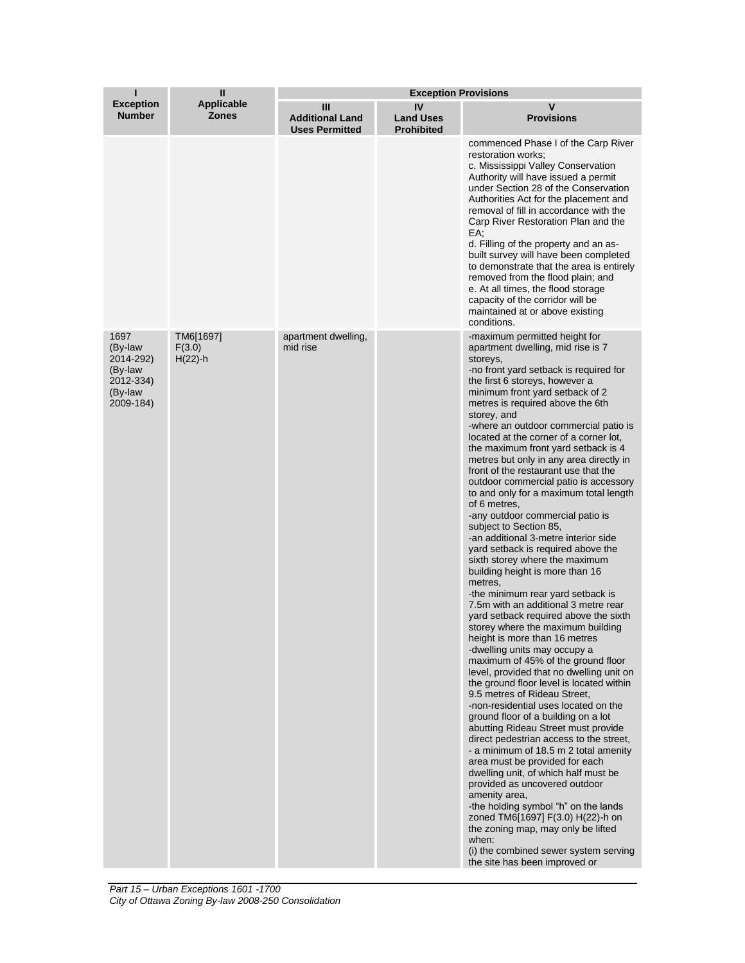| ı<br><b>Exception</b><br><b>Number</b>                                       | $\mathbf{I}$<br><b>Applicable</b><br><b>Zones</b> | <b>Exception Provisions</b>                          |                                             |                                                                                                                                                                                                                                                                                                                                                                                                                                                                                                                                                                                                                                                                                                                                                                                                                                                                                                                                                                                                                                                                                                                                                                                                                                                                                                                                                                                                                                                                                                                                                                                                                                                                                                                                    |  |
|------------------------------------------------------------------------------|---------------------------------------------------|------------------------------------------------------|---------------------------------------------|------------------------------------------------------------------------------------------------------------------------------------------------------------------------------------------------------------------------------------------------------------------------------------------------------------------------------------------------------------------------------------------------------------------------------------------------------------------------------------------------------------------------------------------------------------------------------------------------------------------------------------------------------------------------------------------------------------------------------------------------------------------------------------------------------------------------------------------------------------------------------------------------------------------------------------------------------------------------------------------------------------------------------------------------------------------------------------------------------------------------------------------------------------------------------------------------------------------------------------------------------------------------------------------------------------------------------------------------------------------------------------------------------------------------------------------------------------------------------------------------------------------------------------------------------------------------------------------------------------------------------------------------------------------------------------------------------------------------------------|--|
|                                                                              |                                                   | Ш<br><b>Additional Land</b><br><b>Uses Permitted</b> | IV<br><b>Land Uses</b><br><b>Prohibited</b> | $\mathbf v$<br><b>Provisions</b>                                                                                                                                                                                                                                                                                                                                                                                                                                                                                                                                                                                                                                                                                                                                                                                                                                                                                                                                                                                                                                                                                                                                                                                                                                                                                                                                                                                                                                                                                                                                                                                                                                                                                                   |  |
|                                                                              |                                                   |                                                      |                                             | commenced Phase I of the Carp River<br>restoration works:<br>c. Mississippi Valley Conservation<br>Authority will have issued a permit<br>under Section 28 of the Conservation<br>Authorities Act for the placement and<br>removal of fill in accordance with the<br>Carp River Restoration Plan and the<br>EA.<br>d. Filling of the property and an as-<br>built survey will have been completed<br>to demonstrate that the area is entirely<br>removed from the flood plain; and<br>e. At all times, the flood storage<br>capacity of the corridor will be<br>maintained at or above existing<br>conditions.                                                                                                                                                                                                                                                                                                                                                                                                                                                                                                                                                                                                                                                                                                                                                                                                                                                                                                                                                                                                                                                                                                                     |  |
| 1697<br>(By-law<br>2014-292)<br>(By-law<br>2012-334)<br>(By-law<br>2009-184) | TM6[1697]<br>F(3.0)<br>$H(22)$ -h                 | apartment dwelling,<br>mid rise                      |                                             | -maximum permitted height for<br>apartment dwelling, mid rise is 7<br>storeys,<br>-no front yard setback is required for<br>the first 6 storeys, however a<br>minimum front yard setback of 2<br>metres is required above the 6th<br>storey, and<br>-where an outdoor commercial patio is<br>located at the corner of a corner lot,<br>the maximum front yard setback is 4<br>metres but only in any area directly in<br>front of the restaurant use that the<br>outdoor commercial patio is accessory<br>to and only for a maximum total length<br>of 6 metres,<br>-any outdoor commercial patio is<br>subject to Section 85,<br>-an additional 3-metre interior side<br>yard setback is required above the<br>sixth storey where the maximum<br>building height is more than 16<br>metres,<br>-the minimum rear yard setback is<br>7.5m with an additional 3 metre rear<br>yard setback required above the sixth<br>storey where the maximum building<br>height is more than 16 metres<br>-dwelling units may occupy a<br>maximum of 45% of the ground floor<br>level, provided that no dwelling unit on<br>the ground floor level is located within<br>9.5 metres of Rideau Street,<br>-non-residential uses located on the<br>ground floor of a building on a lot<br>abutting Rideau Street must provide<br>direct pedestrian access to the street,<br>- a minimum of 18.5 m 2 total amenity<br>area must be provided for each<br>dwelling unit, of which half must be<br>provided as uncovered outdoor<br>amenity area,<br>-the holding symbol "h" on the lands<br>zoned TM6[1697] F(3.0) H(22)-h on<br>the zoning map, may only be lifted<br>when:<br>(i) the combined sewer system serving<br>the site has been improved or |  |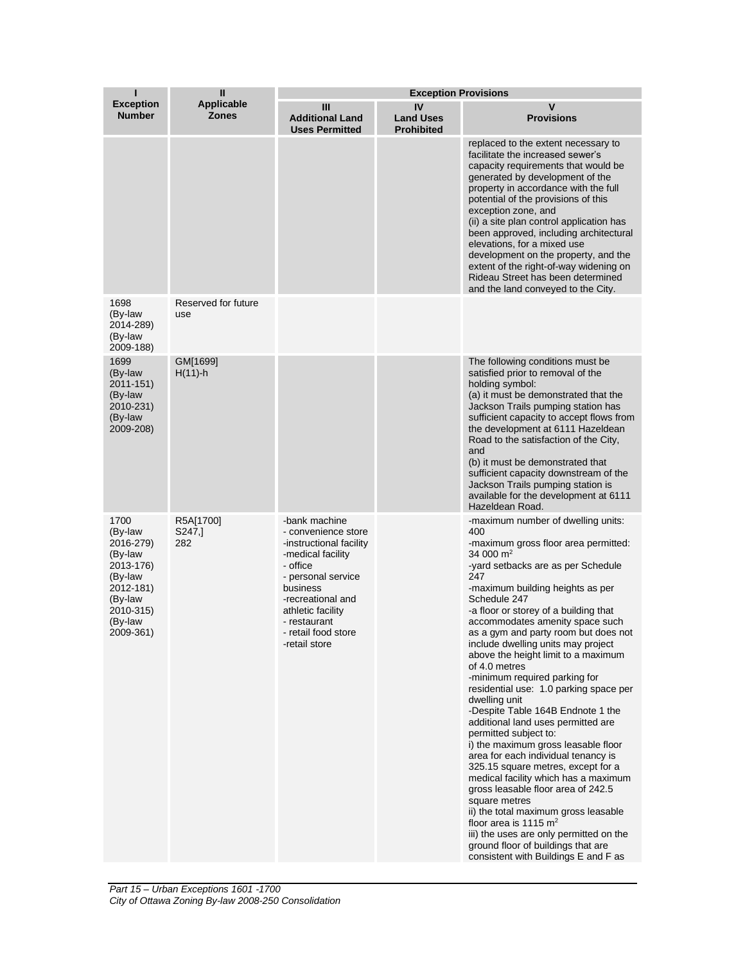| п<br><b>Exception</b><br><b>Number</b>                                                                                       | $\mathbf{I}$<br><b>Applicable</b><br><b>Zones</b> | <b>Exception Provisions</b>                                                                                                                                                                                                          |                                             |                                                                                                                                                                                                                                                                                                                                                                                                                                                                                                                                                                                                                                                                                                                                                                                                                                                                                                                                                                                                                                              |  |
|------------------------------------------------------------------------------------------------------------------------------|---------------------------------------------------|--------------------------------------------------------------------------------------------------------------------------------------------------------------------------------------------------------------------------------------|---------------------------------------------|----------------------------------------------------------------------------------------------------------------------------------------------------------------------------------------------------------------------------------------------------------------------------------------------------------------------------------------------------------------------------------------------------------------------------------------------------------------------------------------------------------------------------------------------------------------------------------------------------------------------------------------------------------------------------------------------------------------------------------------------------------------------------------------------------------------------------------------------------------------------------------------------------------------------------------------------------------------------------------------------------------------------------------------------|--|
|                                                                                                                              |                                                   | Ш<br><b>Additional Land</b><br><b>Uses Permitted</b>                                                                                                                                                                                 | IV<br><b>Land Uses</b><br><b>Prohibited</b> | v<br><b>Provisions</b>                                                                                                                                                                                                                                                                                                                                                                                                                                                                                                                                                                                                                                                                                                                                                                                                                                                                                                                                                                                                                       |  |
|                                                                                                                              |                                                   |                                                                                                                                                                                                                                      |                                             | replaced to the extent necessary to<br>facilitate the increased sewer's<br>capacity requirements that would be<br>generated by development of the<br>property in accordance with the full<br>potential of the provisions of this<br>exception zone, and<br>(ii) a site plan control application has<br>been approved, including architectural<br>elevations, for a mixed use<br>development on the property, and the<br>extent of the right-of-way widening on<br>Rideau Street has been determined<br>and the land conveyed to the City.                                                                                                                                                                                                                                                                                                                                                                                                                                                                                                    |  |
| 1698<br>(By-law<br>2014-289)<br>(By-law<br>2009-188)                                                                         | Reserved for future<br>use                        |                                                                                                                                                                                                                                      |                                             |                                                                                                                                                                                                                                                                                                                                                                                                                                                                                                                                                                                                                                                                                                                                                                                                                                                                                                                                                                                                                                              |  |
| 1699<br>(By-law<br>2011-151)<br>(By-law<br>2010-231)<br>(By-law<br>2009-208)                                                 | GM[1699]<br>$H(11)-h$                             |                                                                                                                                                                                                                                      |                                             | The following conditions must be<br>satisfied prior to removal of the<br>holding symbol:<br>(a) it must be demonstrated that the<br>Jackson Trails pumping station has<br>sufficient capacity to accept flows from<br>the development at 6111 Hazeldean<br>Road to the satisfaction of the City,<br>and<br>(b) it must be demonstrated that<br>sufficient capacity downstream of the<br>Jackson Trails pumping station is<br>available for the development at 6111<br>Hazeldean Road.                                                                                                                                                                                                                                                                                                                                                                                                                                                                                                                                                        |  |
| 1700<br>(By-law<br>2016-279)<br>(By-law<br>2013-176)<br>(By-law<br>2012-181)<br>(By-law<br>2010-315)<br>(By-law<br>2009-361) | R5A[1700]<br>S247,]<br>282                        | -bank machine<br>- convenience store<br>-instructional facility<br>-medical facility<br>- office<br>- personal service<br>business<br>-recreational and<br>athletic facility<br>- restaurant<br>- retail food store<br>-retail store |                                             | -maximum number of dwelling units:<br>400<br>-maximum gross floor area permitted:<br>34 000 m <sup>2</sup><br>-yard setbacks are as per Schedule<br>247<br>-maximum building heights as per<br>Schedule 247<br>-a floor or storey of a building that<br>accommodates amenity space such<br>as a gym and party room but does not<br>include dwelling units may project<br>above the height limit to a maximum<br>of 4.0 metres<br>-minimum required parking for<br>residential use: 1.0 parking space per<br>dwelling unit<br>-Despite Table 164B Endnote 1 the<br>additional land uses permitted are<br>permitted subject to:<br>i) the maximum gross leasable floor<br>area for each individual tenancy is<br>325.15 square metres, except for a<br>medical facility which has a maximum<br>gross leasable floor area of 242.5<br>square metres<br>ii) the total maximum gross leasable<br>floor area is 1115 $m2$<br>iii) the uses are only permitted on the<br>ground floor of buildings that are<br>consistent with Buildings E and F as |  |